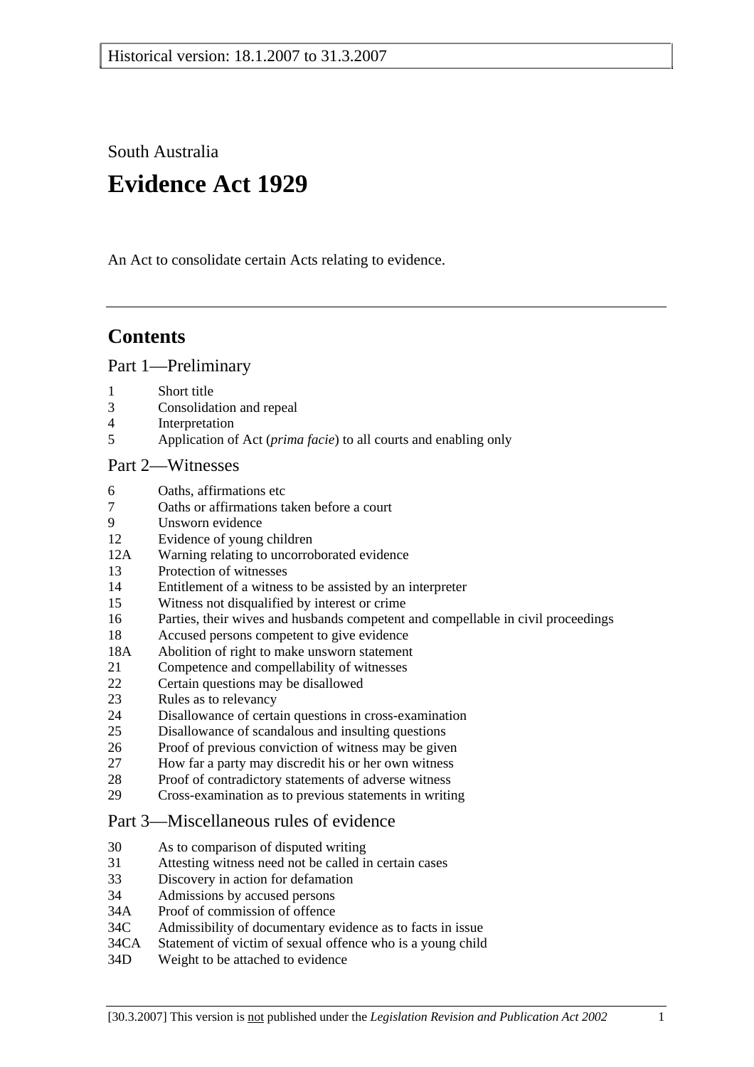South Australia

# **Evidence Act 1929**

An Act to consolidate certain Acts relating to evidence.

# **Contents**

Part 1—Preliminary

- 1 Short title
- 3 Consolidation and repeal
- 4 Interpretation
- 5 Application of Act (*prima facie*) to all courts and enabling only

# Part 2—Witnesses

- 6 Oaths, affirmations etc
- 7 Oaths or affirmations taken before a court
- 9 Unsworn evidence
- 12 Evidence of young children
- 12A Warning relating to uncorroborated evidence
- 13 Protection of witnesses
- 14 Entitlement of a witness to be assisted by an interpreter
- 15 Witness not disqualified by interest or crime
- 16 Parties, their wives and husbands competent and compellable in civil proceedings
- 18 Accused persons competent to give evidence
- 18A Abolition of right to make unsworn statement
- 21 Competence and compellability of witnesses
- 22 Certain questions may be disallowed
- 23 Rules as to relevancy
- 24 Disallowance of certain questions in cross-examination
- 25 Disallowance of scandalous and insulting questions
- 26 Proof of previous conviction of witness may be given
- 27 How far a party may discredit his or her own witness
- 28 Proof of contradictory statements of adverse witness
- 29 Cross-examination as to previous statements in writing

#### Part 3—Miscellaneous rules of evidence

- 30 As to comparison of disputed writing
- 31 Attesting witness need not be called in certain cases
- 33 Discovery in action for defamation
- 34 Admissions by accused persons
- 34A Proof of commission of offence
- 34C Admissibility of documentary evidence as to facts in issue
- 34CA Statement of victim of sexual offence who is a young child
- 34D Weight to be attached to evidence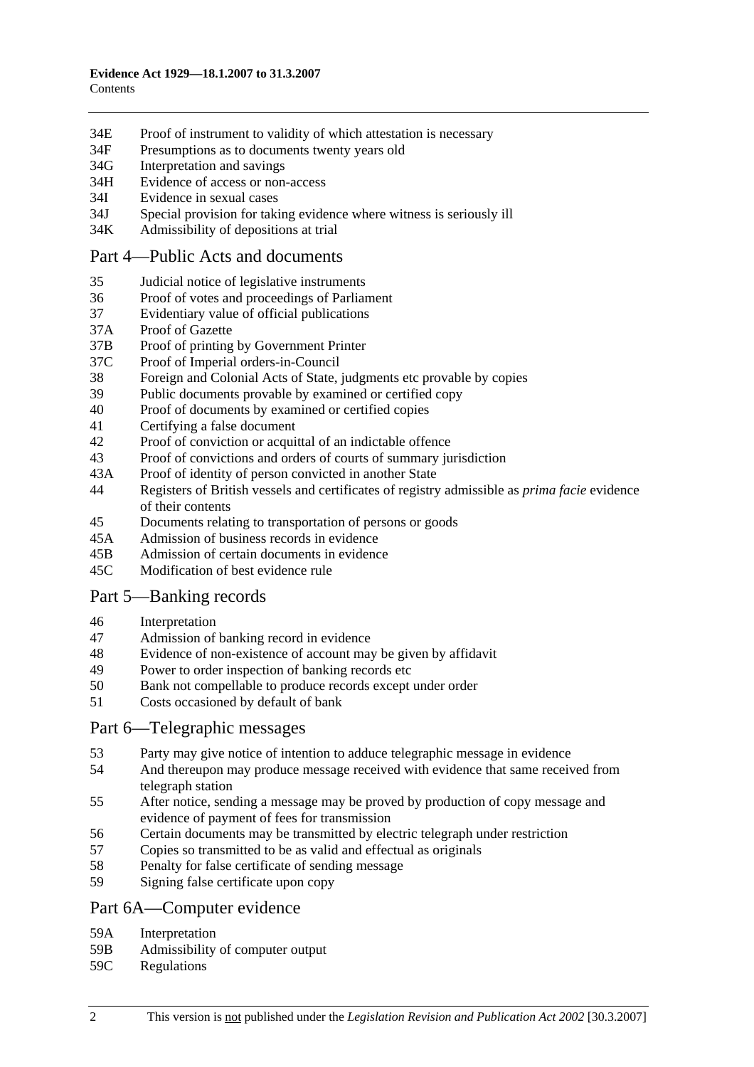- 34E Proof of instrument to validity of which attestation is necessary
- 34F Presumptions as to documents twenty years old
- 34G Interpretation and savings
- 34H Evidence of access or non-access
- 34I Evidence in sexual cases
- 34J Special provision for taking evidence where witness is seriously ill
- 34K Admissibility of depositions at trial

#### Part 4—Public Acts and documents

- 35 Judicial notice of legislative instruments
- 36 Proof of votes and proceedings of Parliament
- 37 Evidentiary value of official publications
- 37A Proof of Gazette
- 37B Proof of printing by Government Printer
- 37C Proof of Imperial orders-in-Council
- 38 Foreign and Colonial Acts of State, judgments etc provable by copies
- 39 Public documents provable by examined or certified copy
- 40 Proof of documents by examined or certified copies
- 41 Certifying a false document
- 42 Proof of conviction or acquittal of an indictable offence
- 43 Proof of convictions and orders of courts of summary jurisdiction
- 43A Proof of identity of person convicted in another State
- 44 Registers of British vessels and certificates of registry admissible as *prima facie* evidence of their contents
- 45 Documents relating to transportation of persons or goods
- 45A Admission of business records in evidence
- 45B Admission of certain documents in evidence
- 45C Modification of best evidence rule

# Part 5—Banking records

- 46 Interpretation
- 47 Admission of banking record in evidence
- 48 Evidence of non-existence of account may be given by affidavit
- 49 Power to order inspection of banking records etc
- 50 Bank not compellable to produce records except under order
- 51 Costs occasioned by default of bank

#### Part 6—Telegraphic messages

- 53 Party may give notice of intention to adduce telegraphic message in evidence
- 54 And thereupon may produce message received with evidence that same received from telegraph station
- 55 After notice, sending a message may be proved by production of copy message and evidence of payment of fees for transmission
- 56 Certain documents may be transmitted by electric telegraph under restriction
- 57 Copies so transmitted to be as valid and effectual as originals
- 58 Penalty for false certificate of sending message
- 59 Signing false certificate upon copy

#### Part 6A—Computer evidence

- 59A Interpretation
- 59B Admissibility of computer output
- 59C Regulations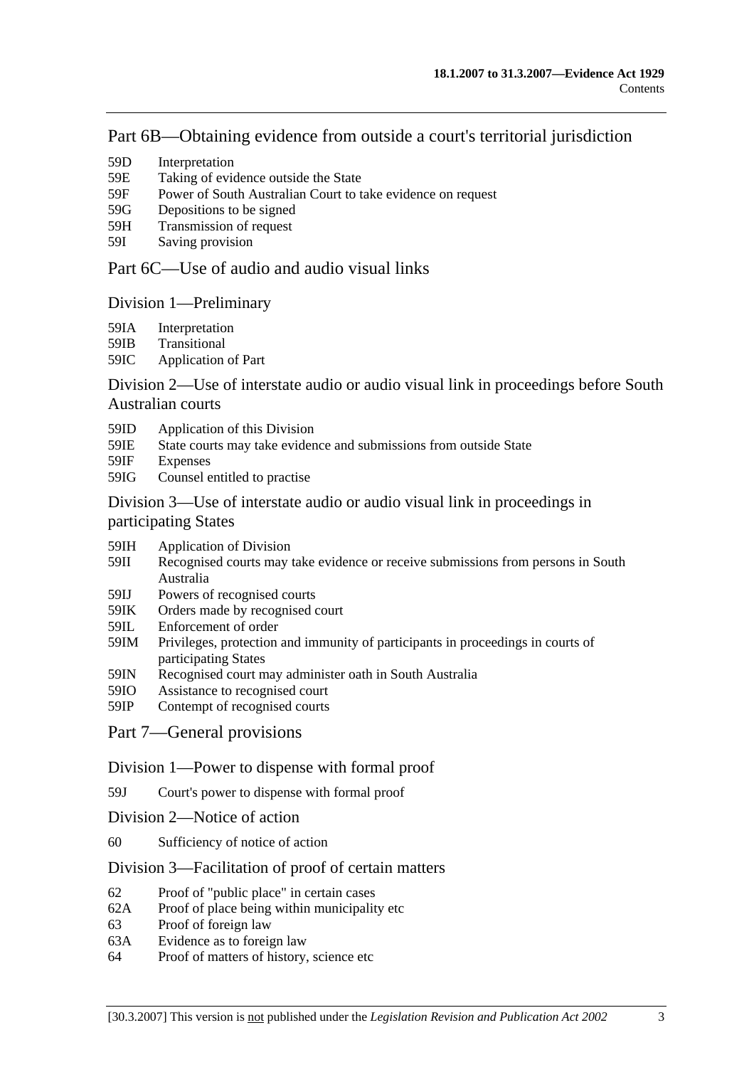# Part 6B—Obtaining evidence from outside a court's territorial jurisdiction

- 59D Interpretation
- 59E Taking of evidence outside the State
- 59F Power of South Australian Court to take evidence on request
- 59G Depositions to be signed
- 59H Transmission of request
- 59I Saving provision

# Part 6C—Use of audio and audio visual links

# Division 1—Preliminary

- 59IA Interpretation
- 59IB Transitional
- 59IC Application of Part

# Division 2—Use of interstate audio or audio visual link in proceedings before South Australian courts

- 59ID Application of this Division
- 59IE State courts may take evidence and submissions from outside State
- 59IF Expenses
- 59IG Counsel entitled to practise

# Division 3—Use of interstate audio or audio visual link in proceedings in participating States

- 59IH Application of Division
- 59II Recognised courts may take evidence or receive submissions from persons in South Australia
- 59IJ Powers of recognised courts<br>59IK Orders made by recognised
- Orders made by recognised court
- 59IL Enforcement of order
- 59IM Privileges, protection and immunity of participants in proceedings in courts of participating States
- 59IN Recognised court may administer oath in South Australia
- 59IO Assistance to recognised court
- 59IP Contempt of recognised courts
- Part 7—General provisions

#### Division 1—Power to dispense with formal proof

- 59J Court's power to dispense with formal proof
- Division 2—Notice of action
- 60 Sufficiency of notice of action

#### Division 3—Facilitation of proof of certain matters

- 62 Proof of "public place" in certain cases
- 62A Proof of place being within municipality etc
- 63 Proof of foreign law
- 63A Evidence as to foreign law
- 64 Proof of matters of history, science etc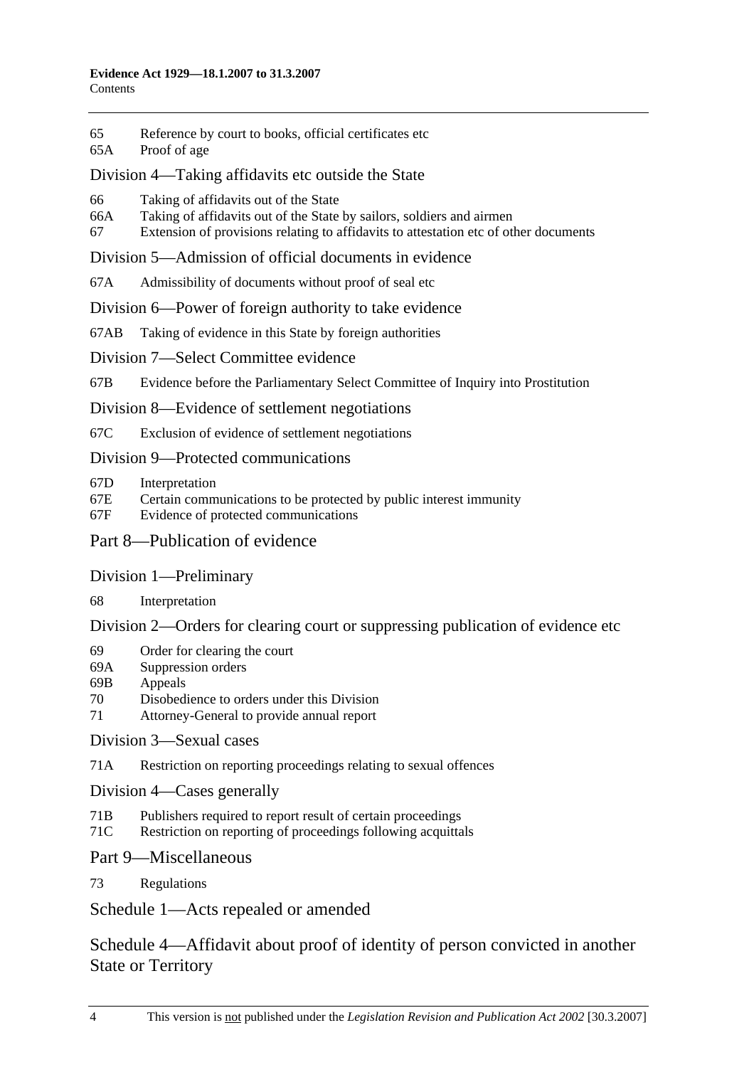- 65 Reference by court to books, official certificates etc
- 65A Proof of age

# Division 4—Taking affidavits etc outside the State

- 66 Taking of affidavits out of the State
- 66A Taking of affidavits out of the State by sailors, soldiers and airmen
- 67 Extension of provisions relating to affidavits to attestation etc of other documents

# Division 5—Admission of official documents in evidence

67A Admissibility of documents without proof of seal etc

# Division 6—Power of foreign authority to take evidence

- 67AB Taking of evidence in this State by foreign authorities
- Division 7—Select Committee evidence

67B Evidence before the Parliamentary Select Committee of Inquiry into Prostitution

Division 8—Evidence of settlement negotiations

67C Exclusion of evidence of settlement negotiations

# Division 9—Protected communications

- 67D Interpretation
- 67E Certain communications to be protected by public interest immunity
- 67F Evidence of protected communications

# Part 8—Publication of evidence

# Division 1—Preliminary

68 Interpretation

# Division 2—Orders for clearing court or suppressing publication of evidence etc

- 69 Order for clearing the court
- 69A Suppression orders
- 69B Appeals
- 70 Disobedience to orders under this Division
- 71 Attorney-General to provide annual report

# Division 3—Sexual cases

71A Restriction on reporting proceedings relating to sexual offences

Division 4—Cases generally

- 71B Publishers required to report result of certain proceedings
- 71C Restriction on reporting of proceedings following acquittals

# Part 9—Miscellaneous

73 Regulations

Schedule 1—Acts repealed or amended

Schedule 4—Affidavit about proof of identity of person convicted in another State or Territory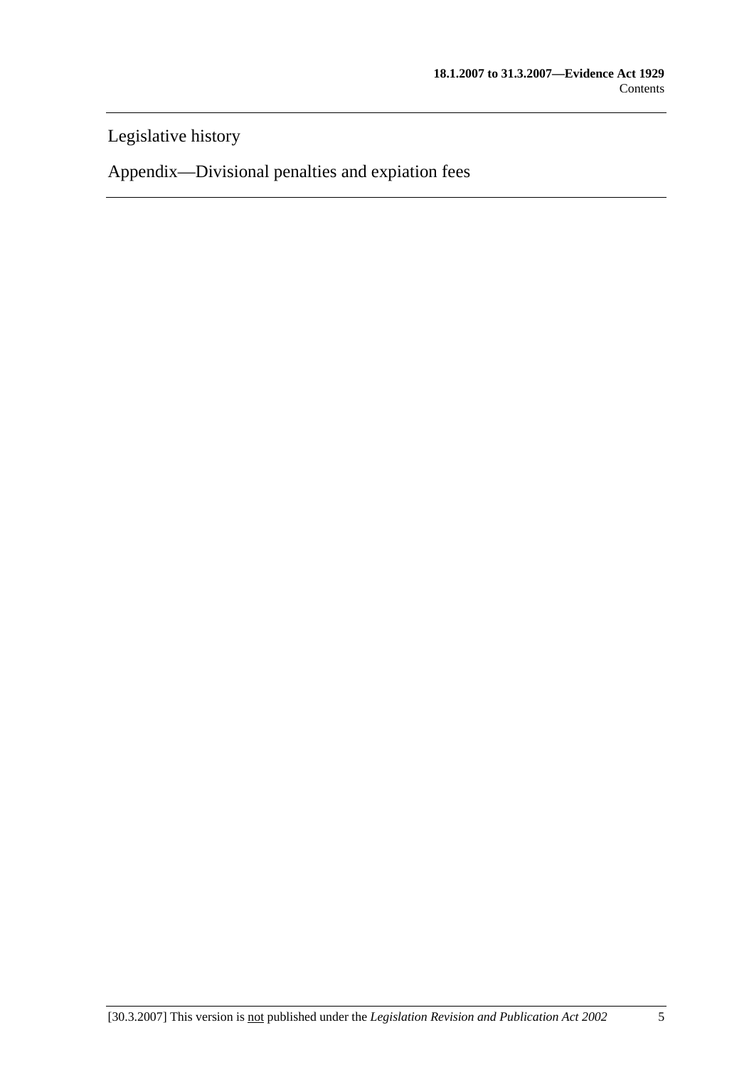Legislative history

Appendix—Divisional penalties and expiation fees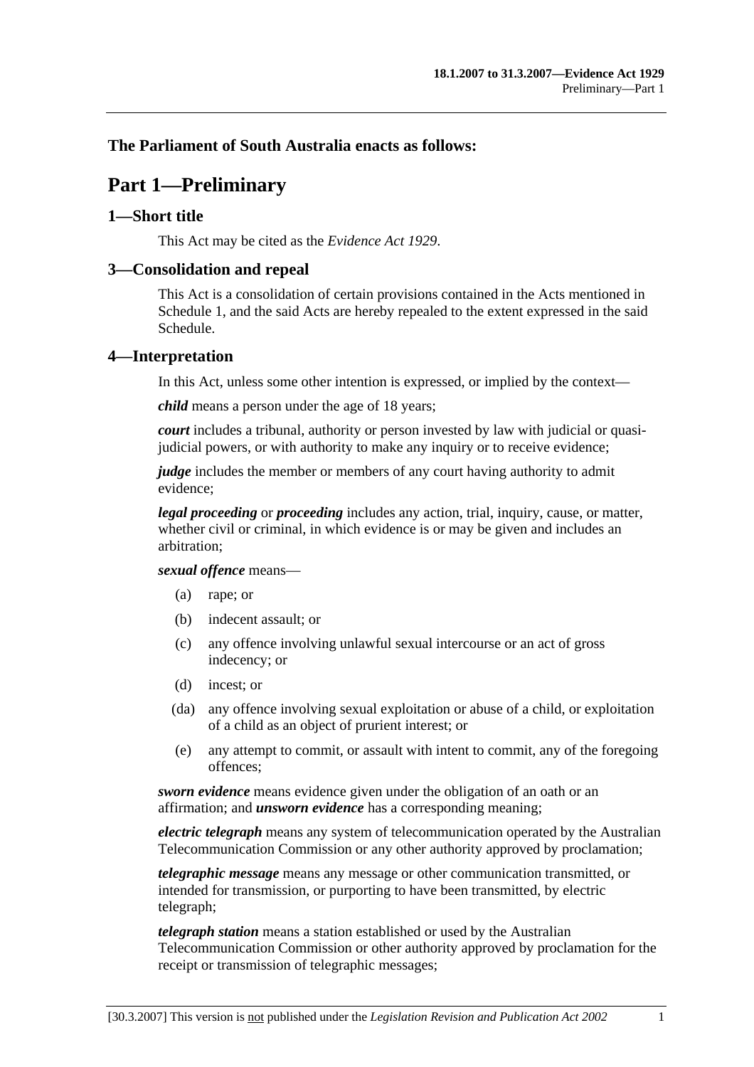# **The Parliament of South Australia enacts as follows:**

# **Part 1—Preliminary**

#### **1—Short title**

This Act may be cited as the *Evidence Act 1929*.

#### **3—Consolidation and repeal**

This Act is a consolidation of certain provisions contained in the Acts mentioned in Schedule 1, and the said Acts are hereby repealed to the extent expressed in the said Schedule.

#### **4—Interpretation**

In this Act, unless some other intention is expressed, or implied by the context—

*child* means a person under the age of 18 years;

*court* includes a tribunal, authority or person invested by law with judicial or quasijudicial powers, or with authority to make any inquiry or to receive evidence;

*judge* includes the member or members of any court having authority to admit evidence;

*legal proceeding* or *proceeding* includes any action, trial, inquiry, cause, or matter, whether civil or criminal, in which evidence is or may be given and includes an arbitration;

#### *sexual offence* means—

- (a) rape; or
- (b) indecent assault; or
- (c) any offence involving unlawful sexual intercourse or an act of gross indecency; or
- (d) incest; or
- (da) any offence involving sexual exploitation or abuse of a child, or exploitation of a child as an object of prurient interest; or
- (e) any attempt to commit, or assault with intent to commit, any of the foregoing offences;

*sworn evidence* means evidence given under the obligation of an oath or an affirmation; and *unsworn evidence* has a corresponding meaning;

*electric telegraph* means any system of telecommunication operated by the Australian Telecommunication Commission or any other authority approved by proclamation;

*telegraphic message* means any message or other communication transmitted, or intended for transmission, or purporting to have been transmitted, by electric telegraph;

*telegraph station* means a station established or used by the Australian Telecommunication Commission or other authority approved by proclamation for the receipt or transmission of telegraphic messages;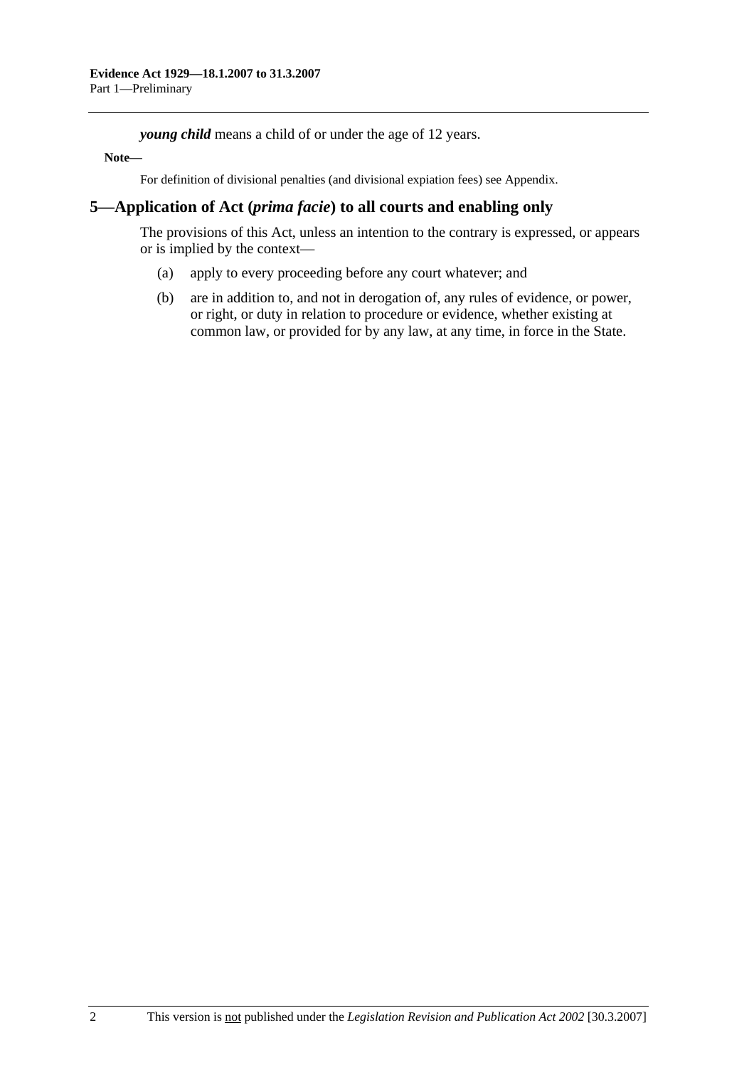*young child* means a child of or under the age of 12 years.

#### **Note—**

For definition of divisional penalties (and divisional expiation fees) see Appendix.

# **5—Application of Act (***prima facie***) to all courts and enabling only**

The provisions of this Act, unless an intention to the contrary is expressed, or appears or is implied by the context—

- (a) apply to every proceeding before any court whatever; and
- (b) are in addition to, and not in derogation of, any rules of evidence, or power, or right, or duty in relation to procedure or evidence, whether existing at common law, or provided for by any law, at any time, in force in the State.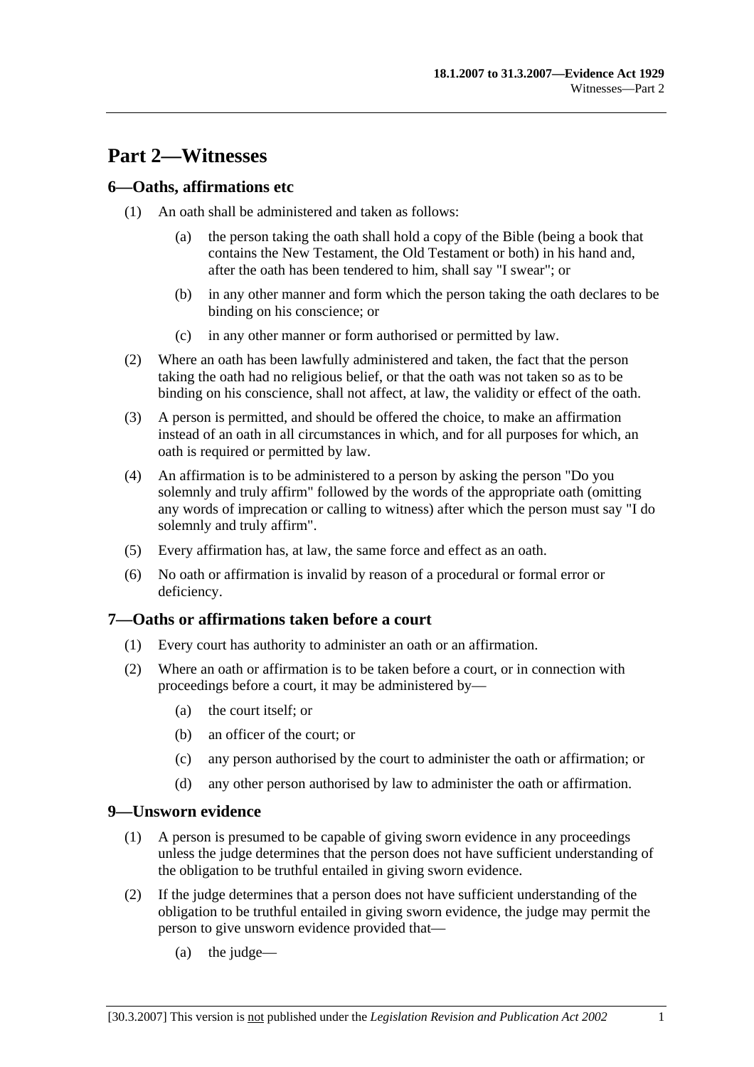# **Part 2—Witnesses**

# **6—Oaths, affirmations etc**

- (1) An oath shall be administered and taken as follows:
	- (a) the person taking the oath shall hold a copy of the Bible (being a book that contains the New Testament, the Old Testament or both) in his hand and, after the oath has been tendered to him, shall say "I swear"; or
	- (b) in any other manner and form which the person taking the oath declares to be binding on his conscience; or
	- (c) in any other manner or form authorised or permitted by law.
- (2) Where an oath has been lawfully administered and taken, the fact that the person taking the oath had no religious belief, or that the oath was not taken so as to be binding on his conscience, shall not affect, at law, the validity or effect of the oath.
- (3) A person is permitted, and should be offered the choice, to make an affirmation instead of an oath in all circumstances in which, and for all purposes for which, an oath is required or permitted by law.
- (4) An affirmation is to be administered to a person by asking the person "Do you solemnly and truly affirm" followed by the words of the appropriate oath (omitting any words of imprecation or calling to witness) after which the person must say "I do solemnly and truly affirm".
- (5) Every affirmation has, at law, the same force and effect as an oath.
- (6) No oath or affirmation is invalid by reason of a procedural or formal error or deficiency.

#### **7—Oaths or affirmations taken before a court**

- (1) Every court has authority to administer an oath or an affirmation.
- (2) Where an oath or affirmation is to be taken before a court, or in connection with proceedings before a court, it may be administered by—
	- (a) the court itself; or
	- (b) an officer of the court; or
	- (c) any person authorised by the court to administer the oath or affirmation; or
	- (d) any other person authorised by law to administer the oath or affirmation.

#### **9—Unsworn evidence**

- (1) A person is presumed to be capable of giving sworn evidence in any proceedings unless the judge determines that the person does not have sufficient understanding of the obligation to be truthful entailed in giving sworn evidence.
- (2) If the judge determines that a person does not have sufficient understanding of the obligation to be truthful entailed in giving sworn evidence, the judge may permit the person to give unsworn evidence provided that—
	- (a) the judge—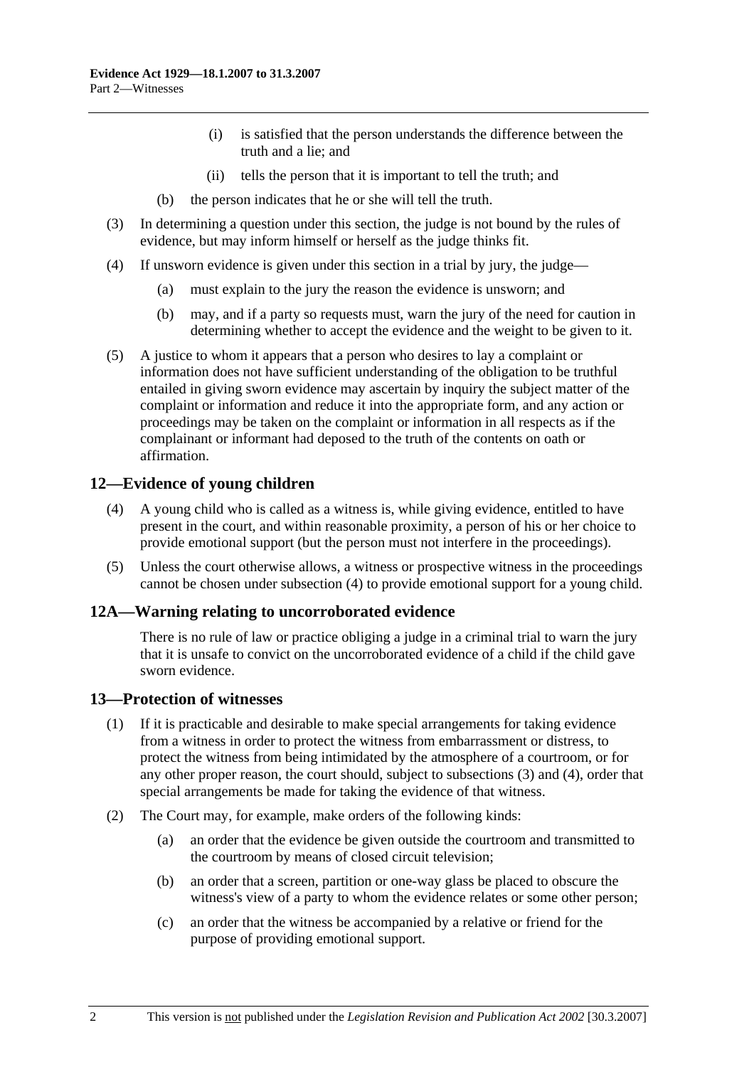- (i) is satisfied that the person understands the difference between the truth and a lie; and
- (ii) tells the person that it is important to tell the truth; and
- (b) the person indicates that he or she will tell the truth.
- (3) In determining a question under this section, the judge is not bound by the rules of evidence, but may inform himself or herself as the judge thinks fit.
- (4) If unsworn evidence is given under this section in a trial by jury, the judge—
	- (a) must explain to the jury the reason the evidence is unsworn; and
	- (b) may, and if a party so requests must, warn the jury of the need for caution in determining whether to accept the evidence and the weight to be given to it.
- (5) A justice to whom it appears that a person who desires to lay a complaint or information does not have sufficient understanding of the obligation to be truthful entailed in giving sworn evidence may ascertain by inquiry the subject matter of the complaint or information and reduce it into the appropriate form, and any action or proceedings may be taken on the complaint or information in all respects as if the complainant or informant had deposed to the truth of the contents on oath or affirmation.

# **12—Evidence of young children**

- (4) A young child who is called as a witness is, while giving evidence, entitled to have present in the court, and within reasonable proximity, a person of his or her choice to provide emotional support (but the person must not interfere in the proceedings).
- (5) Unless the court otherwise allows, a witness or prospective witness in the proceedings cannot be chosen under subsection (4) to provide emotional support for a young child.

# **12A—Warning relating to uncorroborated evidence**

There is no rule of law or practice obliging a judge in a criminal trial to warn the jury that it is unsafe to convict on the uncorroborated evidence of a child if the child gave sworn evidence.

# **13—Protection of witnesses**

- (1) If it is practicable and desirable to make special arrangements for taking evidence from a witness in order to protect the witness from embarrassment or distress, to protect the witness from being intimidated by the atmosphere of a courtroom, or for any other proper reason, the court should, subject to subsections (3) and (4), order that special arrangements be made for taking the evidence of that witness.
- (2) The Court may, for example, make orders of the following kinds:
	- (a) an order that the evidence be given outside the courtroom and transmitted to the courtroom by means of closed circuit television;
	- (b) an order that a screen, partition or one-way glass be placed to obscure the witness's view of a party to whom the evidence relates or some other person;
	- (c) an order that the witness be accompanied by a relative or friend for the purpose of providing emotional support.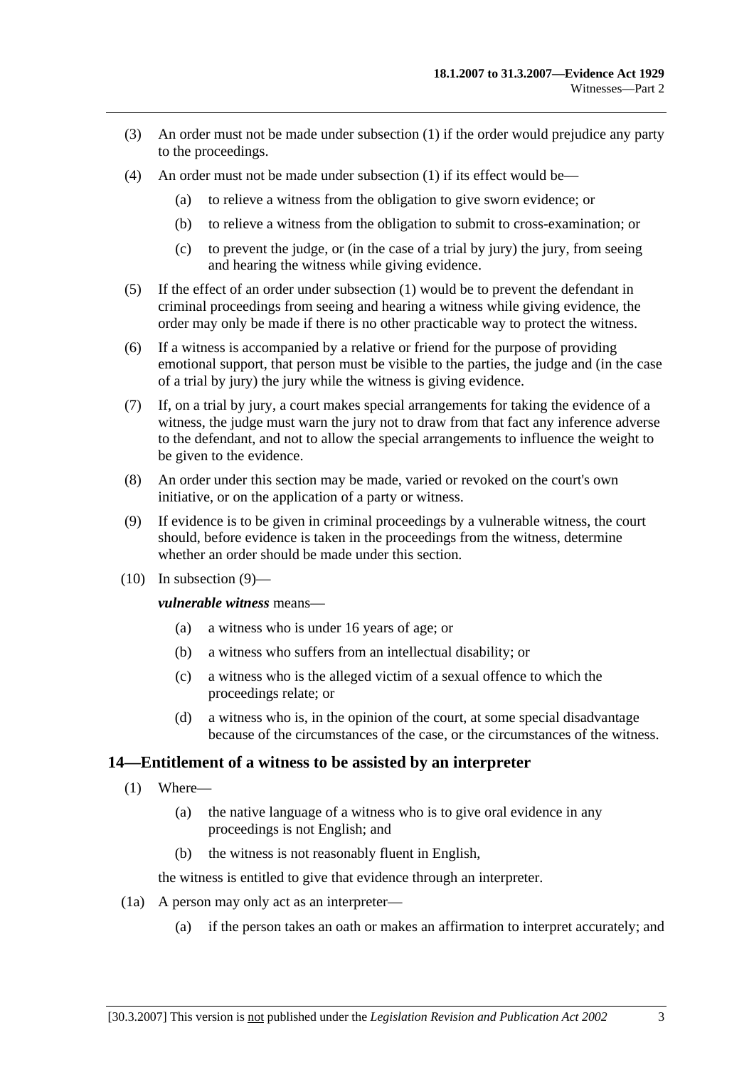- (3) An order must not be made under subsection (1) if the order would prejudice any party to the proceedings.
- (4) An order must not be made under subsection (1) if its effect would be—
	- (a) to relieve a witness from the obligation to give sworn evidence; or
	- (b) to relieve a witness from the obligation to submit to cross-examination; or
	- (c) to prevent the judge, or (in the case of a trial by jury) the jury, from seeing and hearing the witness while giving evidence.
- (5) If the effect of an order under subsection (1) would be to prevent the defendant in criminal proceedings from seeing and hearing a witness while giving evidence, the order may only be made if there is no other practicable way to protect the witness.
- (6) If a witness is accompanied by a relative or friend for the purpose of providing emotional support, that person must be visible to the parties, the judge and (in the case of a trial by jury) the jury while the witness is giving evidence.
- (7) If, on a trial by jury, a court makes special arrangements for taking the evidence of a witness, the judge must warn the jury not to draw from that fact any inference adverse to the defendant, and not to allow the special arrangements to influence the weight to be given to the evidence.
- (8) An order under this section may be made, varied or revoked on the court's own initiative, or on the application of a party or witness.
- (9) If evidence is to be given in criminal proceedings by a vulnerable witness, the court should, before evidence is taken in the proceedings from the witness, determine whether an order should be made under this section.
- $(10)$  In subsection  $(9)$ —

*vulnerable witness* means—

- (a) a witness who is under 16 years of age; or
- (b) a witness who suffers from an intellectual disability; or
- (c) a witness who is the alleged victim of a sexual offence to which the proceedings relate; or
- (d) a witness who is, in the opinion of the court, at some special disadvantage because of the circumstances of the case, or the circumstances of the witness.

#### **14—Entitlement of a witness to be assisted by an interpreter**

- (1) Where—
	- (a) the native language of a witness who is to give oral evidence in any proceedings is not English; and
	- (b) the witness is not reasonably fluent in English,

the witness is entitled to give that evidence through an interpreter.

- (1a) A person may only act as an interpreter—
	- (a) if the person takes an oath or makes an affirmation to interpret accurately; and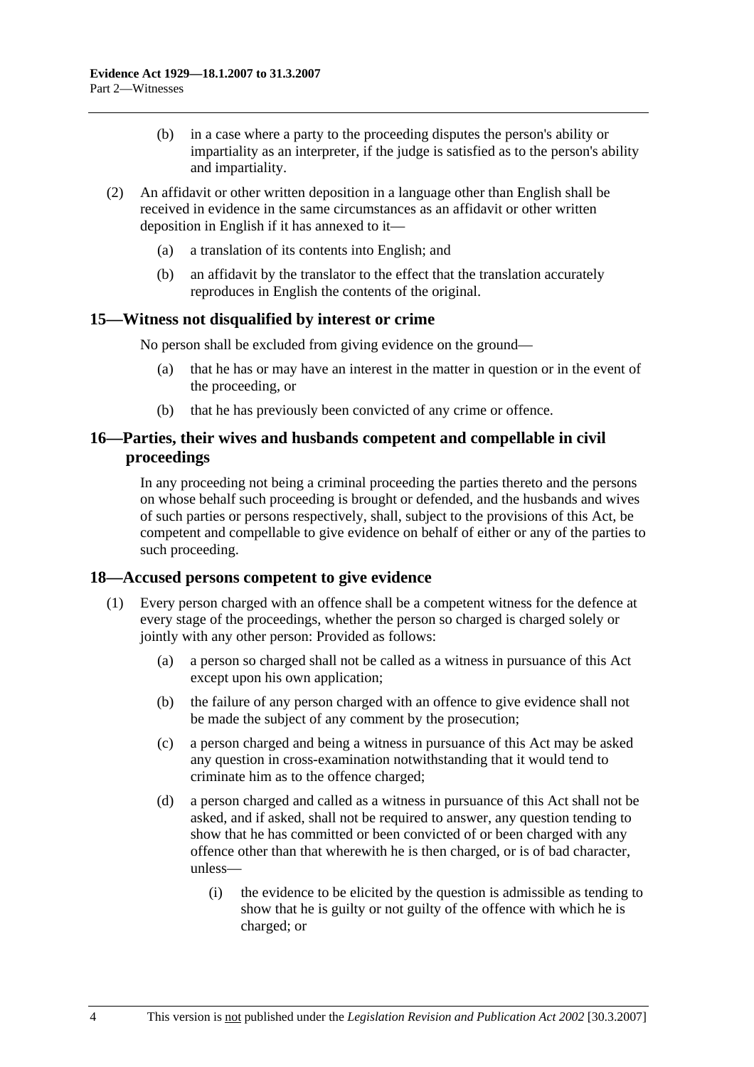- (b) in a case where a party to the proceeding disputes the person's ability or impartiality as an interpreter, if the judge is satisfied as to the person's ability and impartiality.
- (2) An affidavit or other written deposition in a language other than English shall be received in evidence in the same circumstances as an affidavit or other written deposition in English if it has annexed to it—
	- (a) a translation of its contents into English; and
	- (b) an affidavit by the translator to the effect that the translation accurately reproduces in English the contents of the original.

#### **15—Witness not disqualified by interest or crime**

No person shall be excluded from giving evidence on the ground—

- (a) that he has or may have an interest in the matter in question or in the event of the proceeding, or
- (b) that he has previously been convicted of any crime or offence.

#### **16—Parties, their wives and husbands competent and compellable in civil proceedings**

In any proceeding not being a criminal proceeding the parties thereto and the persons on whose behalf such proceeding is brought or defended, and the husbands and wives of such parties or persons respectively, shall, subject to the provisions of this Act, be competent and compellable to give evidence on behalf of either or any of the parties to such proceeding.

#### **18—Accused persons competent to give evidence**

- (1) Every person charged with an offence shall be a competent witness for the defence at every stage of the proceedings, whether the person so charged is charged solely or jointly with any other person: Provided as follows:
	- (a) a person so charged shall not be called as a witness in pursuance of this Act except upon his own application;
	- (b) the failure of any person charged with an offence to give evidence shall not be made the subject of any comment by the prosecution;
	- (c) a person charged and being a witness in pursuance of this Act may be asked any question in cross-examination notwithstanding that it would tend to criminate him as to the offence charged;
	- (d) a person charged and called as a witness in pursuance of this Act shall not be asked, and if asked, shall not be required to answer, any question tending to show that he has committed or been convicted of or been charged with any offence other than that wherewith he is then charged, or is of bad character, unless—
		- (i) the evidence to be elicited by the question is admissible as tending to show that he is guilty or not guilty of the offence with which he is charged; or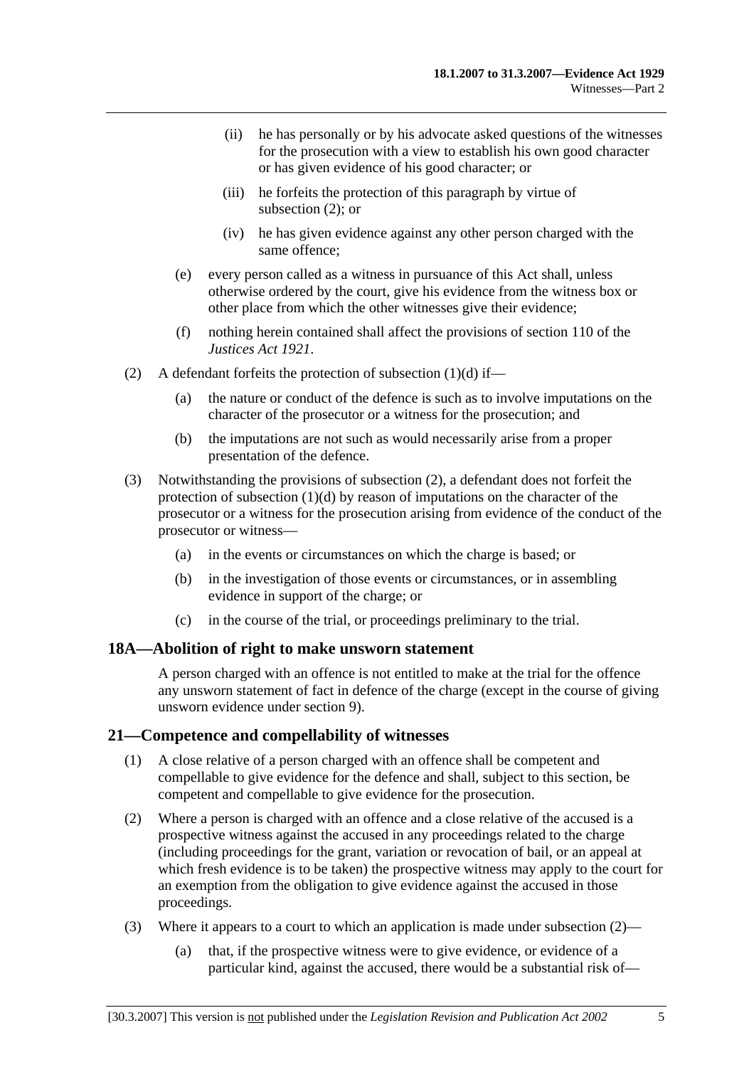- (ii) he has personally or by his advocate asked questions of the witnesses for the prosecution with a view to establish his own good character or has given evidence of his good character; or
- (iii) he forfeits the protection of this paragraph by virtue of subsection (2); or
- (iv) he has given evidence against any other person charged with the same offence;
- (e) every person called as a witness in pursuance of this Act shall, unless otherwise ordered by the court, give his evidence from the witness box or other place from which the other witnesses give their evidence;
- (f) nothing herein contained shall affect the provisions of section 110 of the *Justices Act 1921*.
- (2) A defendant forfeits the protection of subsection  $(1)(d)$  if—
	- (a) the nature or conduct of the defence is such as to involve imputations on the character of the prosecutor or a witness for the prosecution; and
	- (b) the imputations are not such as would necessarily arise from a proper presentation of the defence.
- (3) Notwithstanding the provisions of subsection (2), a defendant does not forfeit the protection of subsection  $(1)(d)$  by reason of imputations on the character of the prosecutor or a witness for the prosecution arising from evidence of the conduct of the prosecutor or witness—
	- (a) in the events or circumstances on which the charge is based; or
	- (b) in the investigation of those events or circumstances, or in assembling evidence in support of the charge; or
	- (c) in the course of the trial, or proceedings preliminary to the trial.

#### **18A—Abolition of right to make unsworn statement**

A person charged with an offence is not entitled to make at the trial for the offence any unsworn statement of fact in defence of the charge (except in the course of giving unsworn evidence under section 9).

# **21—Competence and compellability of witnesses**

- (1) A close relative of a person charged with an offence shall be competent and compellable to give evidence for the defence and shall, subject to this section, be competent and compellable to give evidence for the prosecution.
- (2) Where a person is charged with an offence and a close relative of the accused is a prospective witness against the accused in any proceedings related to the charge (including proceedings for the grant, variation or revocation of bail, or an appeal at which fresh evidence is to be taken) the prospective witness may apply to the court for an exemption from the obligation to give evidence against the accused in those proceedings.
- (3) Where it appears to a court to which an application is made under subsection (2)—
	- (a) that, if the prospective witness were to give evidence, or evidence of a particular kind, against the accused, there would be a substantial risk of—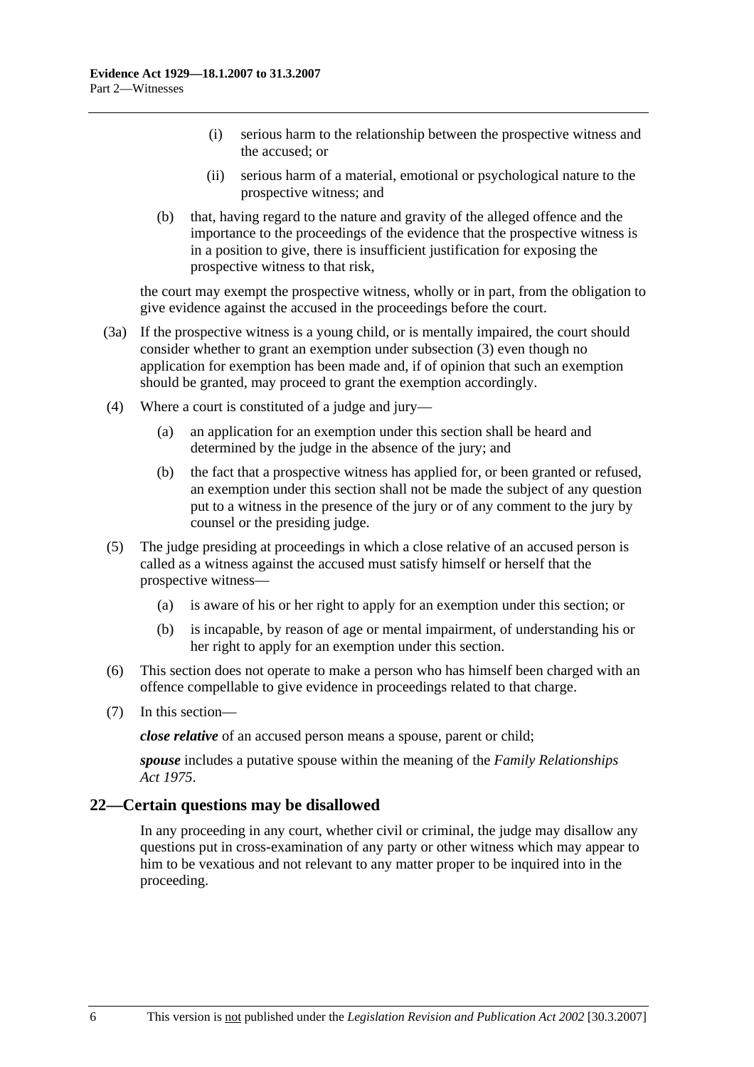- (i) serious harm to the relationship between the prospective witness and the accused; or
- (ii) serious harm of a material, emotional or psychological nature to the prospective witness; and
- (b) that, having regard to the nature and gravity of the alleged offence and the importance to the proceedings of the evidence that the prospective witness is in a position to give, there is insufficient justification for exposing the prospective witness to that risk,

the court may exempt the prospective witness, wholly or in part, from the obligation to give evidence against the accused in the proceedings before the court.

- (3a) If the prospective witness is a young child, or is mentally impaired, the court should consider whether to grant an exemption under subsection (3) even though no application for exemption has been made and, if of opinion that such an exemption should be granted, may proceed to grant the exemption accordingly.
- (4) Where a court is constituted of a judge and jury—
	- (a) an application for an exemption under this section shall be heard and determined by the judge in the absence of the jury; and
	- (b) the fact that a prospective witness has applied for, or been granted or refused, an exemption under this section shall not be made the subject of any question put to a witness in the presence of the jury or of any comment to the jury by counsel or the presiding judge.
- (5) The judge presiding at proceedings in which a close relative of an accused person is called as a witness against the accused must satisfy himself or herself that the prospective witness—
	- (a) is aware of his or her right to apply for an exemption under this section; or
	- (b) is incapable, by reason of age or mental impairment, of understanding his or her right to apply for an exemption under this section.
- (6) This section does not operate to make a person who has himself been charged with an offence compellable to give evidence in proceedings related to that charge.
- (7) In this section—

*close relative* of an accused person means a spouse, parent or child;

*spouse* includes a putative spouse within the meaning of the *Family Relationships Act 1975*.

#### **22—Certain questions may be disallowed**

In any proceeding in any court, whether civil or criminal, the judge may disallow any questions put in cross-examination of any party or other witness which may appear to him to be vexatious and not relevant to any matter proper to be inquired into in the proceeding.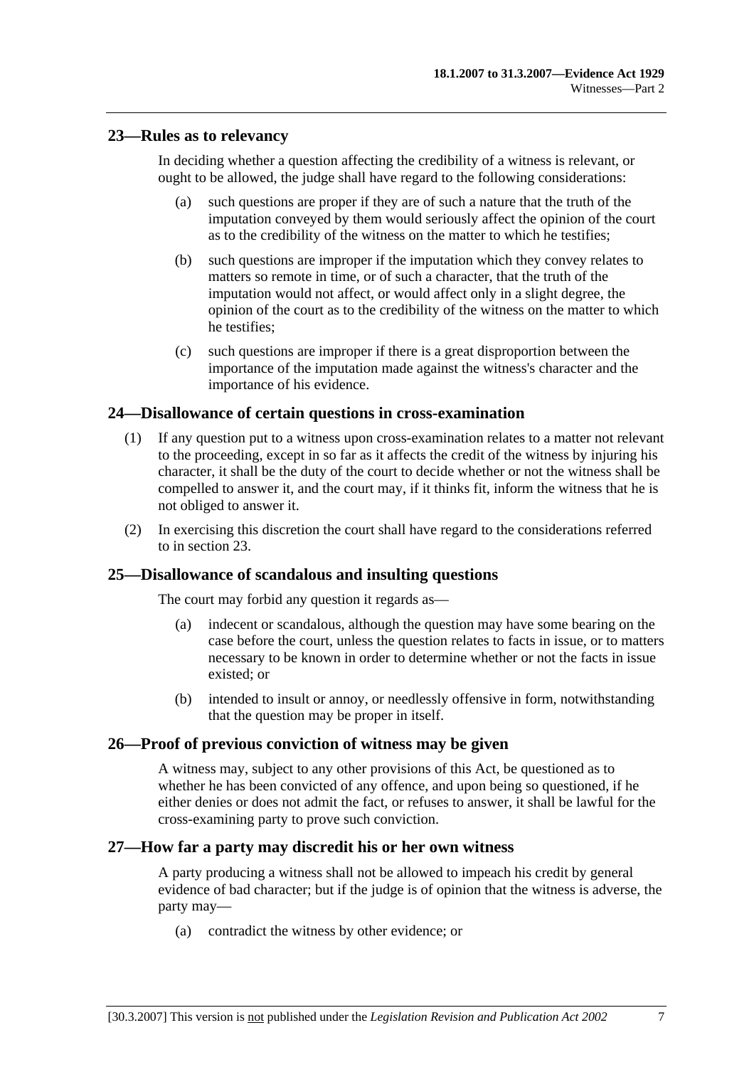# **23—Rules as to relevancy**

In deciding whether a question affecting the credibility of a witness is relevant, or ought to be allowed, the judge shall have regard to the following considerations:

- (a) such questions are proper if they are of such a nature that the truth of the imputation conveyed by them would seriously affect the opinion of the court as to the credibility of the witness on the matter to which he testifies;
- (b) such questions are improper if the imputation which they convey relates to matters so remote in time, or of such a character, that the truth of the imputation would not affect, or would affect only in a slight degree, the opinion of the court as to the credibility of the witness on the matter to which he testifies;
- (c) such questions are improper if there is a great disproportion between the importance of the imputation made against the witness's character and the importance of his evidence.

# **24—Disallowance of certain questions in cross-examination**

- (1) If any question put to a witness upon cross-examination relates to a matter not relevant to the proceeding, except in so far as it affects the credit of the witness by injuring his character, it shall be the duty of the court to decide whether or not the witness shall be compelled to answer it, and the court may, if it thinks fit, inform the witness that he is not obliged to answer it.
- (2) In exercising this discretion the court shall have regard to the considerations referred to in section 23.

# **25—Disallowance of scandalous and insulting questions**

The court may forbid any question it regards as—

- (a) indecent or scandalous, although the question may have some bearing on the case before the court, unless the question relates to facts in issue, or to matters necessary to be known in order to determine whether or not the facts in issue existed; or
- (b) intended to insult or annoy, or needlessly offensive in form, notwithstanding that the question may be proper in itself.

# **26—Proof of previous conviction of witness may be given**

A witness may, subject to any other provisions of this Act, be questioned as to whether he has been convicted of any offence, and upon being so questioned, if he either denies or does not admit the fact, or refuses to answer, it shall be lawful for the cross-examining party to prove such conviction.

#### **27—How far a party may discredit his or her own witness**

A party producing a witness shall not be allowed to impeach his credit by general evidence of bad character; but if the judge is of opinion that the witness is adverse, the party may—

(a) contradict the witness by other evidence; or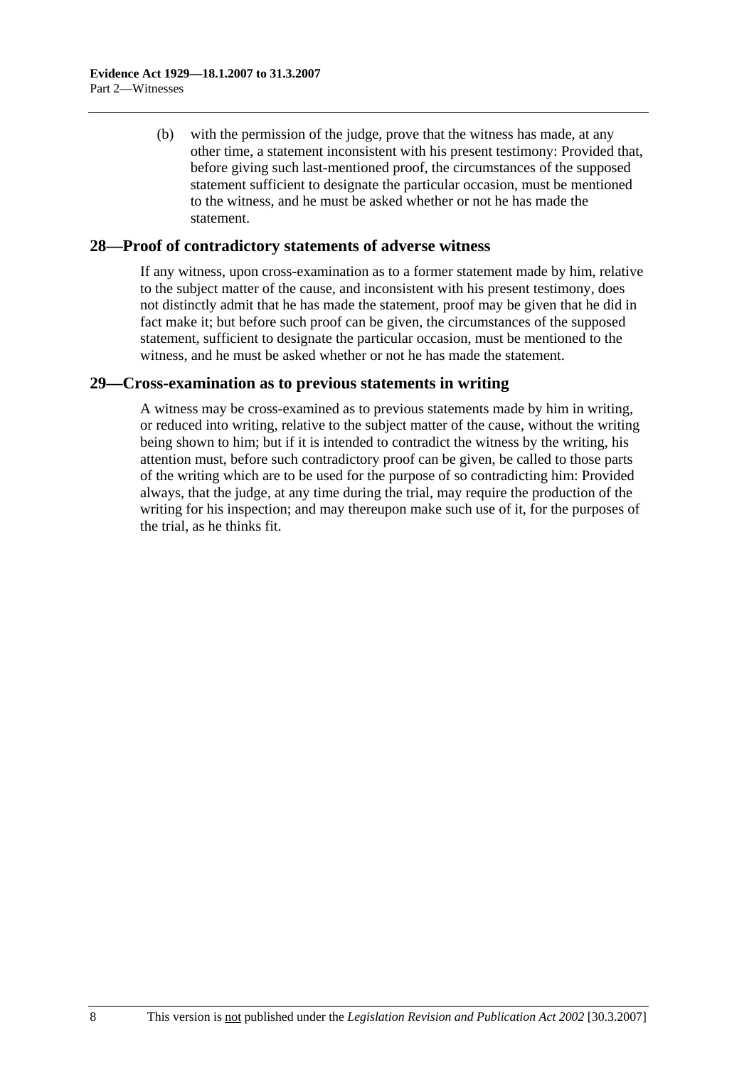(b) with the permission of the judge, prove that the witness has made, at any other time, a statement inconsistent with his present testimony: Provided that, before giving such last-mentioned proof, the circumstances of the supposed statement sufficient to designate the particular occasion, must be mentioned to the witness, and he must be asked whether or not he has made the statement.

#### **28—Proof of contradictory statements of adverse witness**

If any witness, upon cross-examination as to a former statement made by him, relative to the subject matter of the cause, and inconsistent with his present testimony, does not distinctly admit that he has made the statement, proof may be given that he did in fact make it; but before such proof can be given, the circumstances of the supposed statement, sufficient to designate the particular occasion, must be mentioned to the witness, and he must be asked whether or not he has made the statement.

#### **29—Cross-examination as to previous statements in writing**

A witness may be cross-examined as to previous statements made by him in writing, or reduced into writing, relative to the subject matter of the cause, without the writing being shown to him; but if it is intended to contradict the witness by the writing, his attention must, before such contradictory proof can be given, be called to those parts of the writing which are to be used for the purpose of so contradicting him: Provided always, that the judge, at any time during the trial, may require the production of the writing for his inspection; and may thereupon make such use of it, for the purposes of the trial, as he thinks fit.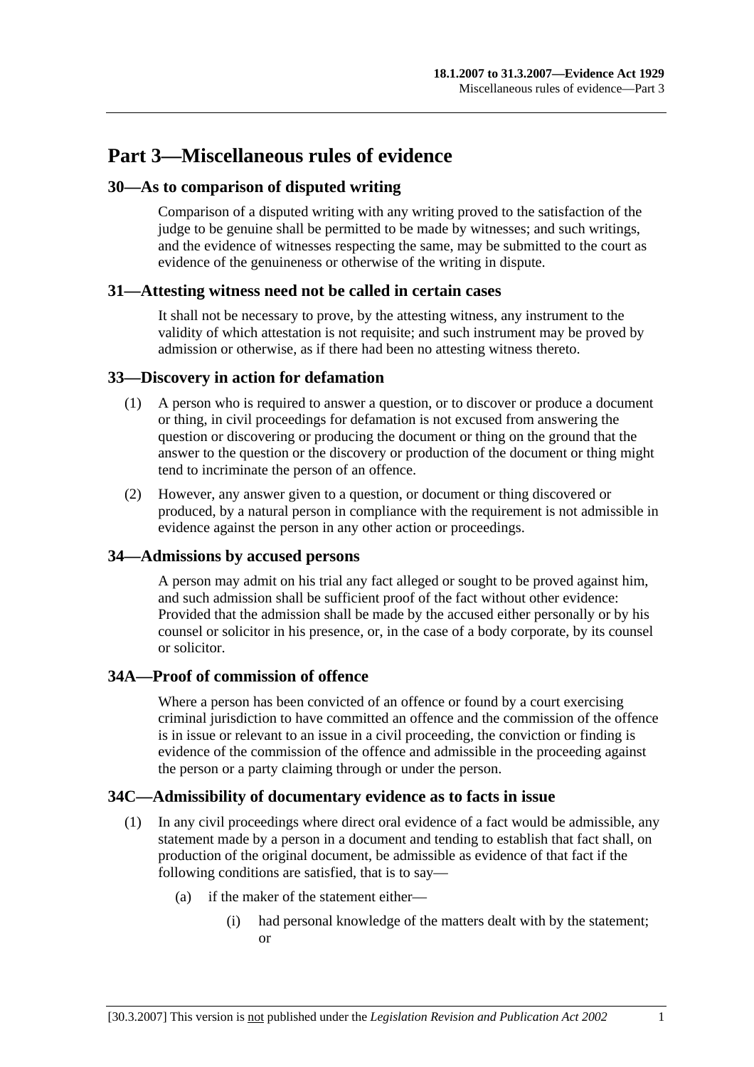# **Part 3—Miscellaneous rules of evidence**

# **30—As to comparison of disputed writing**

Comparison of a disputed writing with any writing proved to the satisfaction of the judge to be genuine shall be permitted to be made by witnesses; and such writings, and the evidence of witnesses respecting the same, may be submitted to the court as evidence of the genuineness or otherwise of the writing in dispute.

# **31—Attesting witness need not be called in certain cases**

It shall not be necessary to prove, by the attesting witness, any instrument to the validity of which attestation is not requisite; and such instrument may be proved by admission or otherwise, as if there had been no attesting witness thereto.

# **33—Discovery in action for defamation**

- (1) A person who is required to answer a question, or to discover or produce a document or thing, in civil proceedings for defamation is not excused from answering the question or discovering or producing the document or thing on the ground that the answer to the question or the discovery or production of the document or thing might tend to incriminate the person of an offence.
- (2) However, any answer given to a question, or document or thing discovered or produced, by a natural person in compliance with the requirement is not admissible in evidence against the person in any other action or proceedings.

# **34—Admissions by accused persons**

A person may admit on his trial any fact alleged or sought to be proved against him, and such admission shall be sufficient proof of the fact without other evidence: Provided that the admission shall be made by the accused either personally or by his counsel or solicitor in his presence, or, in the case of a body corporate, by its counsel or solicitor.

# **34A—Proof of commission of offence**

Where a person has been convicted of an offence or found by a court exercising criminal jurisdiction to have committed an offence and the commission of the offence is in issue or relevant to an issue in a civil proceeding, the conviction or finding is evidence of the commission of the offence and admissible in the proceeding against the person or a party claiming through or under the person.

# **34C—Admissibility of documentary evidence as to facts in issue**

- (1) In any civil proceedings where direct oral evidence of a fact would be admissible, any statement made by a person in a document and tending to establish that fact shall, on production of the original document, be admissible as evidence of that fact if the following conditions are satisfied, that is to say—
	- (a) if the maker of the statement either—
		- (i) had personal knowledge of the matters dealt with by the statement; or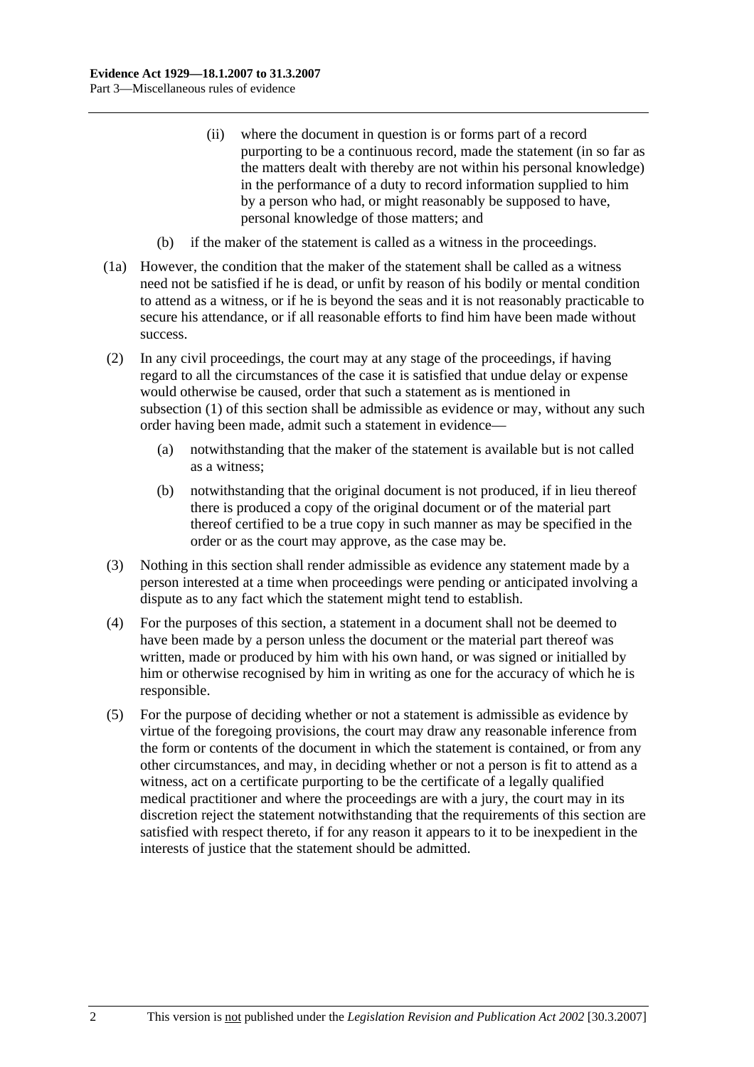- (ii) where the document in question is or forms part of a record purporting to be a continuous record, made the statement (in so far as the matters dealt with thereby are not within his personal knowledge) in the performance of a duty to record information supplied to him by a person who had, or might reasonably be supposed to have, personal knowledge of those matters; and
- (b) if the maker of the statement is called as a witness in the proceedings.
- (1a) However, the condition that the maker of the statement shall be called as a witness need not be satisfied if he is dead, or unfit by reason of his bodily or mental condition to attend as a witness, or if he is beyond the seas and it is not reasonably practicable to secure his attendance, or if all reasonable efforts to find him have been made without success.
- (2) In any civil proceedings, the court may at any stage of the proceedings, if having regard to all the circumstances of the case it is satisfied that undue delay or expense would otherwise be caused, order that such a statement as is mentioned in subsection (1) of this section shall be admissible as evidence or may, without any such order having been made, admit such a statement in evidence—
	- (a) notwithstanding that the maker of the statement is available but is not called as a witness;
	- (b) notwithstanding that the original document is not produced, if in lieu thereof there is produced a copy of the original document or of the material part thereof certified to be a true copy in such manner as may be specified in the order or as the court may approve, as the case may be.
- (3) Nothing in this section shall render admissible as evidence any statement made by a person interested at a time when proceedings were pending or anticipated involving a dispute as to any fact which the statement might tend to establish.
- (4) For the purposes of this section, a statement in a document shall not be deemed to have been made by a person unless the document or the material part thereof was written, made or produced by him with his own hand, or was signed or initialled by him or otherwise recognised by him in writing as one for the accuracy of which he is responsible.
- (5) For the purpose of deciding whether or not a statement is admissible as evidence by virtue of the foregoing provisions, the court may draw any reasonable inference from the form or contents of the document in which the statement is contained, or from any other circumstances, and may, in deciding whether or not a person is fit to attend as a witness, act on a certificate purporting to be the certificate of a legally qualified medical practitioner and where the proceedings are with a jury, the court may in its discretion reject the statement notwithstanding that the requirements of this section are satisfied with respect thereto, if for any reason it appears to it to be inexpedient in the interests of justice that the statement should be admitted.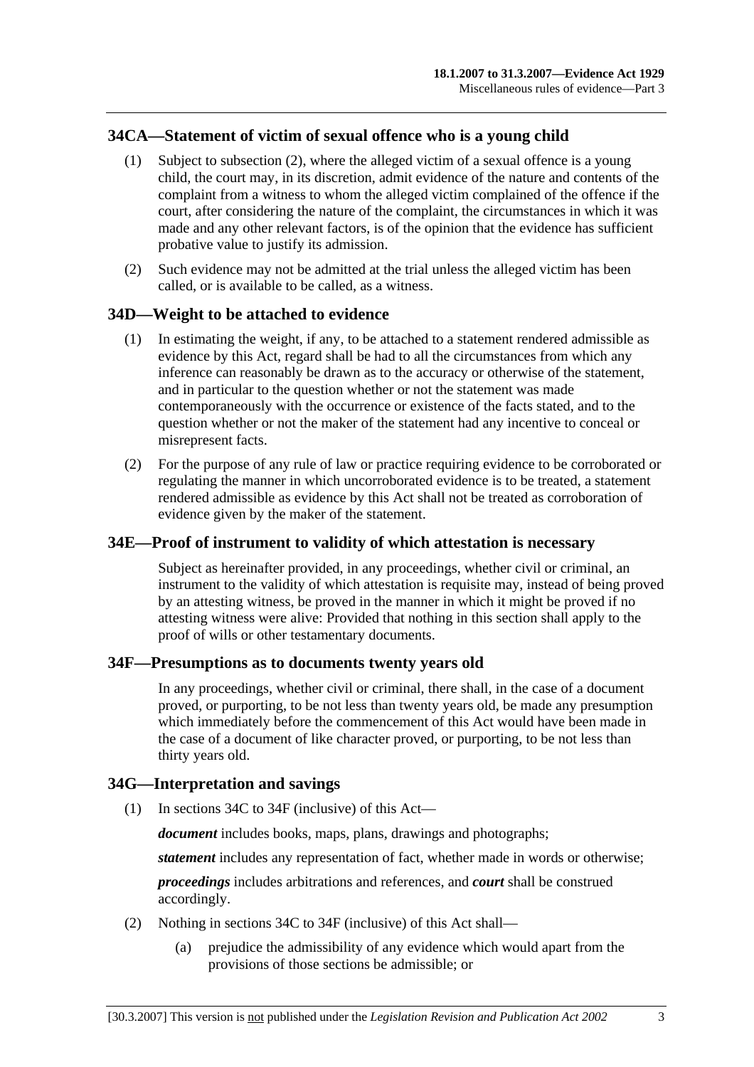# **34CA—Statement of victim of sexual offence who is a young child**

- (1) Subject to subsection (2), where the alleged victim of a sexual offence is a young child, the court may, in its discretion, admit evidence of the nature and contents of the complaint from a witness to whom the alleged victim complained of the offence if the court, after considering the nature of the complaint, the circumstances in which it was made and any other relevant factors, is of the opinion that the evidence has sufficient probative value to justify its admission.
- (2) Such evidence may not be admitted at the trial unless the alleged victim has been called, or is available to be called, as a witness.

#### **34D—Weight to be attached to evidence**

- (1) In estimating the weight, if any, to be attached to a statement rendered admissible as evidence by this Act, regard shall be had to all the circumstances from which any inference can reasonably be drawn as to the accuracy or otherwise of the statement, and in particular to the question whether or not the statement was made contemporaneously with the occurrence or existence of the facts stated, and to the question whether or not the maker of the statement had any incentive to conceal or misrepresent facts.
- (2) For the purpose of any rule of law or practice requiring evidence to be corroborated or regulating the manner in which uncorroborated evidence is to be treated, a statement rendered admissible as evidence by this Act shall not be treated as corroboration of evidence given by the maker of the statement.

# **34E—Proof of instrument to validity of which attestation is necessary**

Subject as hereinafter provided, in any proceedings, whether civil or criminal, an instrument to the validity of which attestation is requisite may, instead of being proved by an attesting witness, be proved in the manner in which it might be proved if no attesting witness were alive: Provided that nothing in this section shall apply to the proof of wills or other testamentary documents.

#### **34F—Presumptions as to documents twenty years old**

In any proceedings, whether civil or criminal, there shall, in the case of a document proved, or purporting, to be not less than twenty years old, be made any presumption which immediately before the commencement of this Act would have been made in the case of a document of like character proved, or purporting, to be not less than thirty years old.

#### **34G—Interpretation and savings**

(1) In sections 34C to 34F (inclusive) of this Act—

*document* includes books, maps, plans, drawings and photographs;

*statement* includes any representation of fact, whether made in words or otherwise;

*proceedings* includes arbitrations and references, and *court* shall be construed accordingly.

- (2) Nothing in sections 34C to 34F (inclusive) of this Act shall—
	- (a) prejudice the admissibility of any evidence which would apart from the provisions of those sections be admissible; or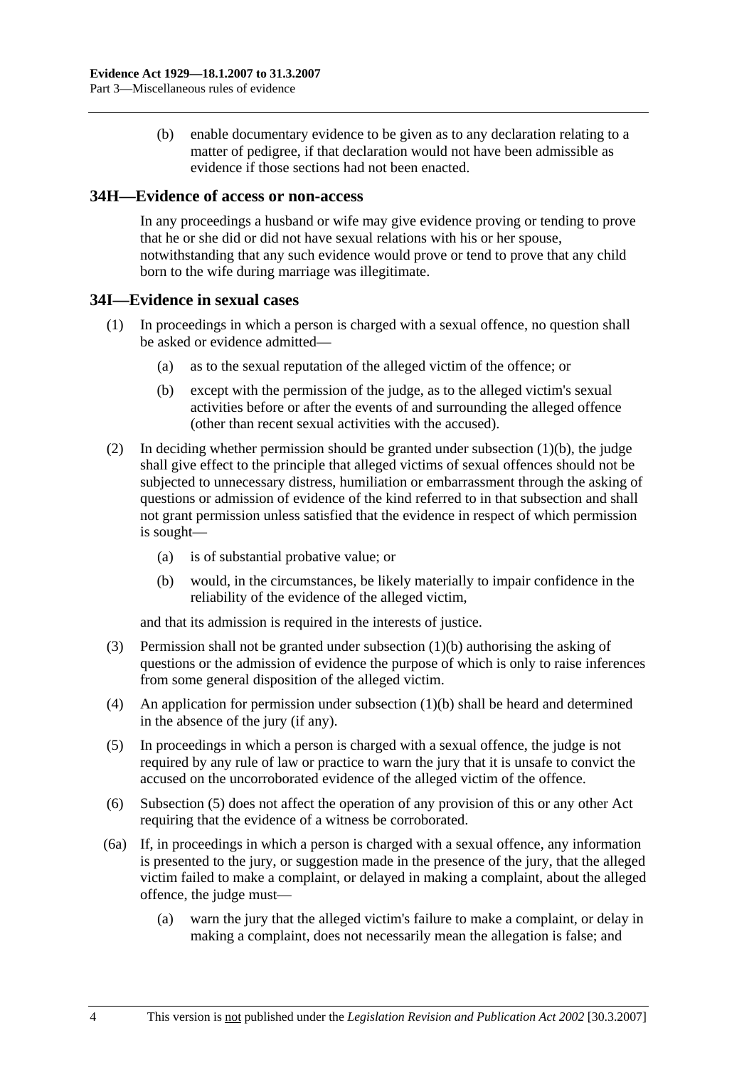(b) enable documentary evidence to be given as to any declaration relating to a matter of pedigree, if that declaration would not have been admissible as evidence if those sections had not been enacted.

#### **34H—Evidence of access or non-access**

In any proceedings a husband or wife may give evidence proving or tending to prove that he or she did or did not have sexual relations with his or her spouse, notwithstanding that any such evidence would prove or tend to prove that any child born to the wife during marriage was illegitimate.

#### **34I—Evidence in sexual cases**

- (1) In proceedings in which a person is charged with a sexual offence, no question shall be asked or evidence admitted—
	- (a) as to the sexual reputation of the alleged victim of the offence; or
	- (b) except with the permission of the judge, as to the alleged victim's sexual activities before or after the events of and surrounding the alleged offence (other than recent sexual activities with the accused).
- (2) In deciding whether permission should be granted under subsection  $(1)(b)$ , the judge shall give effect to the principle that alleged victims of sexual offences should not be subjected to unnecessary distress, humiliation or embarrassment through the asking of questions or admission of evidence of the kind referred to in that subsection and shall not grant permission unless satisfied that the evidence in respect of which permission is sought—
	- (a) is of substantial probative value; or
	- (b) would, in the circumstances, be likely materially to impair confidence in the reliability of the evidence of the alleged victim,

and that its admission is required in the interests of justice.

- (3) Permission shall not be granted under subsection (1)(b) authorising the asking of questions or the admission of evidence the purpose of which is only to raise inferences from some general disposition of the alleged victim.
- (4) An application for permission under subsection (1)(b) shall be heard and determined in the absence of the jury (if any).
- (5) In proceedings in which a person is charged with a sexual offence, the judge is not required by any rule of law or practice to warn the jury that it is unsafe to convict the accused on the uncorroborated evidence of the alleged victim of the offence.
- (6) Subsection (5) does not affect the operation of any provision of this or any other Act requiring that the evidence of a witness be corroborated.
- (6a) If, in proceedings in which a person is charged with a sexual offence, any information is presented to the jury, or suggestion made in the presence of the jury, that the alleged victim failed to make a complaint, or delayed in making a complaint, about the alleged offence, the judge must—
	- (a) warn the jury that the alleged victim's failure to make a complaint, or delay in making a complaint, does not necessarily mean the allegation is false; and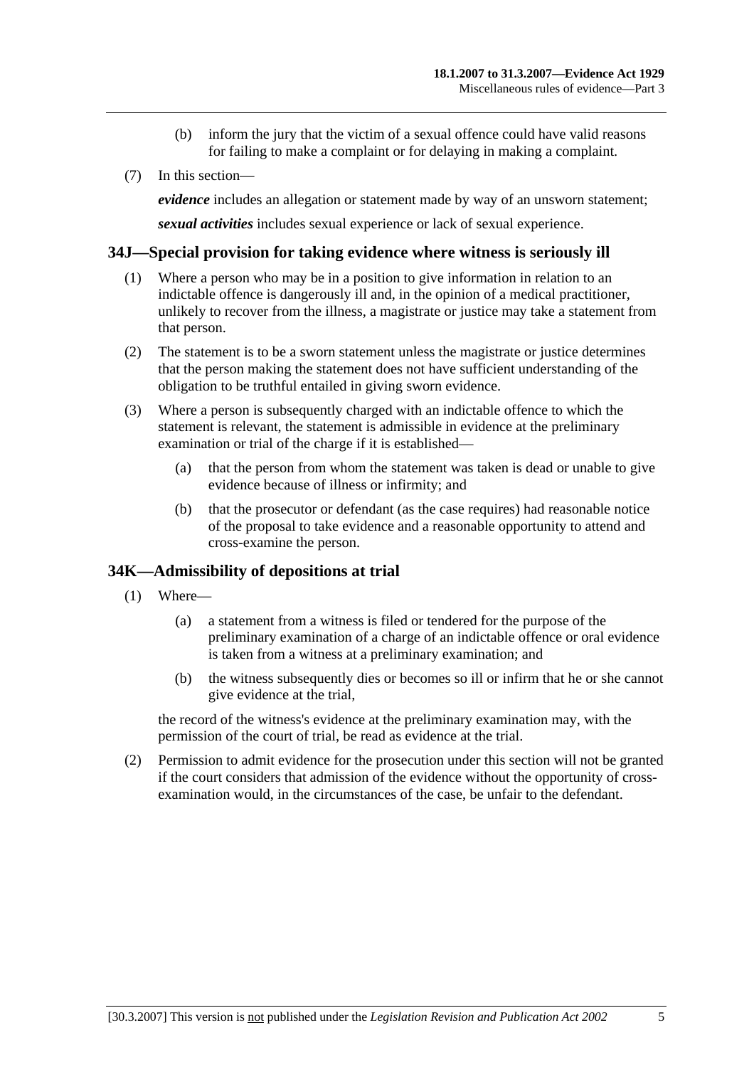- (b) inform the jury that the victim of a sexual offence could have valid reasons for failing to make a complaint or for delaying in making a complaint.
- (7) In this section—

*evidence* includes an allegation or statement made by way of an unsworn statement;

*sexual activities* includes sexual experience or lack of sexual experience.

#### **34J—Special provision for taking evidence where witness is seriously ill**

- (1) Where a person who may be in a position to give information in relation to an indictable offence is dangerously ill and, in the opinion of a medical practitioner, unlikely to recover from the illness, a magistrate or justice may take a statement from that person.
- (2) The statement is to be a sworn statement unless the magistrate or justice determines that the person making the statement does not have sufficient understanding of the obligation to be truthful entailed in giving sworn evidence.
- (3) Where a person is subsequently charged with an indictable offence to which the statement is relevant, the statement is admissible in evidence at the preliminary examination or trial of the charge if it is established—
	- (a) that the person from whom the statement was taken is dead or unable to give evidence because of illness or infirmity; and
	- (b) that the prosecutor or defendant (as the case requires) had reasonable notice of the proposal to take evidence and a reasonable opportunity to attend and cross-examine the person.

# **34K—Admissibility of depositions at trial**

- (1) Where—
	- (a) a statement from a witness is filed or tendered for the purpose of the preliminary examination of a charge of an indictable offence or oral evidence is taken from a witness at a preliminary examination; and
	- (b) the witness subsequently dies or becomes so ill or infirm that he or she cannot give evidence at the trial,

the record of the witness's evidence at the preliminary examination may, with the permission of the court of trial, be read as evidence at the trial.

 (2) Permission to admit evidence for the prosecution under this section will not be granted if the court considers that admission of the evidence without the opportunity of crossexamination would, in the circumstances of the case, be unfair to the defendant.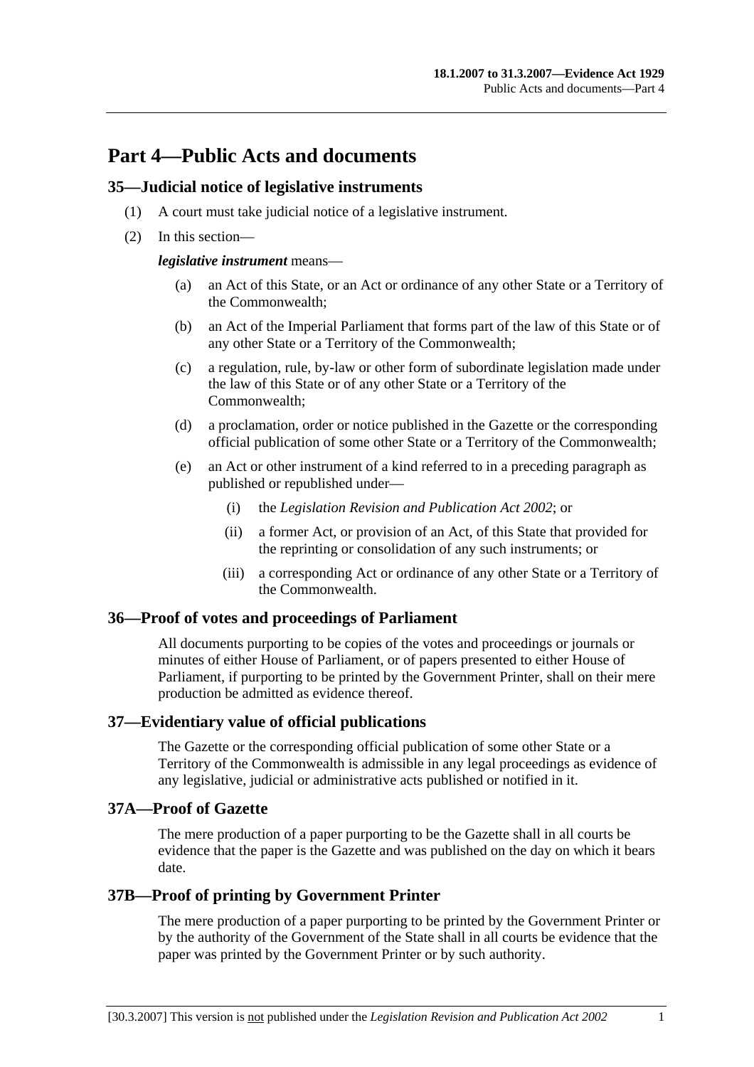# **Part 4—Public Acts and documents**

#### **35—Judicial notice of legislative instruments**

- (1) A court must take judicial notice of a legislative instrument.
- (2) In this section—

#### *legislative instrument* means—

- (a) an Act of this State, or an Act or ordinance of any other State or a Territory of the Commonwealth;
- (b) an Act of the Imperial Parliament that forms part of the law of this State or of any other State or a Territory of the Commonwealth;
- (c) a regulation, rule, by-law or other form of subordinate legislation made under the law of this State or of any other State or a Territory of the Commonwealth;
- (d) a proclamation, order or notice published in the Gazette or the corresponding official publication of some other State or a Territory of the Commonwealth;
- (e) an Act or other instrument of a kind referred to in a preceding paragraph as published or republished under—
	- (i) the *Legislation Revision and Publication Act 2002*; or
	- (ii) a former Act, or provision of an Act, of this State that provided for the reprinting or consolidation of any such instruments; or
	- (iii) a corresponding Act or ordinance of any other State or a Territory of the Commonwealth.

# **36—Proof of votes and proceedings of Parliament**

All documents purporting to be copies of the votes and proceedings or journals or minutes of either House of Parliament, or of papers presented to either House of Parliament, if purporting to be printed by the Government Printer, shall on their mere production be admitted as evidence thereof.

#### **37—Evidentiary value of official publications**

The Gazette or the corresponding official publication of some other State or a Territory of the Commonwealth is admissible in any legal proceedings as evidence of any legislative, judicial or administrative acts published or notified in it.

#### **37A—Proof of Gazette**

The mere production of a paper purporting to be the Gazette shall in all courts be evidence that the paper is the Gazette and was published on the day on which it bears date.

# **37B—Proof of printing by Government Printer**

The mere production of a paper purporting to be printed by the Government Printer or by the authority of the Government of the State shall in all courts be evidence that the paper was printed by the Government Printer or by such authority.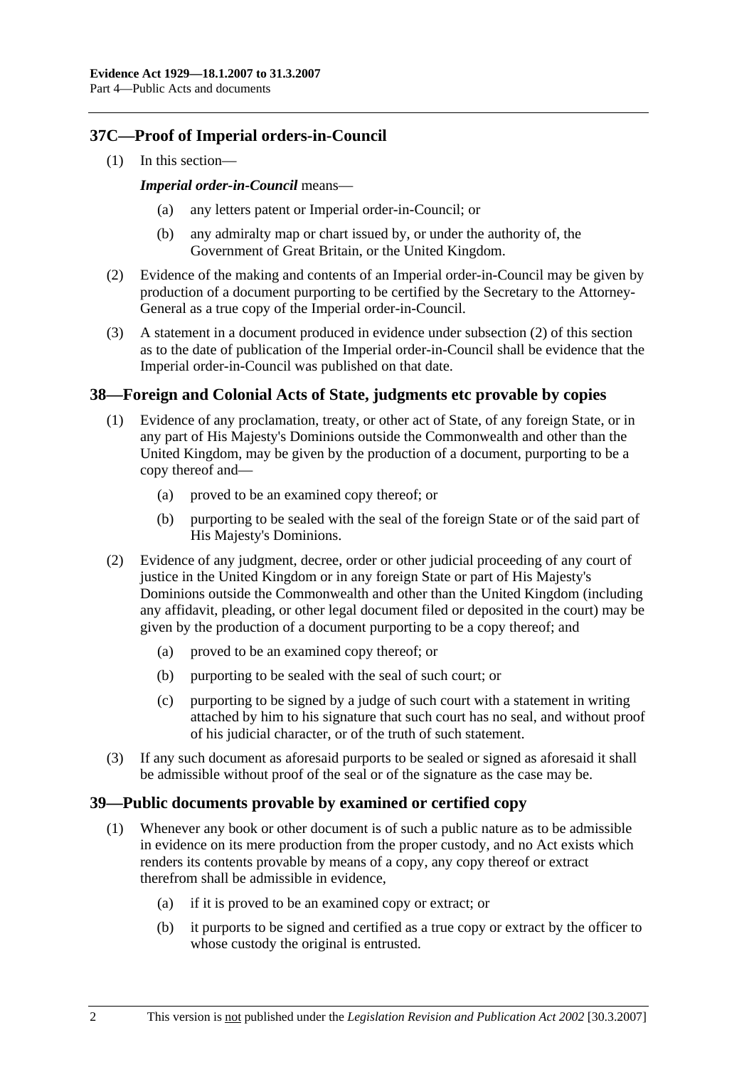# **37C—Proof of Imperial orders-in-Council**

(1) In this section—

#### *Imperial order-in-Council* means—

- any letters patent or Imperial order-in-Council; or
- (b) any admiralty map or chart issued by, or under the authority of, the Government of Great Britain, or the United Kingdom.
- (2) Evidence of the making and contents of an Imperial order-in-Council may be given by production of a document purporting to be certified by the Secretary to the Attorney-General as a true copy of the Imperial order-in-Council.
- (3) A statement in a document produced in evidence under subsection (2) of this section as to the date of publication of the Imperial order-in-Council shall be evidence that the Imperial order-in-Council was published on that date.

# **38—Foreign and Colonial Acts of State, judgments etc provable by copies**

- (1) Evidence of any proclamation, treaty, or other act of State, of any foreign State, or in any part of His Majesty's Dominions outside the Commonwealth and other than the United Kingdom, may be given by the production of a document, purporting to be a copy thereof and—
	- (a) proved to be an examined copy thereof; or
	- (b) purporting to be sealed with the seal of the foreign State or of the said part of His Majesty's Dominions.
- (2) Evidence of any judgment, decree, order or other judicial proceeding of any court of justice in the United Kingdom or in any foreign State or part of His Majesty's Dominions outside the Commonwealth and other than the United Kingdom (including any affidavit, pleading, or other legal document filed or deposited in the court) may be given by the production of a document purporting to be a copy thereof; and
	- (a) proved to be an examined copy thereof; or
	- (b) purporting to be sealed with the seal of such court; or
	- (c) purporting to be signed by a judge of such court with a statement in writing attached by him to his signature that such court has no seal, and without proof of his judicial character, or of the truth of such statement.
- (3) If any such document as aforesaid purports to be sealed or signed as aforesaid it shall be admissible without proof of the seal or of the signature as the case may be.

# **39—Public documents provable by examined or certified copy**

- (1) Whenever any book or other document is of such a public nature as to be admissible in evidence on its mere production from the proper custody, and no Act exists which renders its contents provable by means of a copy, any copy thereof or extract therefrom shall be admissible in evidence,
	- (a) if it is proved to be an examined copy or extract; or
	- (b) it purports to be signed and certified as a true copy or extract by the officer to whose custody the original is entrusted.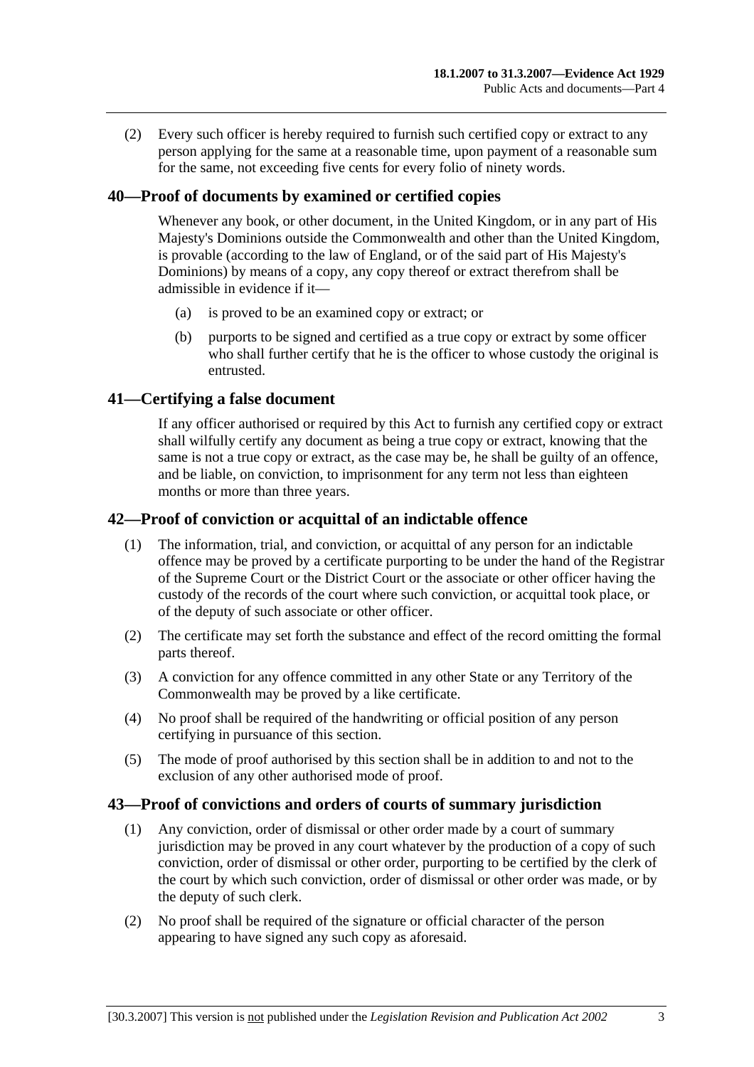(2) Every such officer is hereby required to furnish such certified copy or extract to any person applying for the same at a reasonable time, upon payment of a reasonable sum for the same, not exceeding five cents for every folio of ninety words.

# **40—Proof of documents by examined or certified copies**

Whenever any book, or other document, in the United Kingdom, or in any part of His Majesty's Dominions outside the Commonwealth and other than the United Kingdom, is provable (according to the law of England, or of the said part of His Majesty's Dominions) by means of a copy, any copy thereof or extract therefrom shall be admissible in evidence if it—

- (a) is proved to be an examined copy or extract; or
- (b) purports to be signed and certified as a true copy or extract by some officer who shall further certify that he is the officer to whose custody the original is entrusted.

#### **41—Certifying a false document**

If any officer authorised or required by this Act to furnish any certified copy or extract shall wilfully certify any document as being a true copy or extract, knowing that the same is not a true copy or extract, as the case may be, he shall be guilty of an offence, and be liable, on conviction, to imprisonment for any term not less than eighteen months or more than three years.

# **42—Proof of conviction or acquittal of an indictable offence**

- (1) The information, trial, and conviction, or acquittal of any person for an indictable offence may be proved by a certificate purporting to be under the hand of the Registrar of the Supreme Court or the District Court or the associate or other officer having the custody of the records of the court where such conviction, or acquittal took place, or of the deputy of such associate or other officer.
- (2) The certificate may set forth the substance and effect of the record omitting the formal parts thereof.
- (3) A conviction for any offence committed in any other State or any Territory of the Commonwealth may be proved by a like certificate.
- (4) No proof shall be required of the handwriting or official position of any person certifying in pursuance of this section.
- (5) The mode of proof authorised by this section shall be in addition to and not to the exclusion of any other authorised mode of proof.

#### **43—Proof of convictions and orders of courts of summary jurisdiction**

- (1) Any conviction, order of dismissal or other order made by a court of summary jurisdiction may be proved in any court whatever by the production of a copy of such conviction, order of dismissal or other order, purporting to be certified by the clerk of the court by which such conviction, order of dismissal or other order was made, or by the deputy of such clerk.
- (2) No proof shall be required of the signature or official character of the person appearing to have signed any such copy as aforesaid.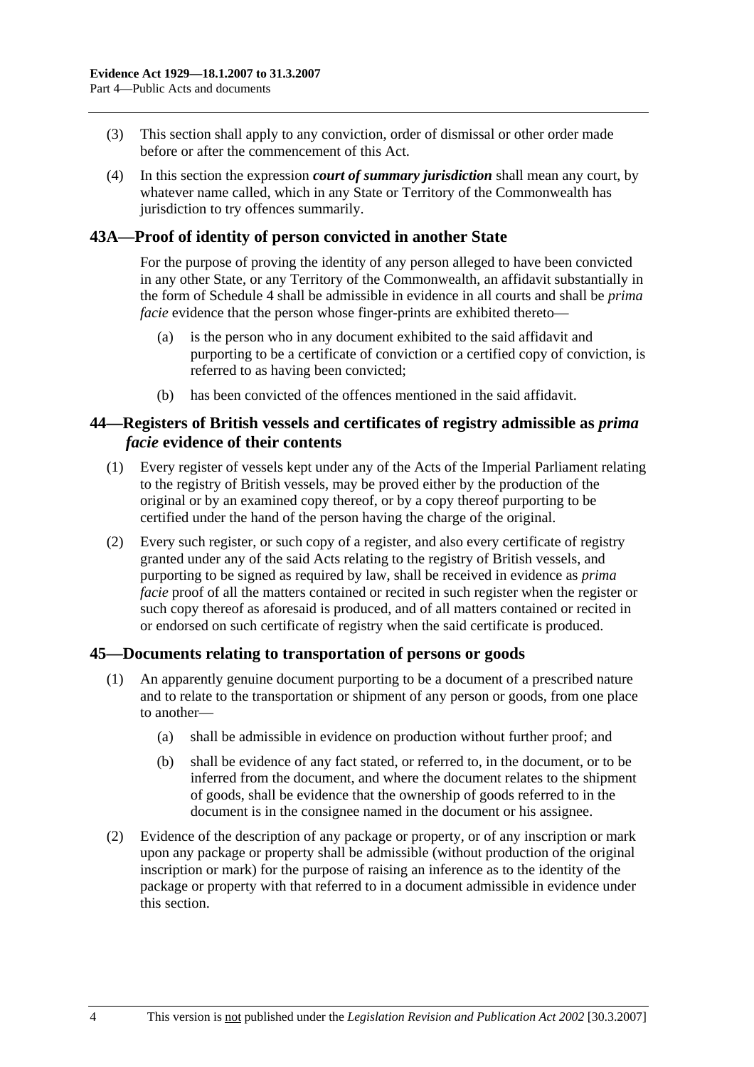- (3) This section shall apply to any conviction, order of dismissal or other order made before or after the commencement of this Act.
- (4) In this section the expression *court of summary jurisdiction* shall mean any court, by whatever name called, which in any State or Territory of the Commonwealth has jurisdiction to try offences summarily.

# **43A—Proof of identity of person convicted in another State**

For the purpose of proving the identity of any person alleged to have been convicted in any other State, or any Territory of the Commonwealth, an affidavit substantially in the form of Schedule 4 shall be admissible in evidence in all courts and shall be *prima facie* evidence that the person whose finger-prints are exhibited thereto—

- (a) is the person who in any document exhibited to the said affidavit and purporting to be a certificate of conviction or a certified copy of conviction, is referred to as having been convicted;
- (b) has been convicted of the offences mentioned in the said affidavit.

# **44—Registers of British vessels and certificates of registry admissible as** *prima facie* **evidence of their contents**

- (1) Every register of vessels kept under any of the Acts of the Imperial Parliament relating to the registry of British vessels, may be proved either by the production of the original or by an examined copy thereof, or by a copy thereof purporting to be certified under the hand of the person having the charge of the original.
- (2) Every such register, or such copy of a register, and also every certificate of registry granted under any of the said Acts relating to the registry of British vessels, and purporting to be signed as required by law, shall be received in evidence as *prima facie* proof of all the matters contained or recited in such register when the register or such copy thereof as aforesaid is produced, and of all matters contained or recited in or endorsed on such certificate of registry when the said certificate is produced.

# **45—Documents relating to transportation of persons or goods**

- (1) An apparently genuine document purporting to be a document of a prescribed nature and to relate to the transportation or shipment of any person or goods, from one place to another—
	- (a) shall be admissible in evidence on production without further proof; and
	- (b) shall be evidence of any fact stated, or referred to, in the document, or to be inferred from the document, and where the document relates to the shipment of goods, shall be evidence that the ownership of goods referred to in the document is in the consignee named in the document or his assignee.
- (2) Evidence of the description of any package or property, or of any inscription or mark upon any package or property shall be admissible (without production of the original inscription or mark) for the purpose of raising an inference as to the identity of the package or property with that referred to in a document admissible in evidence under this section.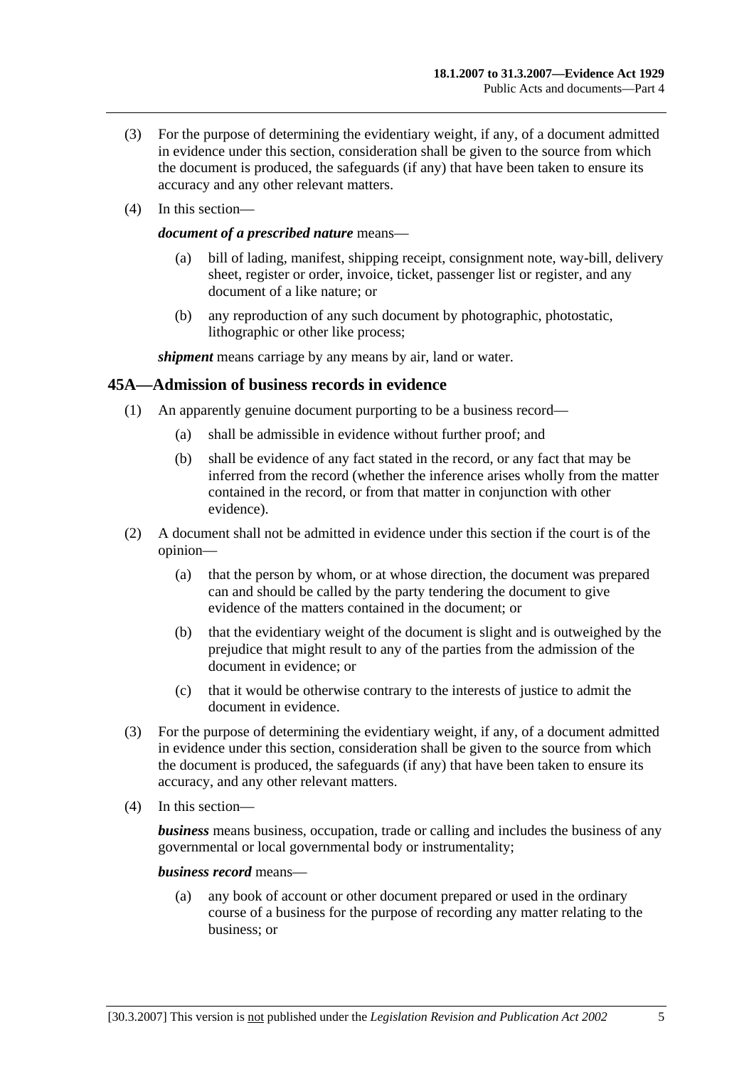- (3) For the purpose of determining the evidentiary weight, if any, of a document admitted in evidence under this section, consideration shall be given to the source from which the document is produced, the safeguards (if any) that have been taken to ensure its accuracy and any other relevant matters.
- (4) In this section—

#### *document of a prescribed nature* means—

- (a) bill of lading, manifest, shipping receipt, consignment note, way-bill, delivery sheet, register or order, invoice, ticket, passenger list or register, and any document of a like nature; or
- (b) any reproduction of any such document by photographic, photostatic, lithographic or other like process;

*shipment* means carriage by any means by air, land or water.

#### **45A—Admission of business records in evidence**

- (1) An apparently genuine document purporting to be a business record—
	- (a) shall be admissible in evidence without further proof; and
	- (b) shall be evidence of any fact stated in the record, or any fact that may be inferred from the record (whether the inference arises wholly from the matter contained in the record, or from that matter in conjunction with other evidence).
- (2) A document shall not be admitted in evidence under this section if the court is of the opinion—
	- (a) that the person by whom, or at whose direction, the document was prepared can and should be called by the party tendering the document to give evidence of the matters contained in the document; or
	- (b) that the evidentiary weight of the document is slight and is outweighed by the prejudice that might result to any of the parties from the admission of the document in evidence; or
	- (c) that it would be otherwise contrary to the interests of justice to admit the document in evidence.
- (3) For the purpose of determining the evidentiary weight, if any, of a document admitted in evidence under this section, consideration shall be given to the source from which the document is produced, the safeguards (if any) that have been taken to ensure its accuracy, and any other relevant matters.
- (4) In this section—

*business* means business, occupation, trade or calling and includes the business of any governmental or local governmental body or instrumentality;

#### *business record* means—

 (a) any book of account or other document prepared or used in the ordinary course of a business for the purpose of recording any matter relating to the business; or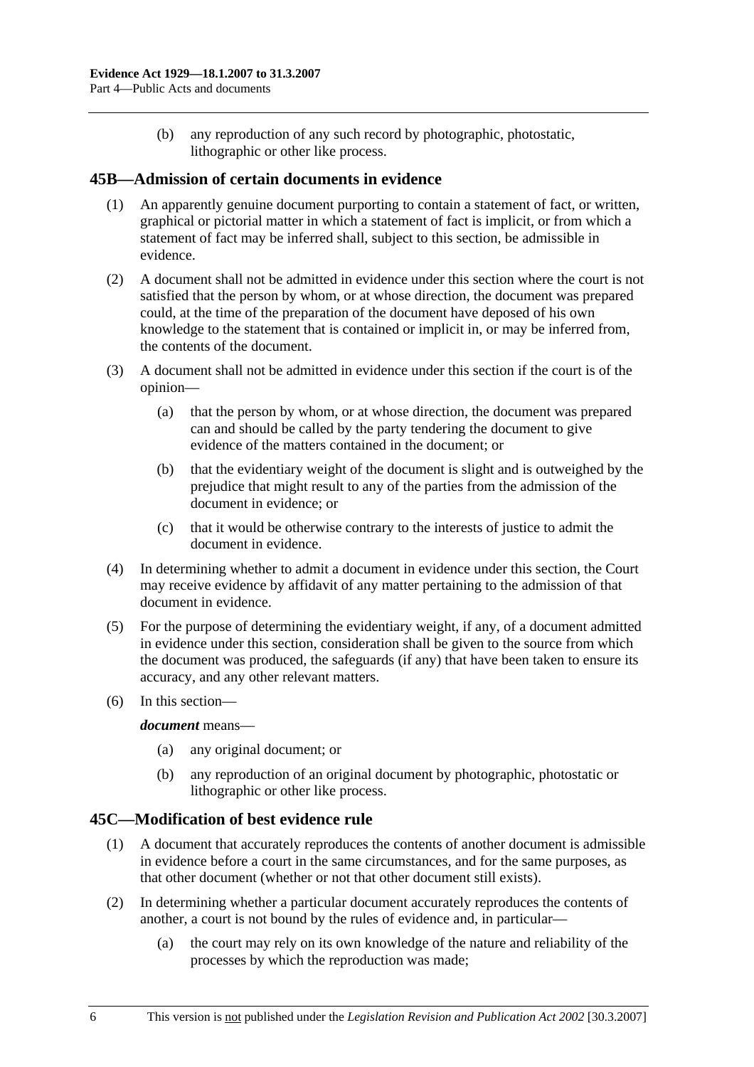(b) any reproduction of any such record by photographic, photostatic, lithographic or other like process.

# **45B—Admission of certain documents in evidence**

- (1) An apparently genuine document purporting to contain a statement of fact, or written, graphical or pictorial matter in which a statement of fact is implicit, or from which a statement of fact may be inferred shall, subject to this section, be admissible in evidence.
- (2) A document shall not be admitted in evidence under this section where the court is not satisfied that the person by whom, or at whose direction, the document was prepared could, at the time of the preparation of the document have deposed of his own knowledge to the statement that is contained or implicit in, or may be inferred from, the contents of the document.
- (3) A document shall not be admitted in evidence under this section if the court is of the opinion—
	- (a) that the person by whom, or at whose direction, the document was prepared can and should be called by the party tendering the document to give evidence of the matters contained in the document; or
	- (b) that the evidentiary weight of the document is slight and is outweighed by the prejudice that might result to any of the parties from the admission of the document in evidence; or
	- (c) that it would be otherwise contrary to the interests of justice to admit the document in evidence.
- (4) In determining whether to admit a document in evidence under this section, the Court may receive evidence by affidavit of any matter pertaining to the admission of that document in evidence.
- (5) For the purpose of determining the evidentiary weight, if any, of a document admitted in evidence under this section, consideration shall be given to the source from which the document was produced, the safeguards (if any) that have been taken to ensure its accuracy, and any other relevant matters.
- (6) In this section—

#### *document* means—

- (a) any original document; or
- (b) any reproduction of an original document by photographic, photostatic or lithographic or other like process.

# **45C—Modification of best evidence rule**

- (1) A document that accurately reproduces the contents of another document is admissible in evidence before a court in the same circumstances, and for the same purposes, as that other document (whether or not that other document still exists).
- (2) In determining whether a particular document accurately reproduces the contents of another, a court is not bound by the rules of evidence and, in particular—
	- (a) the court may rely on its own knowledge of the nature and reliability of the processes by which the reproduction was made;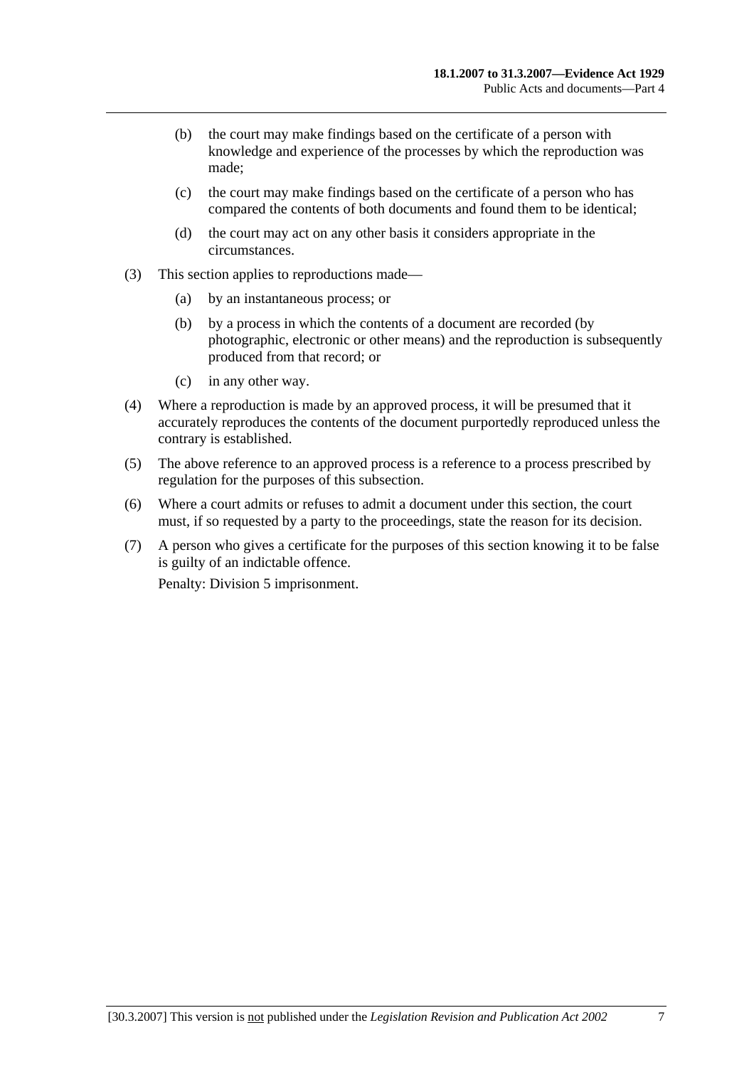- (b) the court may make findings based on the certificate of a person with knowledge and experience of the processes by which the reproduction was made;
- (c) the court may make findings based on the certificate of a person who has compared the contents of both documents and found them to be identical;
- (d) the court may act on any other basis it considers appropriate in the circumstances.
- (3) This section applies to reproductions made—
	- (a) by an instantaneous process; or
	- (b) by a process in which the contents of a document are recorded (by photographic, electronic or other means) and the reproduction is subsequently produced from that record; or
	- (c) in any other way.
- (4) Where a reproduction is made by an approved process, it will be presumed that it accurately reproduces the contents of the document purportedly reproduced unless the contrary is established.
- (5) The above reference to an approved process is a reference to a process prescribed by regulation for the purposes of this subsection.
- (6) Where a court admits or refuses to admit a document under this section, the court must, if so requested by a party to the proceedings, state the reason for its decision.
- (7) A person who gives a certificate for the purposes of this section knowing it to be false is guilty of an indictable offence.

Penalty: Division 5 imprisonment.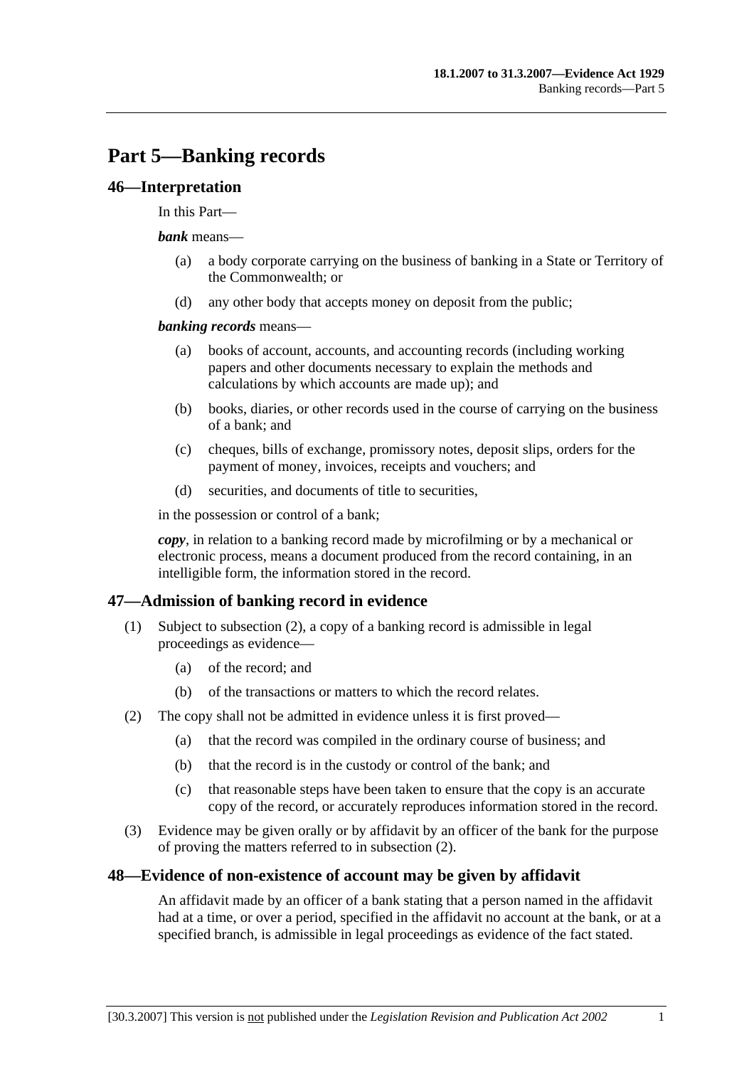# **Part 5—Banking records**

#### **46—Interpretation**

#### In this Part—

#### *bank* means—

- (a) a body corporate carrying on the business of banking in a State or Territory of the Commonwealth; or
- (d) any other body that accepts money on deposit from the public;

#### *banking records* means—

- (a) books of account, accounts, and accounting records (including working papers and other documents necessary to explain the methods and calculations by which accounts are made up); and
- (b) books, diaries, or other records used in the course of carrying on the business of a bank; and
- (c) cheques, bills of exchange, promissory notes, deposit slips, orders for the payment of money, invoices, receipts and vouchers; and
- (d) securities, and documents of title to securities,

in the possession or control of a bank;

*copy*, in relation to a banking record made by microfilming or by a mechanical or electronic process, means a document produced from the record containing, in an intelligible form, the information stored in the record.

# **47—Admission of banking record in evidence**

- (1) Subject to subsection (2), a copy of a banking record is admissible in legal proceedings as evidence—
	- (a) of the record; and
	- (b) of the transactions or matters to which the record relates.
- (2) The copy shall not be admitted in evidence unless it is first proved—
	- (a) that the record was compiled in the ordinary course of business; and
	- (b) that the record is in the custody or control of the bank; and
	- (c) that reasonable steps have been taken to ensure that the copy is an accurate copy of the record, or accurately reproduces information stored in the record.
- (3) Evidence may be given orally or by affidavit by an officer of the bank for the purpose of proving the matters referred to in subsection (2).

#### **48—Evidence of non-existence of account may be given by affidavit**

An affidavit made by an officer of a bank stating that a person named in the affidavit had at a time, or over a period, specified in the affidavit no account at the bank, or at a specified branch, is admissible in legal proceedings as evidence of the fact stated.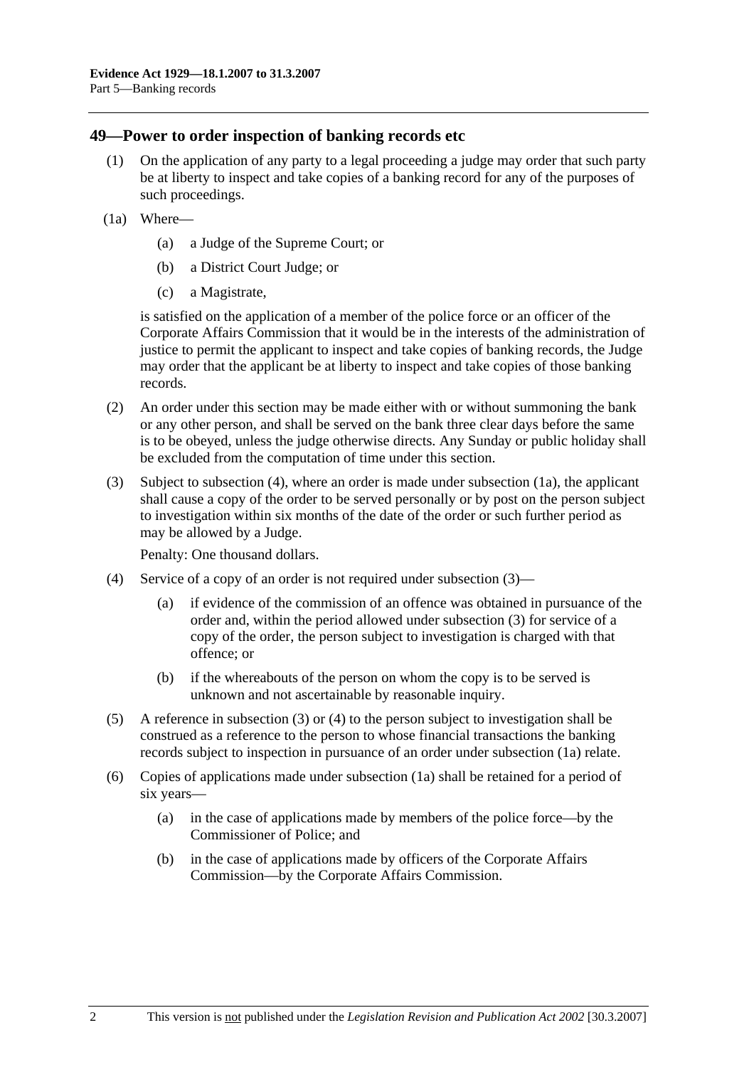#### **49—Power to order inspection of banking records etc**

- (1) On the application of any party to a legal proceeding a judge may order that such party be at liberty to inspect and take copies of a banking record for any of the purposes of such proceedings.
- (1a) Where—
	- (a) a Judge of the Supreme Court; or
	- (b) a District Court Judge; or
	- (c) a Magistrate,

is satisfied on the application of a member of the police force or an officer of the Corporate Affairs Commission that it would be in the interests of the administration of justice to permit the applicant to inspect and take copies of banking records, the Judge may order that the applicant be at liberty to inspect and take copies of those banking records.

- (2) An order under this section may be made either with or without summoning the bank or any other person, and shall be served on the bank three clear days before the same is to be obeyed, unless the judge otherwise directs. Any Sunday or public holiday shall be excluded from the computation of time under this section.
- (3) Subject to subsection (4), where an order is made under subsection (1a), the applicant shall cause a copy of the order to be served personally or by post on the person subject to investigation within six months of the date of the order or such further period as may be allowed by a Judge.

Penalty: One thousand dollars.

- (4) Service of a copy of an order is not required under subsection (3)—
	- (a) if evidence of the commission of an offence was obtained in pursuance of the order and, within the period allowed under subsection (3) for service of a copy of the order, the person subject to investigation is charged with that offence; or
	- (b) if the whereabouts of the person on whom the copy is to be served is unknown and not ascertainable by reasonable inquiry.
- (5) A reference in subsection (3) or (4) to the person subject to investigation shall be construed as a reference to the person to whose financial transactions the banking records subject to inspection in pursuance of an order under subsection (1a) relate.
- (6) Copies of applications made under subsection (1a) shall be retained for a period of six years—
	- (a) in the case of applications made by members of the police force—by the Commissioner of Police; and
	- (b) in the case of applications made by officers of the Corporate Affairs Commission—by the Corporate Affairs Commission.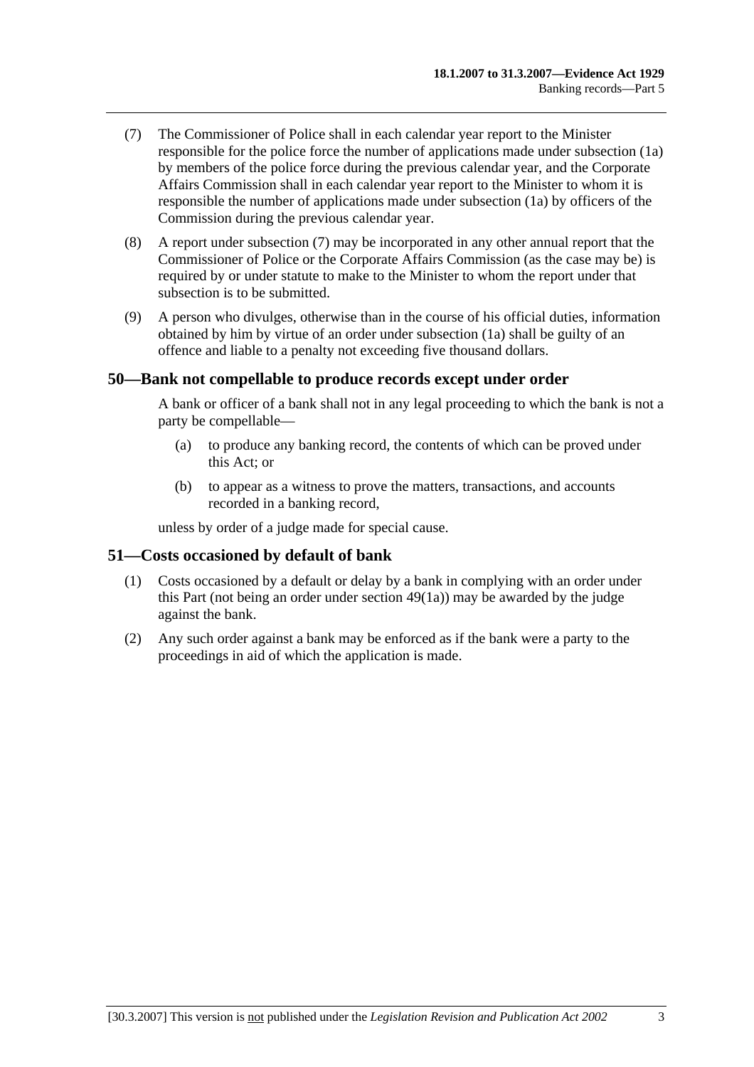- (7) The Commissioner of Police shall in each calendar year report to the Minister responsible for the police force the number of applications made under subsection (1a) by members of the police force during the previous calendar year, and the Corporate Affairs Commission shall in each calendar year report to the Minister to whom it is responsible the number of applications made under subsection (1a) by officers of the Commission during the previous calendar year.
- (8) A report under subsection (7) may be incorporated in any other annual report that the Commissioner of Police or the Corporate Affairs Commission (as the case may be) is required by or under statute to make to the Minister to whom the report under that subsection is to be submitted.
- (9) A person who divulges, otherwise than in the course of his official duties, information obtained by him by virtue of an order under subsection (1a) shall be guilty of an offence and liable to a penalty not exceeding five thousand dollars.

#### **50—Bank not compellable to produce records except under order**

A bank or officer of a bank shall not in any legal proceeding to which the bank is not a party be compellable—

- (a) to produce any banking record, the contents of which can be proved under this Act; or
- (b) to appear as a witness to prove the matters, transactions, and accounts recorded in a banking record,

unless by order of a judge made for special cause.

#### **51—Costs occasioned by default of bank**

- (1) Costs occasioned by a default or delay by a bank in complying with an order under this Part (not being an order under section 49(1a)) may be awarded by the judge against the bank.
- (2) Any such order against a bank may be enforced as if the bank were a party to the proceedings in aid of which the application is made.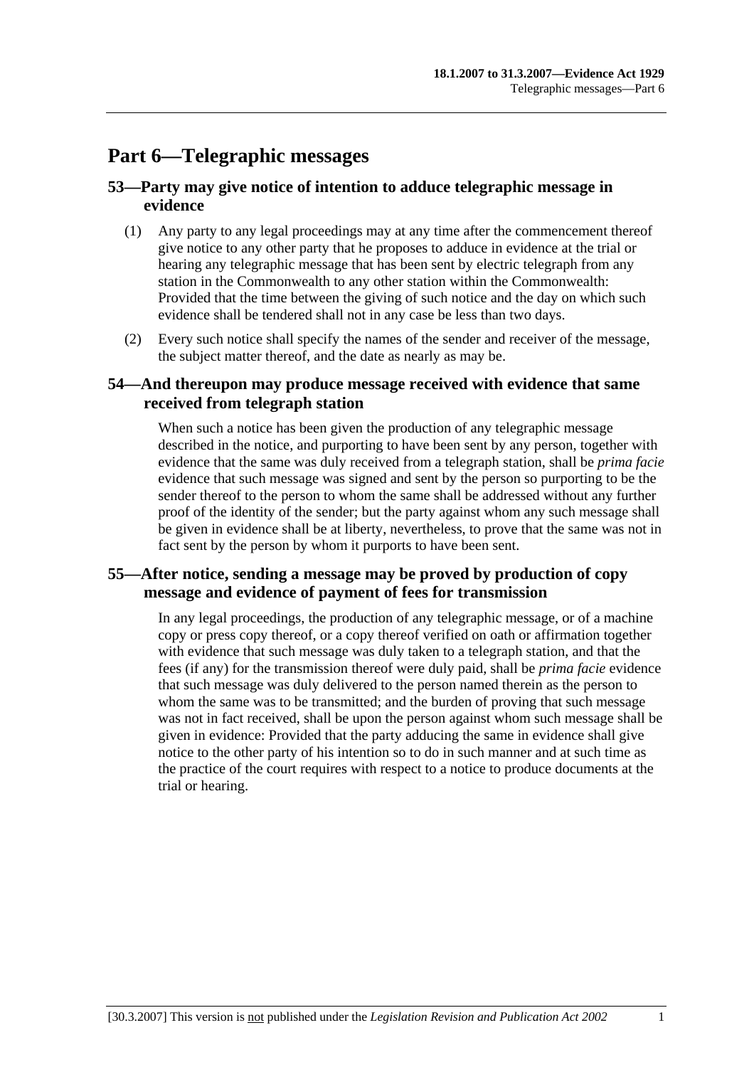# **Part 6—Telegraphic messages**

# **53—Party may give notice of intention to adduce telegraphic message in evidence**

- (1) Any party to any legal proceedings may at any time after the commencement thereof give notice to any other party that he proposes to adduce in evidence at the trial or hearing any telegraphic message that has been sent by electric telegraph from any station in the Commonwealth to any other station within the Commonwealth: Provided that the time between the giving of such notice and the day on which such evidence shall be tendered shall not in any case be less than two days.
- (2) Every such notice shall specify the names of the sender and receiver of the message, the subject matter thereof, and the date as nearly as may be.

# **54—And thereupon may produce message received with evidence that same received from telegraph station**

When such a notice has been given the production of any telegraphic message described in the notice, and purporting to have been sent by any person, together with evidence that the same was duly received from a telegraph station, shall be *prima facie* evidence that such message was signed and sent by the person so purporting to be the sender thereof to the person to whom the same shall be addressed without any further proof of the identity of the sender; but the party against whom any such message shall be given in evidence shall be at liberty, nevertheless, to prove that the same was not in fact sent by the person by whom it purports to have been sent.

# **55—After notice, sending a message may be proved by production of copy message and evidence of payment of fees for transmission**

In any legal proceedings, the production of any telegraphic message, or of a machine copy or press copy thereof, or a copy thereof verified on oath or affirmation together with evidence that such message was duly taken to a telegraph station, and that the fees (if any) for the transmission thereof were duly paid, shall be *prima facie* evidence that such message was duly delivered to the person named therein as the person to whom the same was to be transmitted; and the burden of proving that such message was not in fact received, shall be upon the person against whom such message shall be given in evidence: Provided that the party adducing the same in evidence shall give notice to the other party of his intention so to do in such manner and at such time as the practice of the court requires with respect to a notice to produce documents at the trial or hearing.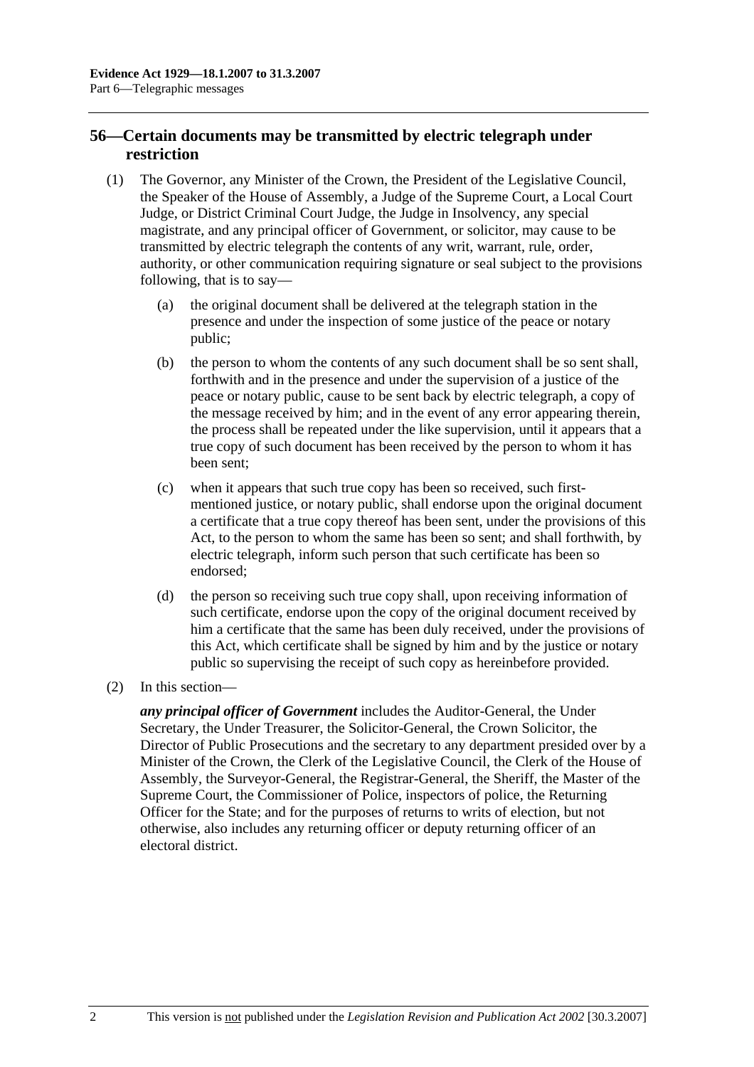# **56—Certain documents may be transmitted by electric telegraph under restriction**

- (1) The Governor, any Minister of the Crown, the President of the Legislative Council, the Speaker of the House of Assembly, a Judge of the Supreme Court, a Local Court Judge, or District Criminal Court Judge, the Judge in Insolvency, any special magistrate, and any principal officer of Government, or solicitor, may cause to be transmitted by electric telegraph the contents of any writ, warrant, rule, order, authority, or other communication requiring signature or seal subject to the provisions following, that is to say—
	- (a) the original document shall be delivered at the telegraph station in the presence and under the inspection of some justice of the peace or notary public;
	- (b) the person to whom the contents of any such document shall be so sent shall, forthwith and in the presence and under the supervision of a justice of the peace or notary public, cause to be sent back by electric telegraph, a copy of the message received by him; and in the event of any error appearing therein, the process shall be repeated under the like supervision, until it appears that a true copy of such document has been received by the person to whom it has been sent;
	- (c) when it appears that such true copy has been so received, such firstmentioned justice, or notary public, shall endorse upon the original document a certificate that a true copy thereof has been sent, under the provisions of this Act, to the person to whom the same has been so sent; and shall forthwith, by electric telegraph, inform such person that such certificate has been so endorsed;
	- (d) the person so receiving such true copy shall, upon receiving information of such certificate, endorse upon the copy of the original document received by him a certificate that the same has been duly received, under the provisions of this Act, which certificate shall be signed by him and by the justice or notary public so supervising the receipt of such copy as hereinbefore provided.
- (2) In this section—

*any principal officer of Government* includes the Auditor-General, the Under Secretary, the Under Treasurer, the Solicitor-General, the Crown Solicitor, the Director of Public Prosecutions and the secretary to any department presided over by a Minister of the Crown, the Clerk of the Legislative Council, the Clerk of the House of Assembly, the Surveyor-General, the Registrar-General, the Sheriff, the Master of the Supreme Court, the Commissioner of Police, inspectors of police, the Returning Officer for the State; and for the purposes of returns to writs of election, but not otherwise, also includes any returning officer or deputy returning officer of an electoral district.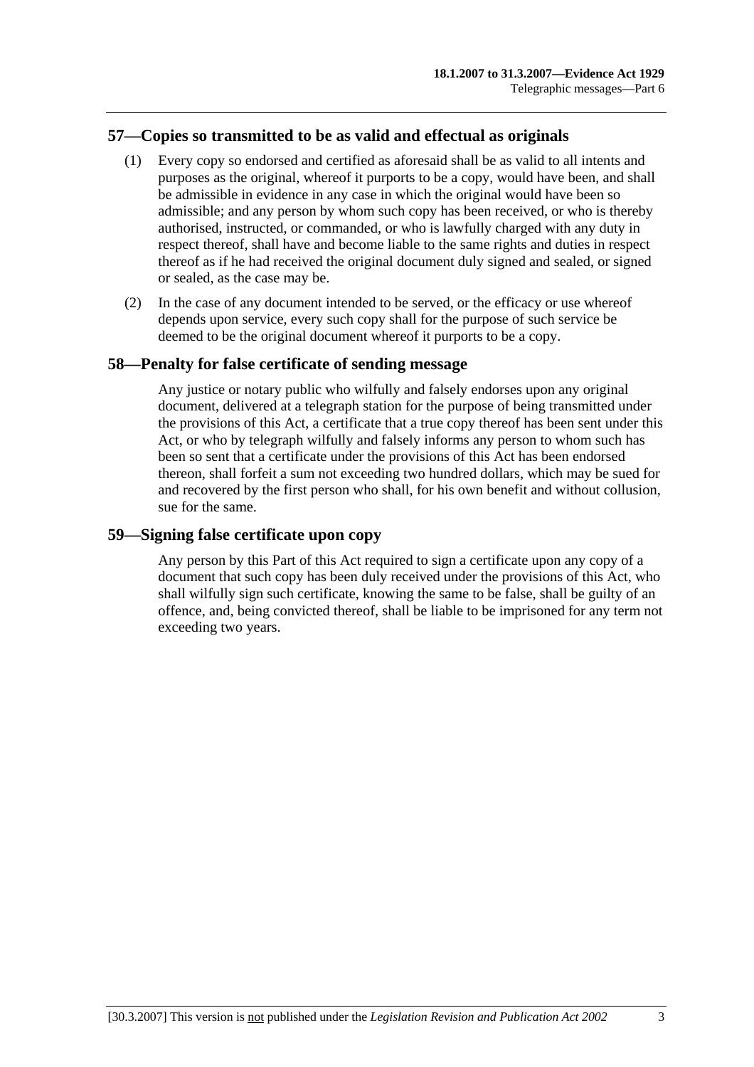## **57—Copies so transmitted to be as valid and effectual as originals**

- (1) Every copy so endorsed and certified as aforesaid shall be as valid to all intents and purposes as the original, whereof it purports to be a copy, would have been, and shall be admissible in evidence in any case in which the original would have been so admissible; and any person by whom such copy has been received, or who is thereby authorised, instructed, or commanded, or who is lawfully charged with any duty in respect thereof, shall have and become liable to the same rights and duties in respect thereof as if he had received the original document duly signed and sealed, or signed or sealed, as the case may be.
- (2) In the case of any document intended to be served, or the efficacy or use whereof depends upon service, every such copy shall for the purpose of such service be deemed to be the original document whereof it purports to be a copy.

#### **58—Penalty for false certificate of sending message**

Any justice or notary public who wilfully and falsely endorses upon any original document, delivered at a telegraph station for the purpose of being transmitted under the provisions of this Act, a certificate that a true copy thereof has been sent under this Act, or who by telegraph wilfully and falsely informs any person to whom such has been so sent that a certificate under the provisions of this Act has been endorsed thereon, shall forfeit a sum not exceeding two hundred dollars, which may be sued for and recovered by the first person who shall, for his own benefit and without collusion, sue for the same.

#### **59—Signing false certificate upon copy**

Any person by this Part of this Act required to sign a certificate upon any copy of a document that such copy has been duly received under the provisions of this Act, who shall wilfully sign such certificate, knowing the same to be false, shall be guilty of an offence, and, being convicted thereof, shall be liable to be imprisoned for any term not exceeding two years.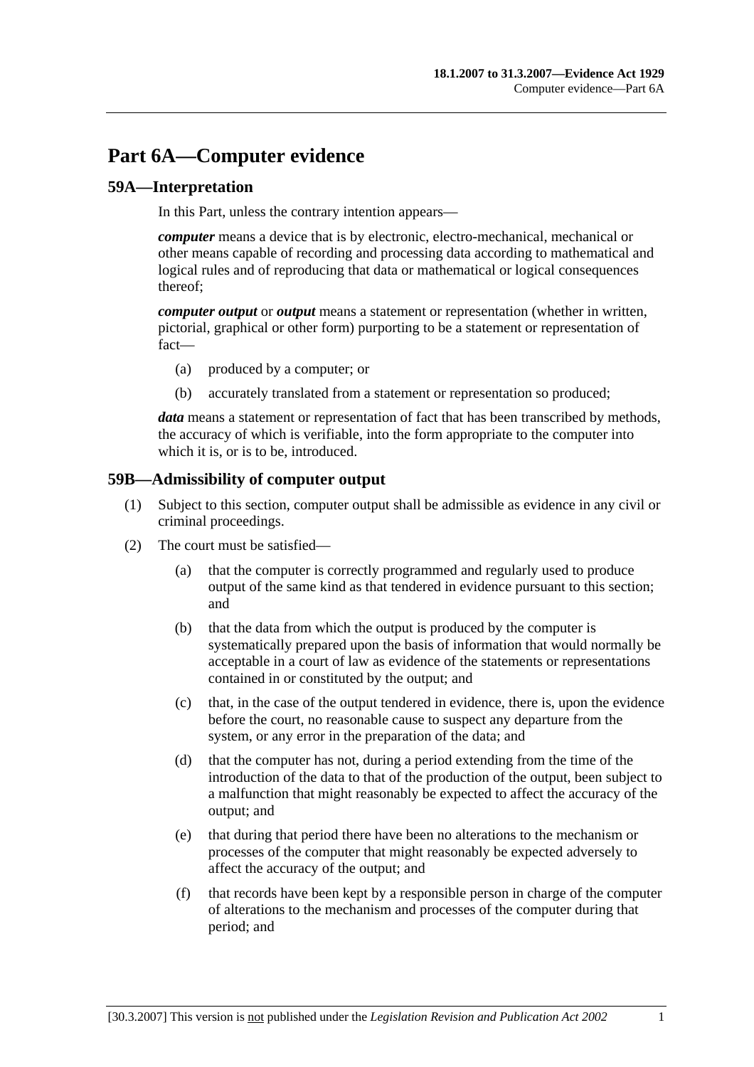# **Part 6A—Computer evidence**

#### **59A—Interpretation**

In this Part, unless the contrary intention appears—

*computer* means a device that is by electronic, electro-mechanical, mechanical or other means capable of recording and processing data according to mathematical and logical rules and of reproducing that data or mathematical or logical consequences thereof;

*computer output* or *output* means a statement or representation (whether in written, pictorial, graphical or other form) purporting to be a statement or representation of fact—

- (a) produced by a computer; or
- (b) accurately translated from a statement or representation so produced;

*data* means a statement or representation of fact that has been transcribed by methods, the accuracy of which is verifiable, into the form appropriate to the computer into which it is, or is to be, introduced.

#### **59B—Admissibility of computer output**

- (1) Subject to this section, computer output shall be admissible as evidence in any civil or criminal proceedings.
- (2) The court must be satisfied—
	- (a) that the computer is correctly programmed and regularly used to produce output of the same kind as that tendered in evidence pursuant to this section; and
	- (b) that the data from which the output is produced by the computer is systematically prepared upon the basis of information that would normally be acceptable in a court of law as evidence of the statements or representations contained in or constituted by the output; and
	- (c) that, in the case of the output tendered in evidence, there is, upon the evidence before the court, no reasonable cause to suspect any departure from the system, or any error in the preparation of the data; and
	- (d) that the computer has not, during a period extending from the time of the introduction of the data to that of the production of the output, been subject to a malfunction that might reasonably be expected to affect the accuracy of the output; and
	- (e) that during that period there have been no alterations to the mechanism or processes of the computer that might reasonably be expected adversely to affect the accuracy of the output; and
	- (f) that records have been kept by a responsible person in charge of the computer of alterations to the mechanism and processes of the computer during that period; and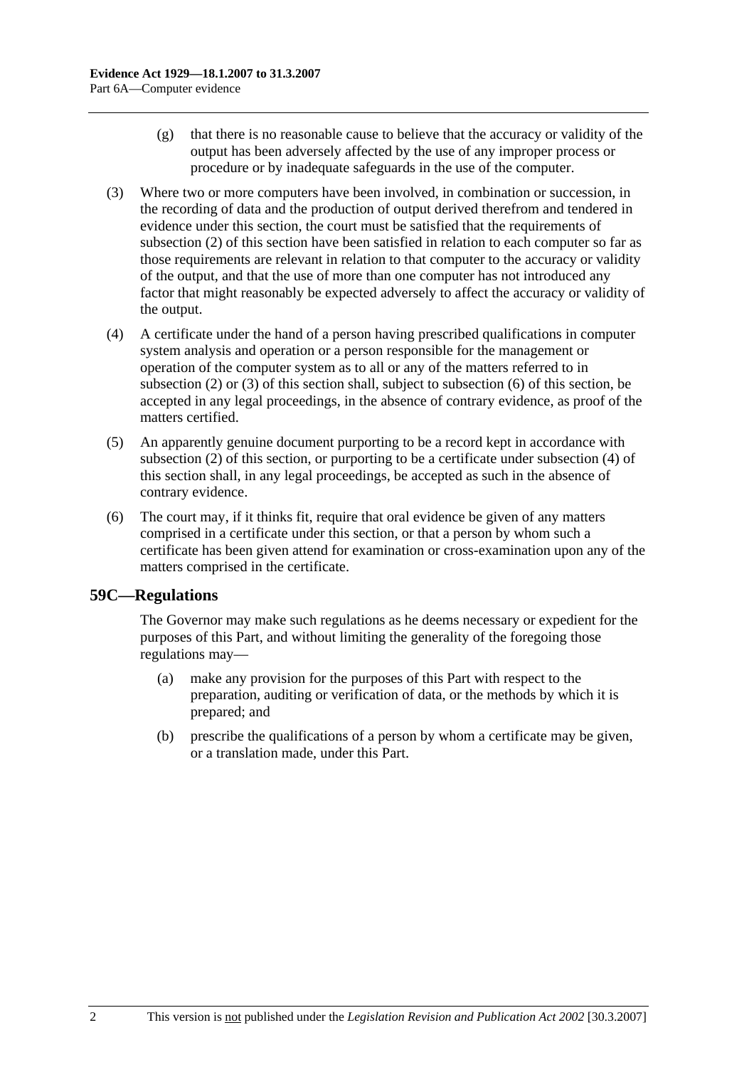- (g) that there is no reasonable cause to believe that the accuracy or validity of the output has been adversely affected by the use of any improper process or procedure or by inadequate safeguards in the use of the computer.
- (3) Where two or more computers have been involved, in combination or succession, in the recording of data and the production of output derived therefrom and tendered in evidence under this section, the court must be satisfied that the requirements of subsection (2) of this section have been satisfied in relation to each computer so far as those requirements are relevant in relation to that computer to the accuracy or validity of the output, and that the use of more than one computer has not introduced any factor that might reasonably be expected adversely to affect the accuracy or validity of the output.
- (4) A certificate under the hand of a person having prescribed qualifications in computer system analysis and operation or a person responsible for the management or operation of the computer system as to all or any of the matters referred to in subsection (2) or (3) of this section shall, subject to subsection (6) of this section, be accepted in any legal proceedings, in the absence of contrary evidence, as proof of the matters certified.
- (5) An apparently genuine document purporting to be a record kept in accordance with subsection (2) of this section, or purporting to be a certificate under subsection (4) of this section shall, in any legal proceedings, be accepted as such in the absence of contrary evidence.
- (6) The court may, if it thinks fit, require that oral evidence be given of any matters comprised in a certificate under this section, or that a person by whom such a certificate has been given attend for examination or cross-examination upon any of the matters comprised in the certificate.

#### **59C—Regulations**

The Governor may make such regulations as he deems necessary or expedient for the purposes of this Part, and without limiting the generality of the foregoing those regulations may—

- (a) make any provision for the purposes of this Part with respect to the preparation, auditing or verification of data, or the methods by which it is prepared; and
- (b) prescribe the qualifications of a person by whom a certificate may be given, or a translation made, under this Part.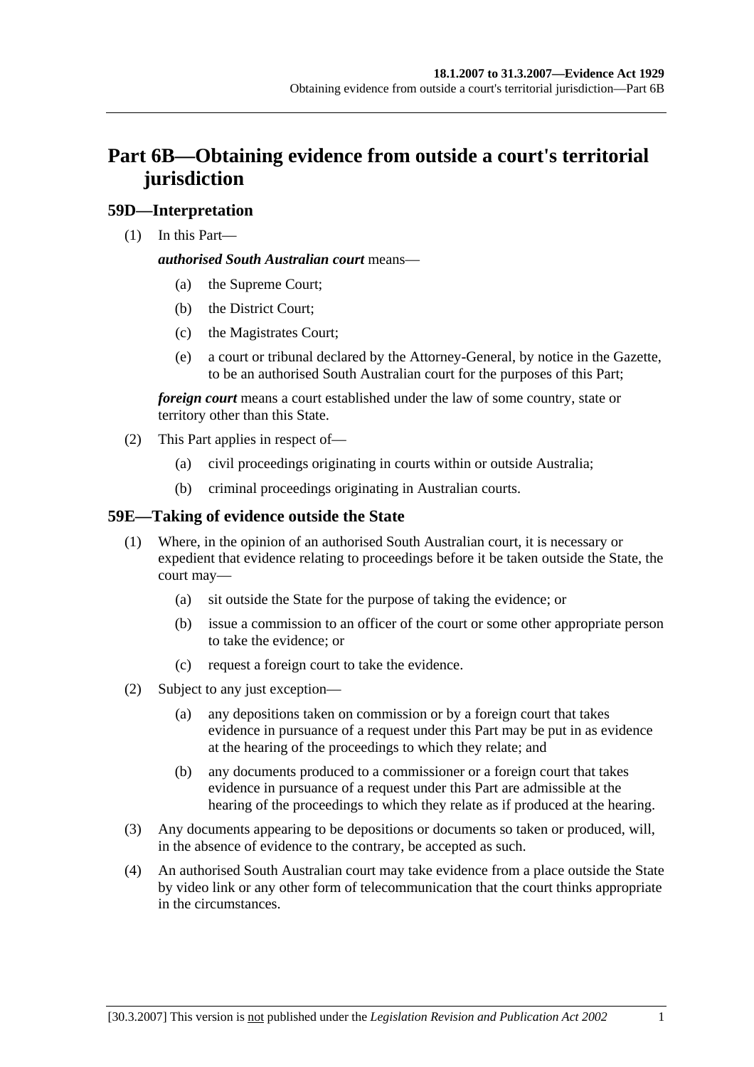# **Part 6B—Obtaining evidence from outside a court's territorial jurisdiction**

## **59D—Interpretation**

(1) In this Part—

#### *authorised South Australian court* means—

- (a) the Supreme Court;
- (b) the District Court;
- (c) the Magistrates Court;
- (e) a court or tribunal declared by the Attorney-General, by notice in the Gazette, to be an authorised South Australian court for the purposes of this Part;

*foreign court* means a court established under the law of some country, state or territory other than this State.

- (2) This Part applies in respect of—
	- (a) civil proceedings originating in courts within or outside Australia;
	- (b) criminal proceedings originating in Australian courts.

#### **59E—Taking of evidence outside the State**

- (1) Where, in the opinion of an authorised South Australian court, it is necessary or expedient that evidence relating to proceedings before it be taken outside the State, the court may—
	- (a) sit outside the State for the purpose of taking the evidence; or
	- (b) issue a commission to an officer of the court or some other appropriate person to take the evidence; or
	- (c) request a foreign court to take the evidence.
- (2) Subject to any just exception—
	- (a) any depositions taken on commission or by a foreign court that takes evidence in pursuance of a request under this Part may be put in as evidence at the hearing of the proceedings to which they relate; and
	- (b) any documents produced to a commissioner or a foreign court that takes evidence in pursuance of a request under this Part are admissible at the hearing of the proceedings to which they relate as if produced at the hearing.
- (3) Any documents appearing to be depositions or documents so taken or produced, will, in the absence of evidence to the contrary, be accepted as such.
- (4) An authorised South Australian court may take evidence from a place outside the State by video link or any other form of telecommunication that the court thinks appropriate in the circumstances.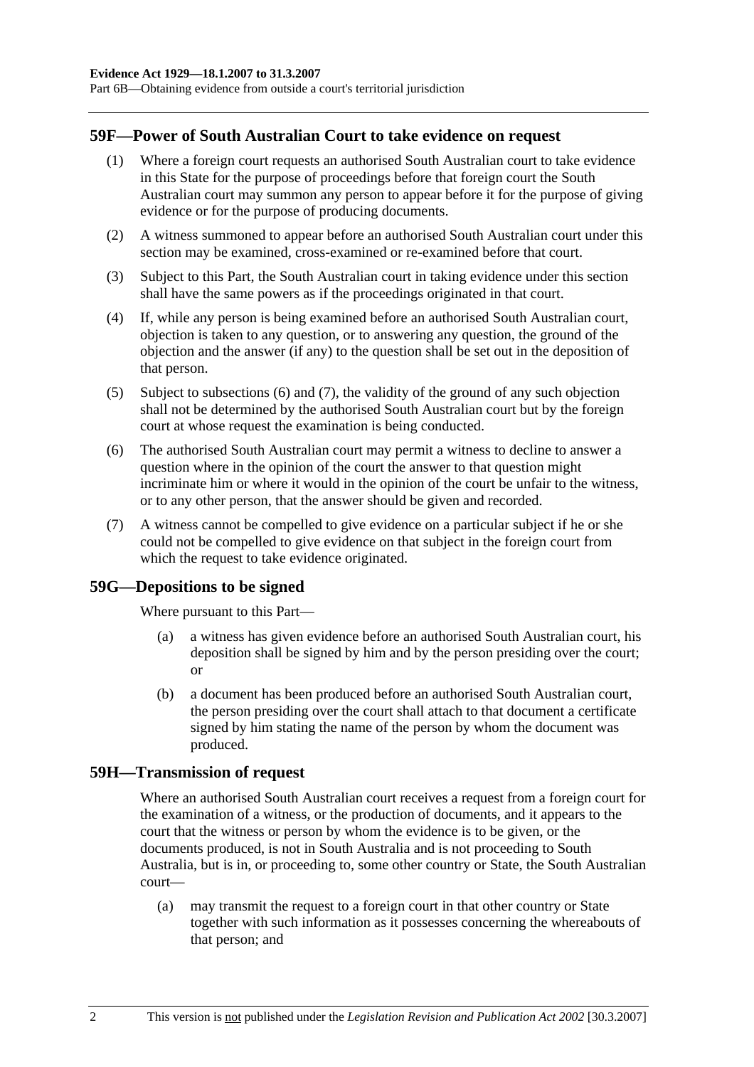Part 6B—Obtaining evidence from outside a court's territorial jurisdiction

#### **59F—Power of South Australian Court to take evidence on request**

- (1) Where a foreign court requests an authorised South Australian court to take evidence in this State for the purpose of proceedings before that foreign court the South Australian court may summon any person to appear before it for the purpose of giving evidence or for the purpose of producing documents.
- (2) A witness summoned to appear before an authorised South Australian court under this section may be examined, cross-examined or re-examined before that court.
- (3) Subject to this Part, the South Australian court in taking evidence under this section shall have the same powers as if the proceedings originated in that court.
- (4) If, while any person is being examined before an authorised South Australian court, objection is taken to any question, or to answering any question, the ground of the objection and the answer (if any) to the question shall be set out in the deposition of that person.
- (5) Subject to subsections (6) and (7), the validity of the ground of any such objection shall not be determined by the authorised South Australian court but by the foreign court at whose request the examination is being conducted.
- (6) The authorised South Australian court may permit a witness to decline to answer a question where in the opinion of the court the answer to that question might incriminate him or where it would in the opinion of the court be unfair to the witness, or to any other person, that the answer should be given and recorded.
- (7) A witness cannot be compelled to give evidence on a particular subject if he or she could not be compelled to give evidence on that subject in the foreign court from which the request to take evidence originated.

#### **59G—Depositions to be signed**

Where pursuant to this Part—

- (a) a witness has given evidence before an authorised South Australian court, his deposition shall be signed by him and by the person presiding over the court; or
- (b) a document has been produced before an authorised South Australian court, the person presiding over the court shall attach to that document a certificate signed by him stating the name of the person by whom the document was produced.

#### **59H—Transmission of request**

Where an authorised South Australian court receives a request from a foreign court for the examination of a witness, or the production of documents, and it appears to the court that the witness or person by whom the evidence is to be given, or the documents produced, is not in South Australia and is not proceeding to South Australia, but is in, or proceeding to, some other country or State, the South Australian court—

 (a) may transmit the request to a foreign court in that other country or State together with such information as it possesses concerning the whereabouts of that person; and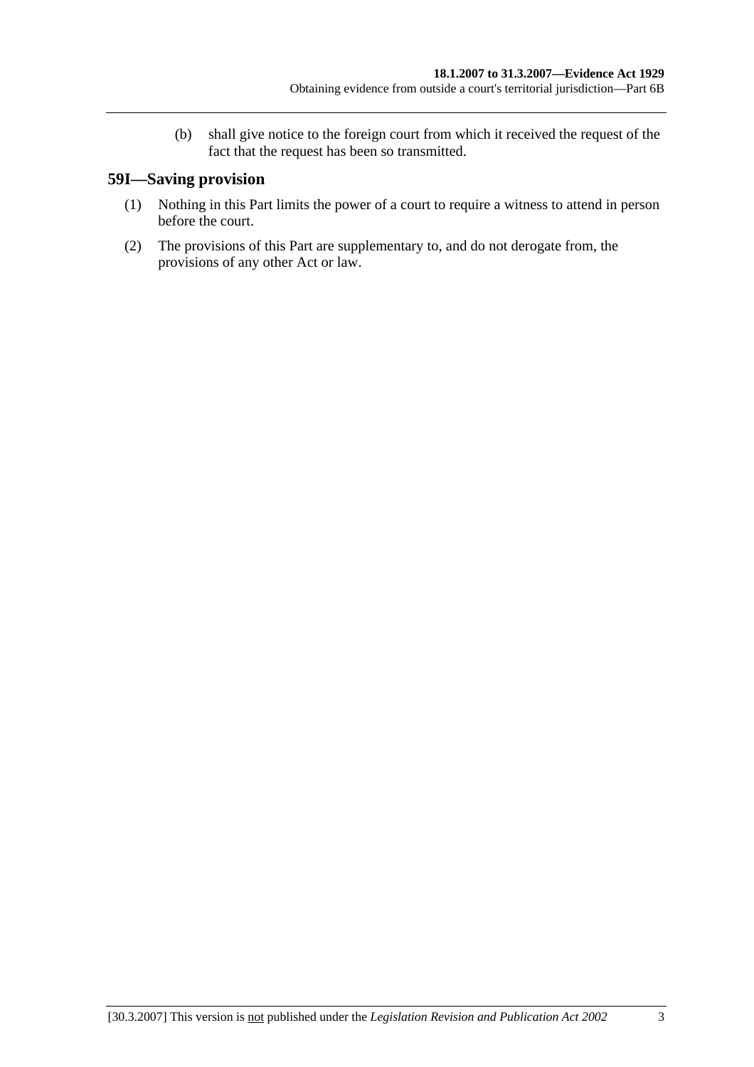(b) shall give notice to the foreign court from which it received the request of the fact that the request has been so transmitted.

# **59I—Saving provision**

- (1) Nothing in this Part limits the power of a court to require a witness to attend in person before the court.
- (2) The provisions of this Part are supplementary to, and do not derogate from, the provisions of any other Act or law.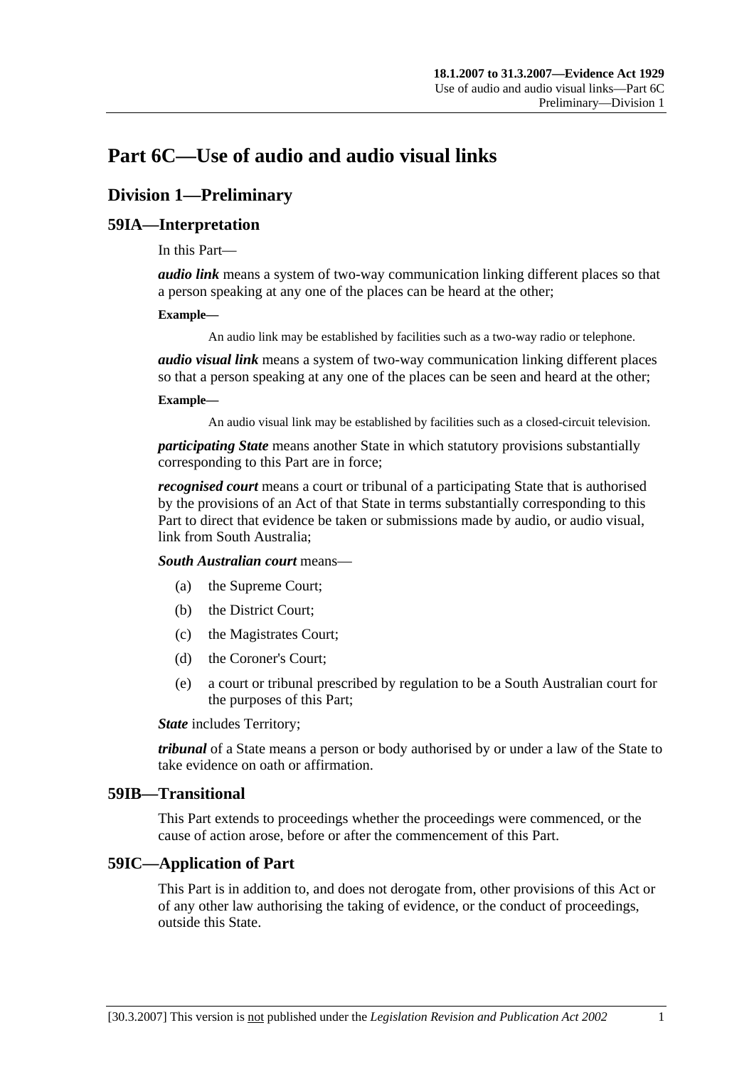# **Part 6C—Use of audio and audio visual links**

# **Division 1—Preliminary**

## **59IA—Interpretation**

In this Part—

*audio link* means a system of two-way communication linking different places so that a person speaking at any one of the places can be heard at the other;

#### **Example—**

An audio link may be established by facilities such as a two-way radio or telephone.

*audio visual link* means a system of two-way communication linking different places so that a person speaking at any one of the places can be seen and heard at the other;

#### **Example—**

An audio visual link may be established by facilities such as a closed-circuit television.

*participating State* means another State in which statutory provisions substantially corresponding to this Part are in force;

*recognised court* means a court or tribunal of a participating State that is authorised by the provisions of an Act of that State in terms substantially corresponding to this Part to direct that evidence be taken or submissions made by audio, or audio visual, link from South Australia;

*South Australian court* means—

- (a) the Supreme Court;
- (b) the District Court;
- (c) the Magistrates Court;
- (d) the Coroner's Court;
- (e) a court or tribunal prescribed by regulation to be a South Australian court for the purposes of this Part;

*State* includes Territory;

*tribunal* of a State means a person or body authorised by or under a law of the State to take evidence on oath or affirmation.

#### **59IB—Transitional**

This Part extends to proceedings whether the proceedings were commenced, or the cause of action arose, before or after the commencement of this Part.

#### **59IC—Application of Part**

This Part is in addition to, and does not derogate from, other provisions of this Act or of any other law authorising the taking of evidence, or the conduct of proceedings, outside this State.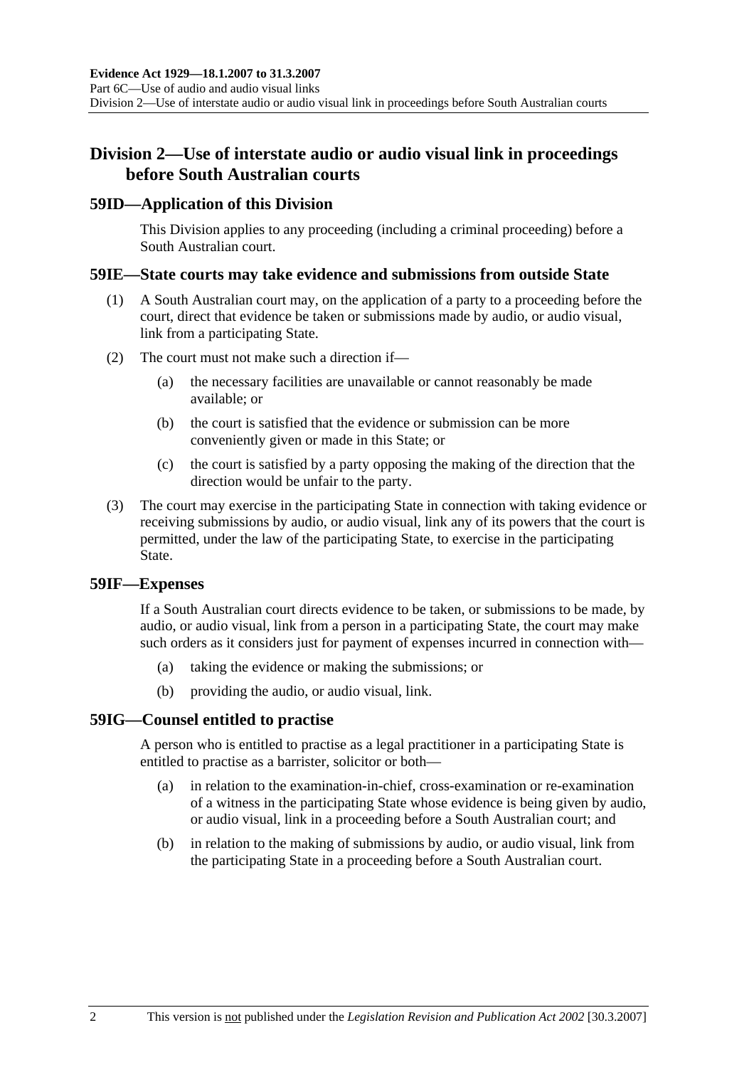# **Division 2—Use of interstate audio or audio visual link in proceedings before South Australian courts**

#### **59ID—Application of this Division**

This Division applies to any proceeding (including a criminal proceeding) before a South Australian court.

#### **59IE—State courts may take evidence and submissions from outside State**

- (1) A South Australian court may, on the application of a party to a proceeding before the court, direct that evidence be taken or submissions made by audio, or audio visual, link from a participating State.
- (2) The court must not make such a direction if—
	- (a) the necessary facilities are unavailable or cannot reasonably be made available; or
	- (b) the court is satisfied that the evidence or submission can be more conveniently given or made in this State; or
	- (c) the court is satisfied by a party opposing the making of the direction that the direction would be unfair to the party.
- (3) The court may exercise in the participating State in connection with taking evidence or receiving submissions by audio, or audio visual, link any of its powers that the court is permitted, under the law of the participating State, to exercise in the participating State.

#### **59IF—Expenses**

If a South Australian court directs evidence to be taken, or submissions to be made, by audio, or audio visual, link from a person in a participating State, the court may make such orders as it considers just for payment of expenses incurred in connection with—

- (a) taking the evidence or making the submissions; or
- (b) providing the audio, or audio visual, link.

#### **59IG—Counsel entitled to practise**

A person who is entitled to practise as a legal practitioner in a participating State is entitled to practise as a barrister, solicitor or both—

- (a) in relation to the examination-in-chief, cross-examination or re-examination of a witness in the participating State whose evidence is being given by audio, or audio visual, link in a proceeding before a South Australian court; and
- (b) in relation to the making of submissions by audio, or audio visual, link from the participating State in a proceeding before a South Australian court.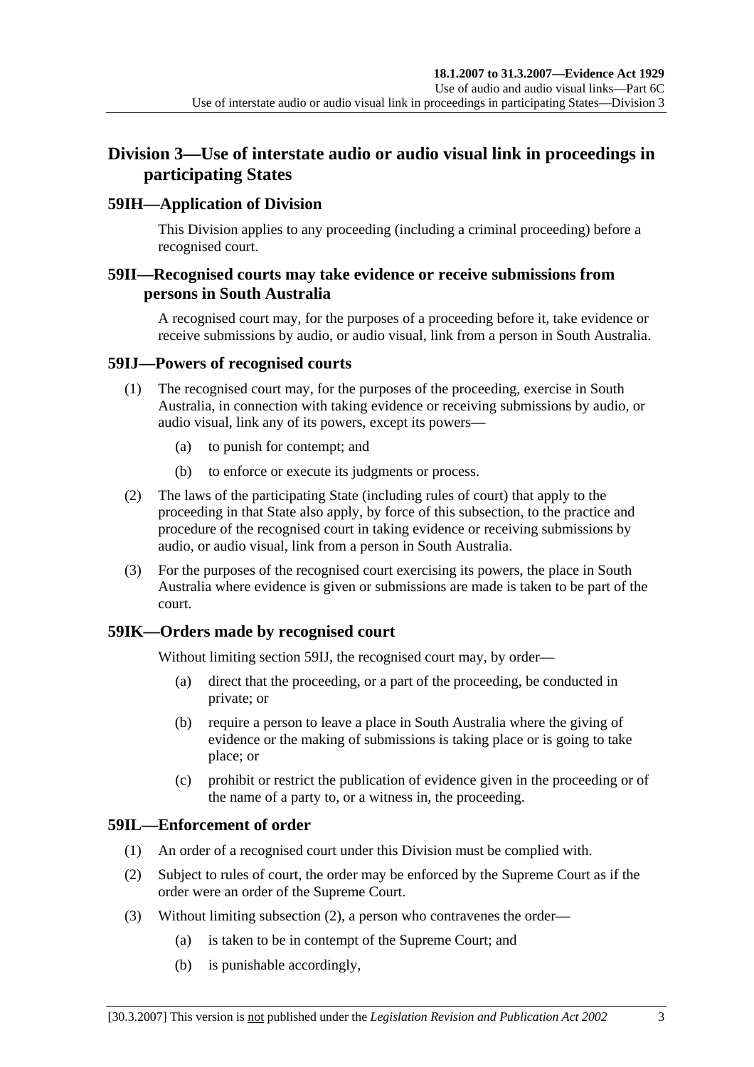# **Division 3—Use of interstate audio or audio visual link in proceedings in participating States**

## **59IH—Application of Division**

This Division applies to any proceeding (including a criminal proceeding) before a recognised court.

#### **59II—Recognised courts may take evidence or receive submissions from persons in South Australia**

A recognised court may, for the purposes of a proceeding before it, take evidence or receive submissions by audio, or audio visual, link from a person in South Australia.

#### **59IJ—Powers of recognised courts**

- (1) The recognised court may, for the purposes of the proceeding, exercise in South Australia, in connection with taking evidence or receiving submissions by audio, or audio visual, link any of its powers, except its powers—
	- (a) to punish for contempt; and
	- (b) to enforce or execute its judgments or process.
- (2) The laws of the participating State (including rules of court) that apply to the proceeding in that State also apply, by force of this subsection, to the practice and procedure of the recognised court in taking evidence or receiving submissions by audio, or audio visual, link from a person in South Australia.
- (3) For the purposes of the recognised court exercising its powers, the place in South Australia where evidence is given or submissions are made is taken to be part of the court.

#### **59IK—Orders made by recognised court**

Without limiting section 59IJ, the recognised court may, by order—

- (a) direct that the proceeding, or a part of the proceeding, be conducted in private; or
- (b) require a person to leave a place in South Australia where the giving of evidence or the making of submissions is taking place or is going to take place; or
- (c) prohibit or restrict the publication of evidence given in the proceeding or of the name of a party to, or a witness in, the proceeding.

## **59IL—Enforcement of order**

- (1) An order of a recognised court under this Division must be complied with.
- (2) Subject to rules of court, the order may be enforced by the Supreme Court as if the order were an order of the Supreme Court.
- (3) Without limiting subsection (2), a person who contravenes the order—
	- (a) is taken to be in contempt of the Supreme Court; and
	- (b) is punishable accordingly,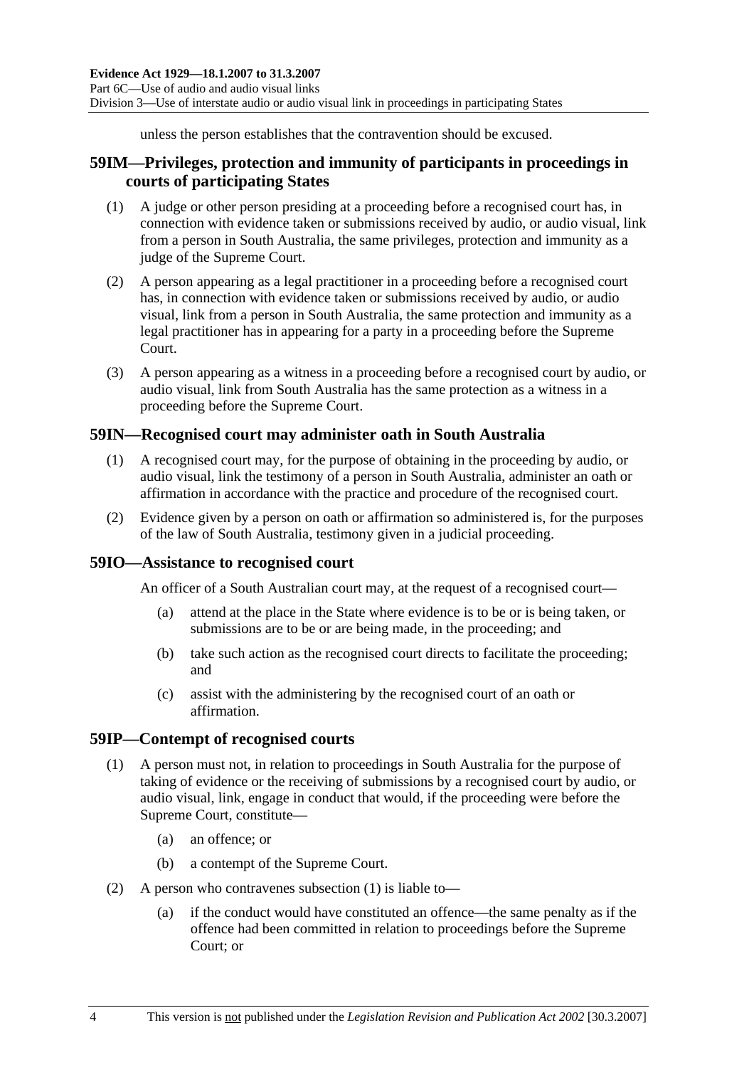unless the person establishes that the contravention should be excused.

## **59IM—Privileges, protection and immunity of participants in proceedings in courts of participating States**

- (1) A judge or other person presiding at a proceeding before a recognised court has, in connection with evidence taken or submissions received by audio, or audio visual, link from a person in South Australia, the same privileges, protection and immunity as a judge of the Supreme Court.
- (2) A person appearing as a legal practitioner in a proceeding before a recognised court has, in connection with evidence taken or submissions received by audio, or audio visual, link from a person in South Australia, the same protection and immunity as a legal practitioner has in appearing for a party in a proceeding before the Supreme Court.
- (3) A person appearing as a witness in a proceeding before a recognised court by audio, or audio visual, link from South Australia has the same protection as a witness in a proceeding before the Supreme Court.

## **59IN—Recognised court may administer oath in South Australia**

- (1) A recognised court may, for the purpose of obtaining in the proceeding by audio, or audio visual, link the testimony of a person in South Australia, administer an oath or affirmation in accordance with the practice and procedure of the recognised court.
- (2) Evidence given by a person on oath or affirmation so administered is, for the purposes of the law of South Australia, testimony given in a judicial proceeding.

#### **59IO—Assistance to recognised court**

An officer of a South Australian court may, at the request of a recognised court—

- (a) attend at the place in the State where evidence is to be or is being taken, or submissions are to be or are being made, in the proceeding; and
- (b) take such action as the recognised court directs to facilitate the proceeding; and
- (c) assist with the administering by the recognised court of an oath or affirmation.

#### **59IP—Contempt of recognised courts**

- (1) A person must not, in relation to proceedings in South Australia for the purpose of taking of evidence or the receiving of submissions by a recognised court by audio, or audio visual, link, engage in conduct that would, if the proceeding were before the Supreme Court, constitute—
	- (a) an offence; or
	- (b) a contempt of the Supreme Court.
- (2) A person who contravenes subsection (1) is liable to—
	- (a) if the conduct would have constituted an offence—the same penalty as if the offence had been committed in relation to proceedings before the Supreme Court; or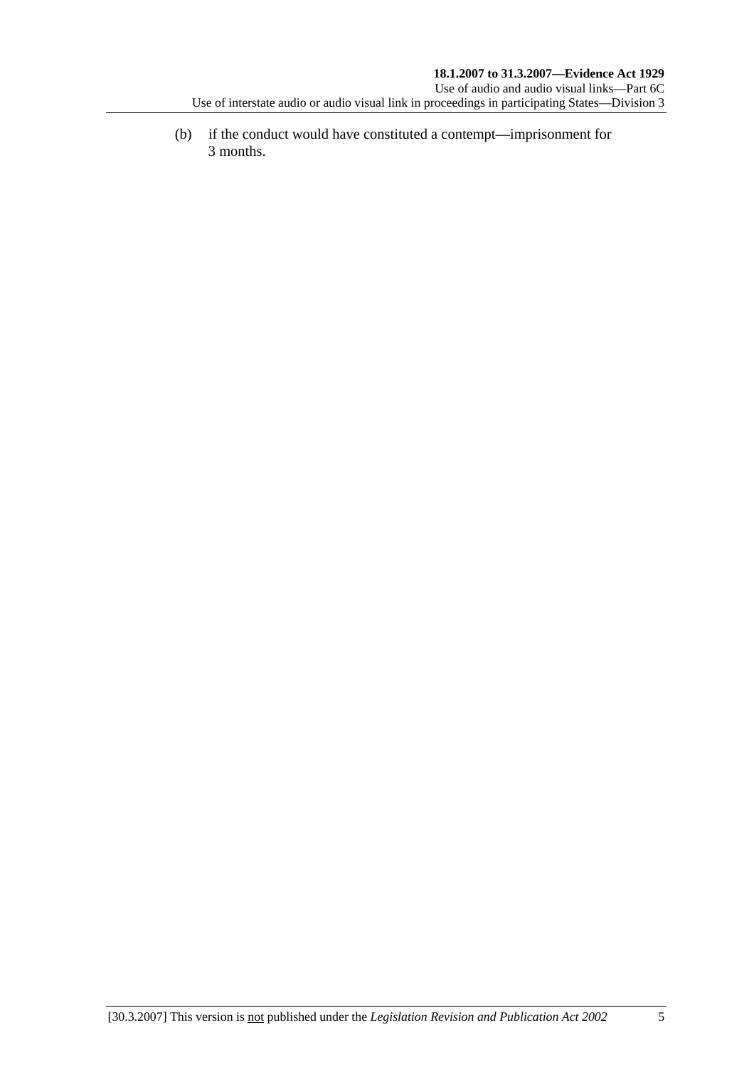(b) if the conduct would have constituted a contempt—imprisonment for 3 months.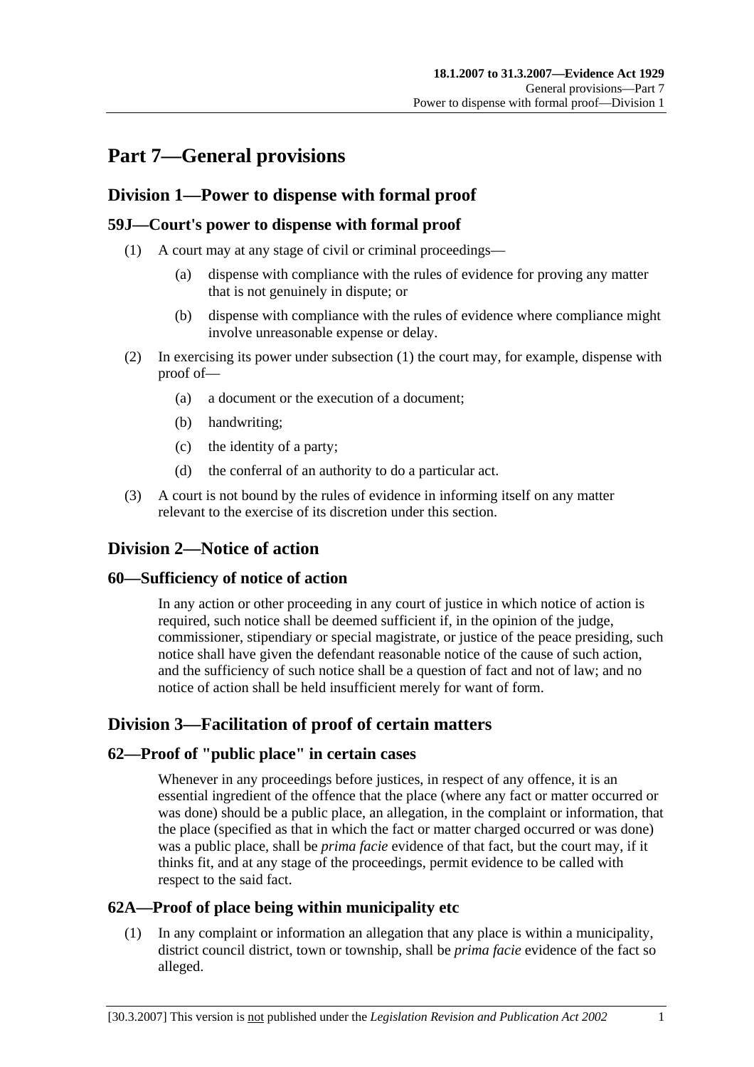# **Part 7—General provisions**

## **Division 1—Power to dispense with formal proof**

## **59J—Court's power to dispense with formal proof**

- (1) A court may at any stage of civil or criminal proceedings—
	- (a) dispense with compliance with the rules of evidence for proving any matter that is not genuinely in dispute; or
	- (b) dispense with compliance with the rules of evidence where compliance might involve unreasonable expense or delay.
- (2) In exercising its power under subsection (1) the court may, for example, dispense with proof of—
	- (a) a document or the execution of a document;
	- (b) handwriting;
	- (c) the identity of a party;
	- (d) the conferral of an authority to do a particular act.
- (3) A court is not bound by the rules of evidence in informing itself on any matter relevant to the exercise of its discretion under this section.

# **Division 2—Notice of action**

#### **60—Sufficiency of notice of action**

In any action or other proceeding in any court of justice in which notice of action is required, such notice shall be deemed sufficient if, in the opinion of the judge, commissioner, stipendiary or special magistrate, or justice of the peace presiding, such notice shall have given the defendant reasonable notice of the cause of such action, and the sufficiency of such notice shall be a question of fact and not of law; and no notice of action shall be held insufficient merely for want of form.

# **Division 3—Facilitation of proof of certain matters**

#### **62—Proof of "public place" in certain cases**

Whenever in any proceedings before justices, in respect of any offence, it is an essential ingredient of the offence that the place (where any fact or matter occurred or was done) should be a public place, an allegation, in the complaint or information, that the place (specified as that in which the fact or matter charged occurred or was done) was a public place, shall be *prima facie* evidence of that fact, but the court may, if it thinks fit, and at any stage of the proceedings, permit evidence to be called with respect to the said fact.

## **62A—Proof of place being within municipality etc**

 (1) In any complaint or information an allegation that any place is within a municipality, district council district, town or township, shall be *prima facie* evidence of the fact so alleged.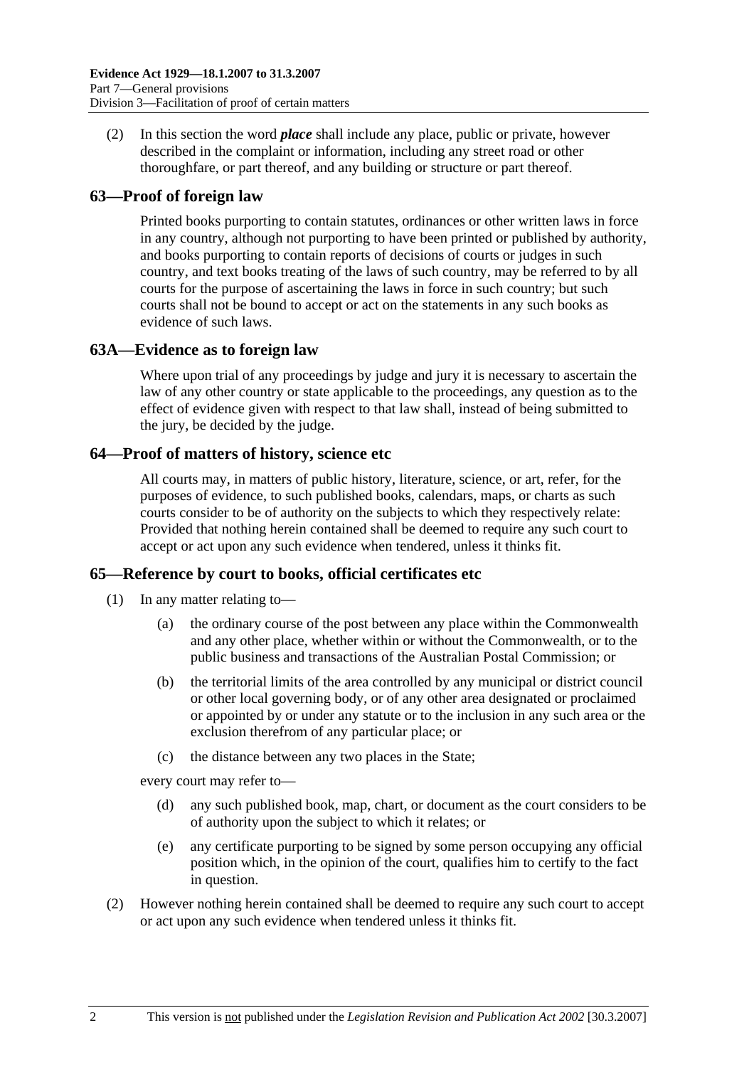(2) In this section the word *place* shall include any place, public or private, however described in the complaint or information, including any street road or other thoroughfare, or part thereof, and any building or structure or part thereof.

## **63—Proof of foreign law**

Printed books purporting to contain statutes, ordinances or other written laws in force in any country, although not purporting to have been printed or published by authority, and books purporting to contain reports of decisions of courts or judges in such country, and text books treating of the laws of such country, may be referred to by all courts for the purpose of ascertaining the laws in force in such country; but such courts shall not be bound to accept or act on the statements in any such books as evidence of such laws.

## **63A—Evidence as to foreign law**

Where upon trial of any proceedings by judge and jury it is necessary to ascertain the law of any other country or state applicable to the proceedings, any question as to the effect of evidence given with respect to that law shall, instead of being submitted to the jury, be decided by the judge.

#### **64—Proof of matters of history, science etc**

All courts may, in matters of public history, literature, science, or art, refer, for the purposes of evidence, to such published books, calendars, maps, or charts as such courts consider to be of authority on the subjects to which they respectively relate: Provided that nothing herein contained shall be deemed to require any such court to accept or act upon any such evidence when tendered, unless it thinks fit.

#### **65—Reference by court to books, official certificates etc**

- (1) In any matter relating to—
	- (a) the ordinary course of the post between any place within the Commonwealth and any other place, whether within or without the Commonwealth, or to the public business and transactions of the Australian Postal Commission; or
	- (b) the territorial limits of the area controlled by any municipal or district council or other local governing body, or of any other area designated or proclaimed or appointed by or under any statute or to the inclusion in any such area or the exclusion therefrom of any particular place; or
	- (c) the distance between any two places in the State;

every court may refer to—

- (d) any such published book, map, chart, or document as the court considers to be of authority upon the subject to which it relates; or
- (e) any certificate purporting to be signed by some person occupying any official position which, in the opinion of the court, qualifies him to certify to the fact in question.
- (2) However nothing herein contained shall be deemed to require any such court to accept or act upon any such evidence when tendered unless it thinks fit.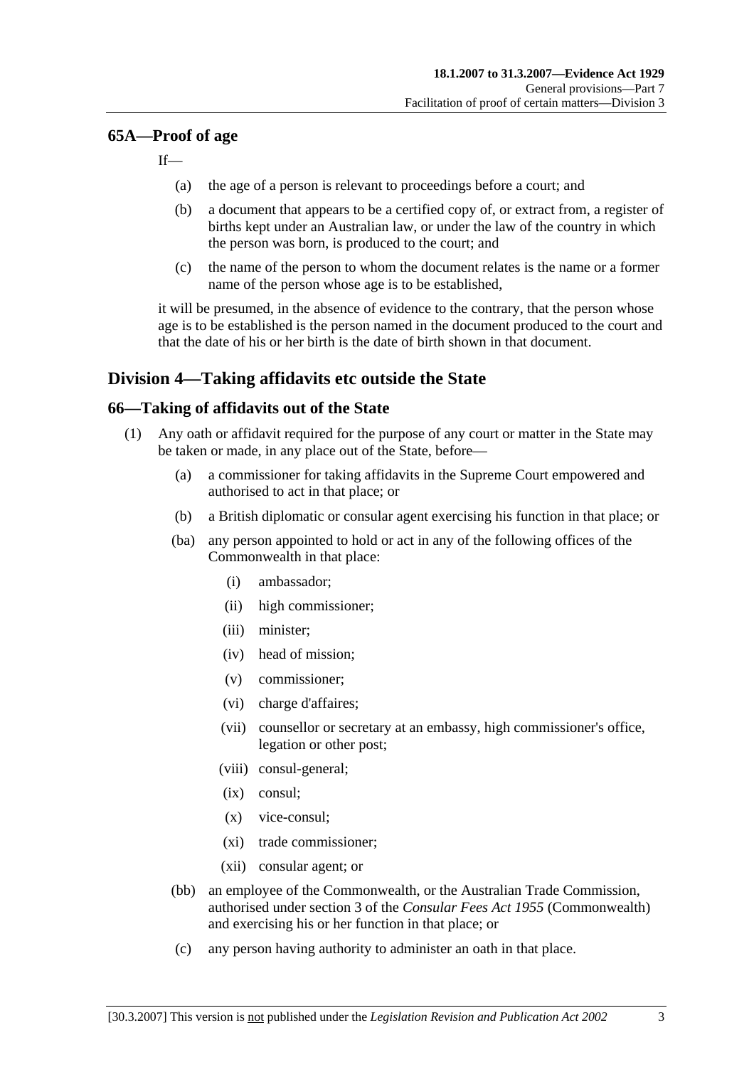#### **65A—Proof of age**

 $If$ 

- (a) the age of a person is relevant to proceedings before a court; and
- (b) a document that appears to be a certified copy of, or extract from, a register of births kept under an Australian law, or under the law of the country in which the person was born, is produced to the court; and
- (c) the name of the person to whom the document relates is the name or a former name of the person whose age is to be established,

it will be presumed, in the absence of evidence to the contrary, that the person whose age is to be established is the person named in the document produced to the court and that the date of his or her birth is the date of birth shown in that document.

## **Division 4—Taking affidavits etc outside the State**

#### **66—Taking of affidavits out of the State**

- (1) Any oath or affidavit required for the purpose of any court or matter in the State may be taken or made, in any place out of the State, before—
	- (a) a commissioner for taking affidavits in the Supreme Court empowered and authorised to act in that place; or
	- (b) a British diplomatic or consular agent exercising his function in that place; or
	- (ba) any person appointed to hold or act in any of the following offices of the Commonwealth in that place:
		- (i) ambassador;
		- (ii) high commissioner;
		- (iii) minister;
		- (iv) head of mission;
		- (v) commissioner;
		- (vi) charge d'affaires;
		- (vii) counsellor or secretary at an embassy, high commissioner's office, legation or other post;
		- (viii) consul-general;
		- (ix) consul;
		- (x) vice-consul;
		- (xi) trade commissioner;
		- (xii) consular agent; or
	- (bb) an employee of the Commonwealth, or the Australian Trade Commission, authorised under section 3 of the *Consular Fees Act 1955* (Commonwealth) and exercising his or her function in that place; or
	- (c) any person having authority to administer an oath in that place.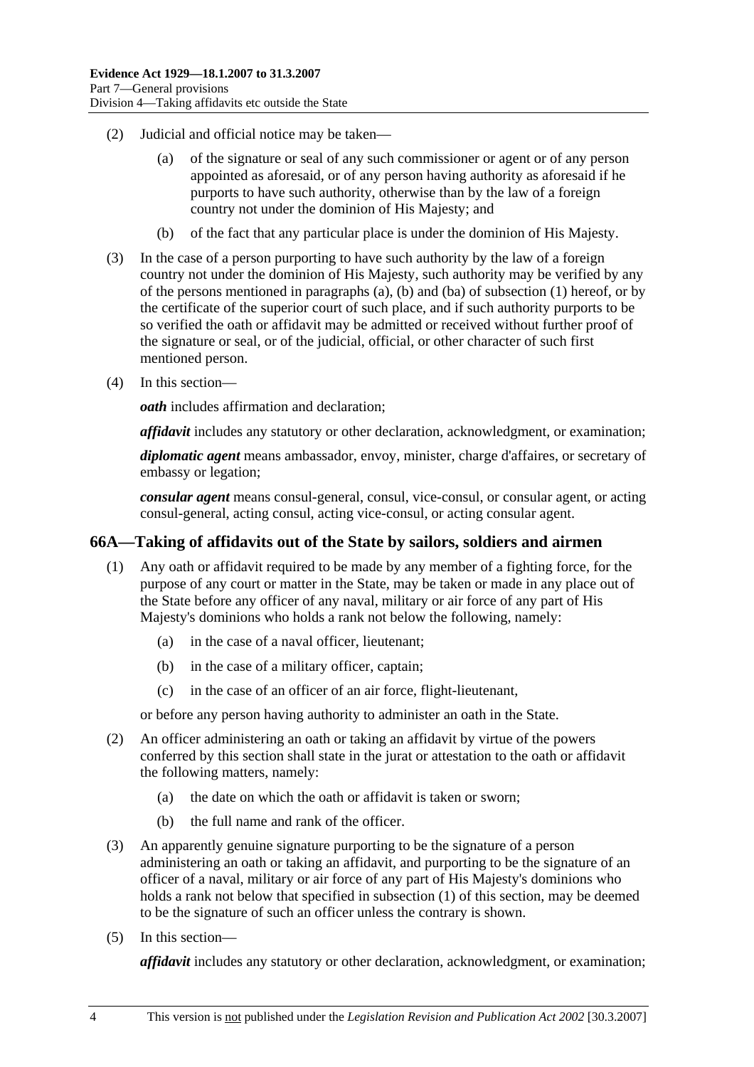- (2) Judicial and official notice may be taken—
	- (a) of the signature or seal of any such commissioner or agent or of any person appointed as aforesaid, or of any person having authority as aforesaid if he purports to have such authority, otherwise than by the law of a foreign country not under the dominion of His Majesty; and
	- (b) of the fact that any particular place is under the dominion of His Majesty.
- (3) In the case of a person purporting to have such authority by the law of a foreign country not under the dominion of His Majesty, such authority may be verified by any of the persons mentioned in paragraphs (a), (b) and (ba) of subsection (1) hereof, or by the certificate of the superior court of such place, and if such authority purports to be so verified the oath or affidavit may be admitted or received without further proof of the signature or seal, or of the judicial, official, or other character of such first mentioned person.
- (4) In this section—

*oath* includes affirmation and declaration;

*affidavit* includes any statutory or other declaration, acknowledgment, or examination;

*diplomatic agent* means ambassador, envoy, minister, charge d'affaires, or secretary of embassy or legation;

*consular agent* means consul-general, consul, vice-consul, or consular agent, or acting consul-general, acting consul, acting vice-consul, or acting consular agent.

#### **66A—Taking of affidavits out of the State by sailors, soldiers and airmen**

- (1) Any oath or affidavit required to be made by any member of a fighting force, for the purpose of any court or matter in the State, may be taken or made in any place out of the State before any officer of any naval, military or air force of any part of His Majesty's dominions who holds a rank not below the following, namely:
	- (a) in the case of a naval officer, lieutenant;
	- (b) in the case of a military officer, captain;
	- (c) in the case of an officer of an air force, flight-lieutenant,

or before any person having authority to administer an oath in the State.

- (2) An officer administering an oath or taking an affidavit by virtue of the powers conferred by this section shall state in the jurat or attestation to the oath or affidavit the following matters, namely:
	- (a) the date on which the oath or affidavit is taken or sworn;
	- (b) the full name and rank of the officer.
- (3) An apparently genuine signature purporting to be the signature of a person administering an oath or taking an affidavit, and purporting to be the signature of an officer of a naval, military or air force of any part of His Majesty's dominions who holds a rank not below that specified in subsection (1) of this section, may be deemed to be the signature of such an officer unless the contrary is shown.
- (5) In this section—

*affidavit* includes any statutory or other declaration, acknowledgment, or examination;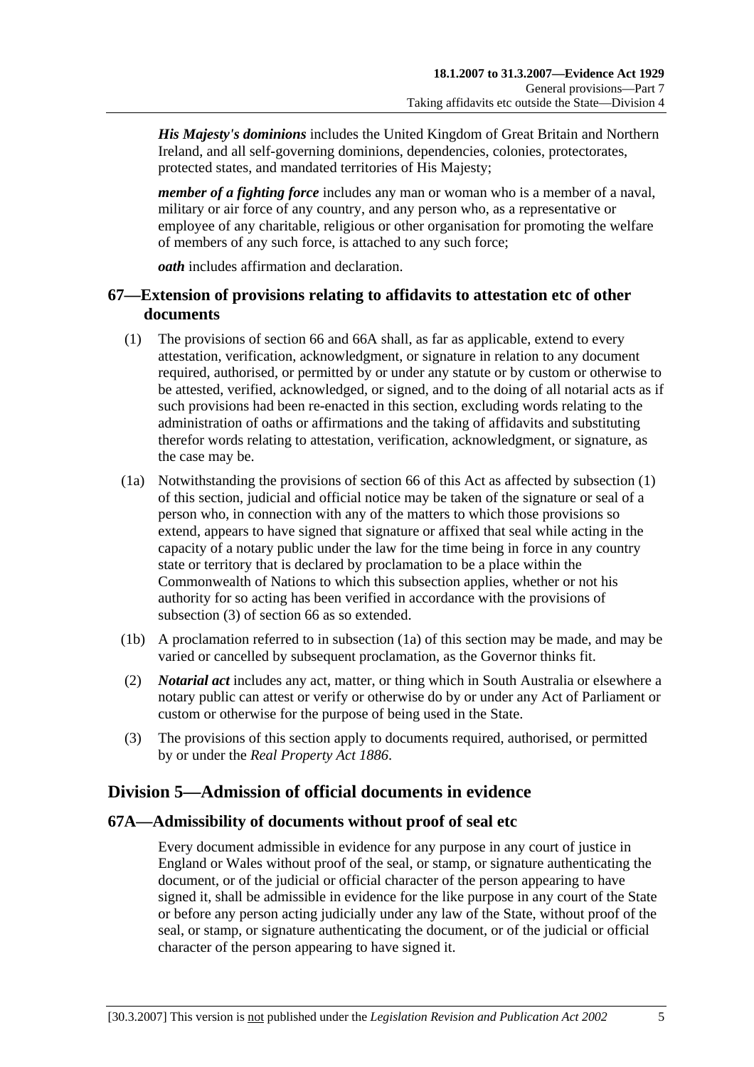*His Majesty's dominions* includes the United Kingdom of Great Britain and Northern Ireland, and all self-governing dominions, dependencies, colonies, protectorates, protected states, and mandated territories of His Majesty;

*member of a fighting force* includes any man or woman who is a member of a naval, military or air force of any country, and any person who, as a representative or employee of any charitable, religious or other organisation for promoting the welfare of members of any such force, is attached to any such force;

*oath* includes affirmation and declaration.

## **67—Extension of provisions relating to affidavits to attestation etc of other documents**

- (1) The provisions of section 66 and 66A shall, as far as applicable, extend to every attestation, verification, acknowledgment, or signature in relation to any document required, authorised, or permitted by or under any statute or by custom or otherwise to be attested, verified, acknowledged, or signed, and to the doing of all notarial acts as if such provisions had been re-enacted in this section, excluding words relating to the administration of oaths or affirmations and the taking of affidavits and substituting therefor words relating to attestation, verification, acknowledgment, or signature, as the case may be.
- (1a) Notwithstanding the provisions of section 66 of this Act as affected by subsection (1) of this section, judicial and official notice may be taken of the signature or seal of a person who, in connection with any of the matters to which those provisions so extend, appears to have signed that signature or affixed that seal while acting in the capacity of a notary public under the law for the time being in force in any country state or territory that is declared by proclamation to be a place within the Commonwealth of Nations to which this subsection applies, whether or not his authority for so acting has been verified in accordance with the provisions of subsection (3) of section 66 as so extended.
- (1b) A proclamation referred to in subsection (1a) of this section may be made, and may be varied or cancelled by subsequent proclamation, as the Governor thinks fit.
- (2) *Notarial act* includes any act, matter, or thing which in South Australia or elsewhere a notary public can attest or verify or otherwise do by or under any Act of Parliament or custom or otherwise for the purpose of being used in the State.
- (3) The provisions of this section apply to documents required, authorised, or permitted by or under the *Real Property Act 1886*.

# **Division 5—Admission of official documents in evidence**

#### **67A—Admissibility of documents without proof of seal etc**

Every document admissible in evidence for any purpose in any court of justice in England or Wales without proof of the seal, or stamp, or signature authenticating the document, or of the judicial or official character of the person appearing to have signed it, shall be admissible in evidence for the like purpose in any court of the State or before any person acting judicially under any law of the State, without proof of the seal, or stamp, or signature authenticating the document, or of the judicial or official character of the person appearing to have signed it.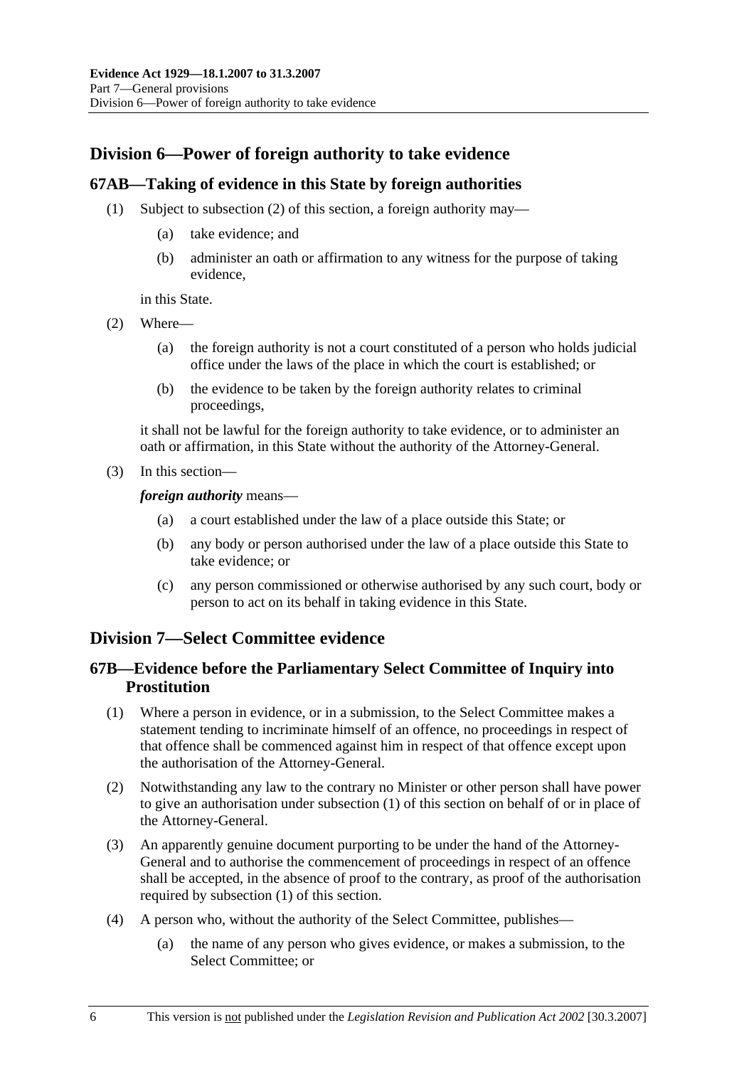# **Division 6—Power of foreign authority to take evidence**

#### **67AB—Taking of evidence in this State by foreign authorities**

- (1) Subject to subsection (2) of this section, a foreign authority may—
	- (a) take evidence; and
	- (b) administer an oath or affirmation to any witness for the purpose of taking evidence,

in this State.

- (2) Where—
	- (a) the foreign authority is not a court constituted of a person who holds judicial office under the laws of the place in which the court is established; or
	- (b) the evidence to be taken by the foreign authority relates to criminal proceedings,

it shall not be lawful for the foreign authority to take evidence, or to administer an oath or affirmation, in this State without the authority of the Attorney-General.

(3) In this section—

*foreign authority* means—

- (a) a court established under the law of a place outside this State; or
- (b) any body or person authorised under the law of a place outside this State to take evidence; or
- (c) any person commissioned or otherwise authorised by any such court, body or person to act on its behalf in taking evidence in this State.

## **Division 7—Select Committee evidence**

## **67B—Evidence before the Parliamentary Select Committee of Inquiry into Prostitution**

- (1) Where a person in evidence, or in a submission, to the Select Committee makes a statement tending to incriminate himself of an offence, no proceedings in respect of that offence shall be commenced against him in respect of that offence except upon the authorisation of the Attorney-General.
- (2) Notwithstanding any law to the contrary no Minister or other person shall have power to give an authorisation under subsection (1) of this section on behalf of or in place of the Attorney-General.
- (3) An apparently genuine document purporting to be under the hand of the Attorney-General and to authorise the commencement of proceedings in respect of an offence shall be accepted, in the absence of proof to the contrary, as proof of the authorisation required by subsection (1) of this section.
- (4) A person who, without the authority of the Select Committee, publishes—
	- (a) the name of any person who gives evidence, or makes a submission, to the Select Committee; or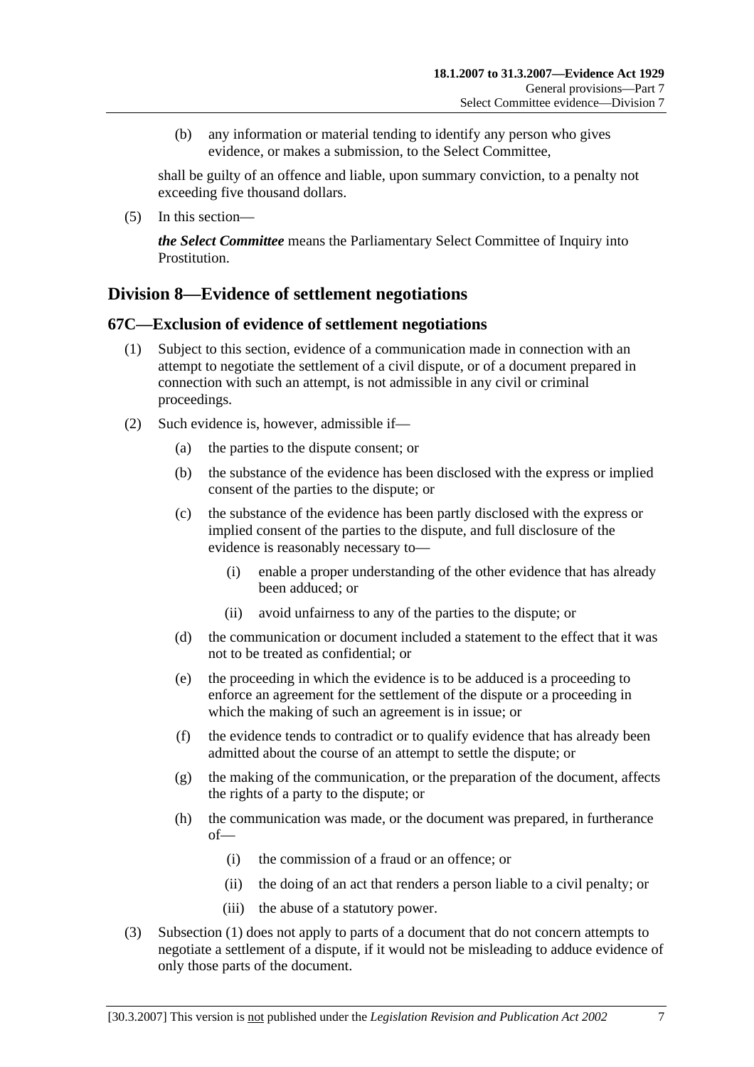(b) any information or material tending to identify any person who gives evidence, or makes a submission, to the Select Committee,

shall be guilty of an offence and liable, upon summary conviction, to a penalty not exceeding five thousand dollars.

(5) In this section—

*the Select Committee* means the Parliamentary Select Committee of Inquiry into Prostitution.

## **Division 8—Evidence of settlement negotiations**

#### **67C—Exclusion of evidence of settlement negotiations**

- (1) Subject to this section, evidence of a communication made in connection with an attempt to negotiate the settlement of a civil dispute, or of a document prepared in connection with such an attempt, is not admissible in any civil or criminal proceedings.
- (2) Such evidence is, however, admissible if—
	- (a) the parties to the dispute consent; or
	- (b) the substance of the evidence has been disclosed with the express or implied consent of the parties to the dispute; or
	- (c) the substance of the evidence has been partly disclosed with the express or implied consent of the parties to the dispute, and full disclosure of the evidence is reasonably necessary to—
		- (i) enable a proper understanding of the other evidence that has already been adduced; or
		- (ii) avoid unfairness to any of the parties to the dispute; or
	- (d) the communication or document included a statement to the effect that it was not to be treated as confidential; or
	- (e) the proceeding in which the evidence is to be adduced is a proceeding to enforce an agreement for the settlement of the dispute or a proceeding in which the making of such an agreement is in issue; or
	- (f) the evidence tends to contradict or to qualify evidence that has already been admitted about the course of an attempt to settle the dispute; or
	- (g) the making of the communication, or the preparation of the document, affects the rights of a party to the dispute; or
	- (h) the communication was made, or the document was prepared, in furtherance of—
		- (i) the commission of a fraud or an offence; or
		- (ii) the doing of an act that renders a person liable to a civil penalty; or
		- (iii) the abuse of a statutory power.
- (3) Subsection (1) does not apply to parts of a document that do not concern attempts to negotiate a settlement of a dispute, if it would not be misleading to adduce evidence of only those parts of the document.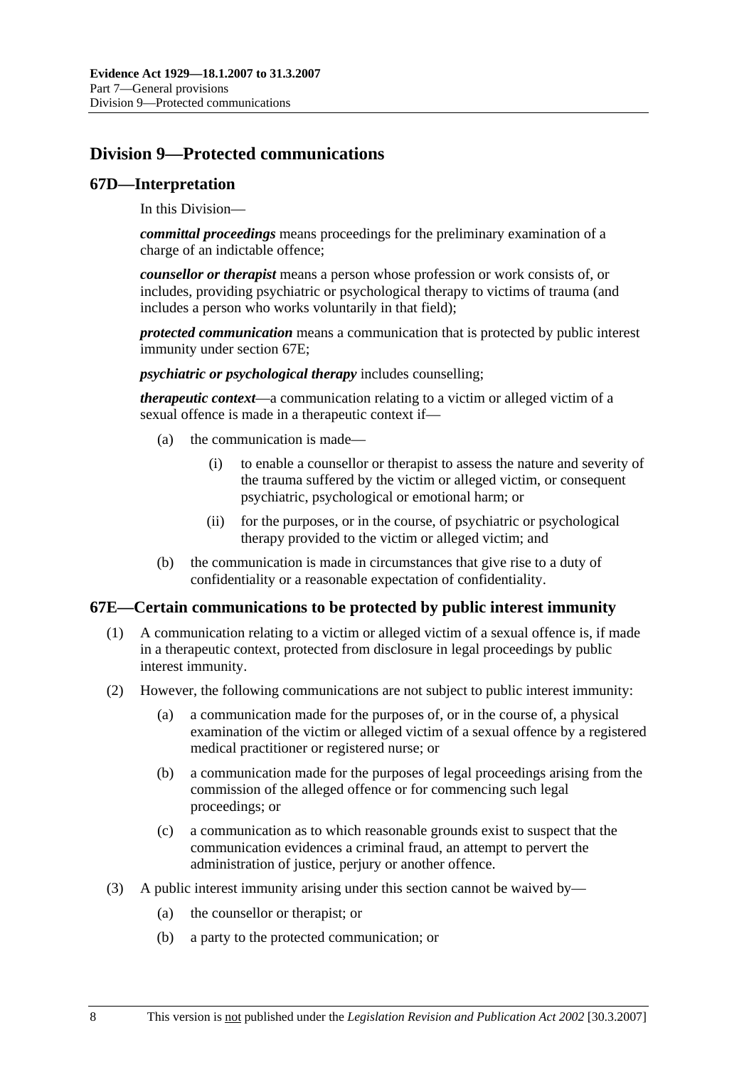# **Division 9—Protected communications**

#### **67D—Interpretation**

In this Division—

*committal proceedings* means proceedings for the preliminary examination of a charge of an indictable offence;

*counsellor or therapist* means a person whose profession or work consists of, or includes, providing psychiatric or psychological therapy to victims of trauma (and includes a person who works voluntarily in that field);

*protected communication* means a communication that is protected by public interest immunity under section 67E;

*psychiatric or psychological therapy* includes counselling;

*therapeutic context*—a communication relating to a victim or alleged victim of a sexual offence is made in a therapeutic context if—

- (a) the communication is made—
	- (i) to enable a counsellor or therapist to assess the nature and severity of the trauma suffered by the victim or alleged victim, or consequent psychiatric, psychological or emotional harm; or
	- (ii) for the purposes, or in the course, of psychiatric or psychological therapy provided to the victim or alleged victim; and
- (b) the communication is made in circumstances that give rise to a duty of confidentiality or a reasonable expectation of confidentiality.

#### **67E—Certain communications to be protected by public interest immunity**

- (1) A communication relating to a victim or alleged victim of a sexual offence is, if made in a therapeutic context, protected from disclosure in legal proceedings by public interest immunity.
- (2) However, the following communications are not subject to public interest immunity:
	- (a) a communication made for the purposes of, or in the course of, a physical examination of the victim or alleged victim of a sexual offence by a registered medical practitioner or registered nurse; or
	- (b) a communication made for the purposes of legal proceedings arising from the commission of the alleged offence or for commencing such legal proceedings; or
	- (c) a communication as to which reasonable grounds exist to suspect that the communication evidences a criminal fraud, an attempt to pervert the administration of justice, perjury or another offence.
- (3) A public interest immunity arising under this section cannot be waived by—
	- (a) the counsellor or therapist; or
	- (b) a party to the protected communication; or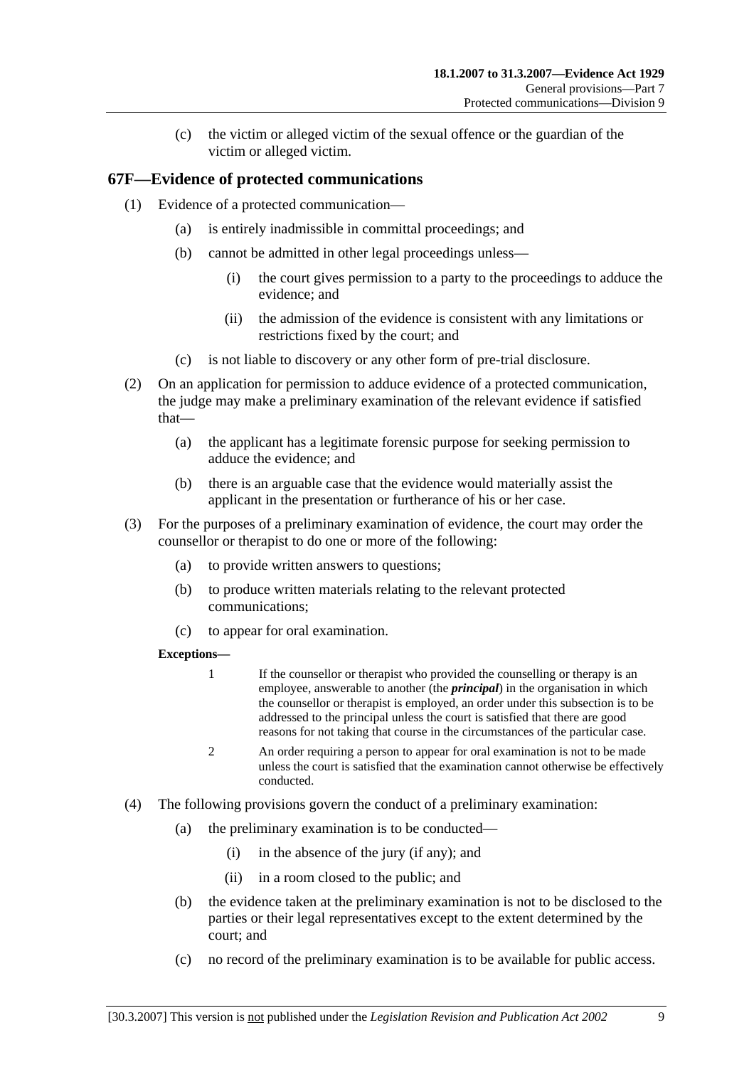(c) the victim or alleged victim of the sexual offence or the guardian of the victim or alleged victim.

## **67F—Evidence of protected communications**

- (1) Evidence of a protected communication—
	- (a) is entirely inadmissible in committal proceedings; and
	- (b) cannot be admitted in other legal proceedings unless—
		- (i) the court gives permission to a party to the proceedings to adduce the evidence; and
		- (ii) the admission of the evidence is consistent with any limitations or restrictions fixed by the court; and
	- (c) is not liable to discovery or any other form of pre-trial disclosure.
- (2) On an application for permission to adduce evidence of a protected communication, the judge may make a preliminary examination of the relevant evidence if satisfied that—
	- (a) the applicant has a legitimate forensic purpose for seeking permission to adduce the evidence; and
	- (b) there is an arguable case that the evidence would materially assist the applicant in the presentation or furtherance of his or her case.
- (3) For the purposes of a preliminary examination of evidence, the court may order the counsellor or therapist to do one or more of the following:
	- (a) to provide written answers to questions;
	- (b) to produce written materials relating to the relevant protected communications;
	- (c) to appear for oral examination.

#### **Exceptions—**

- 1 If the counsellor or therapist who provided the counselling or therapy is an employee, answerable to another (the *principal*) in the organisation in which the counsellor or therapist is employed, an order under this subsection is to be addressed to the principal unless the court is satisfied that there are good reasons for not taking that course in the circumstances of the particular case.
- 2 An order requiring a person to appear for oral examination is not to be made unless the court is satisfied that the examination cannot otherwise be effectively conducted.
- (4) The following provisions govern the conduct of a preliminary examination:
	- (a) the preliminary examination is to be conducted—
		- (i) in the absence of the jury (if any); and
		- (ii) in a room closed to the public; and
	- (b) the evidence taken at the preliminary examination is not to be disclosed to the parties or their legal representatives except to the extent determined by the court; and
	- (c) no record of the preliminary examination is to be available for public access.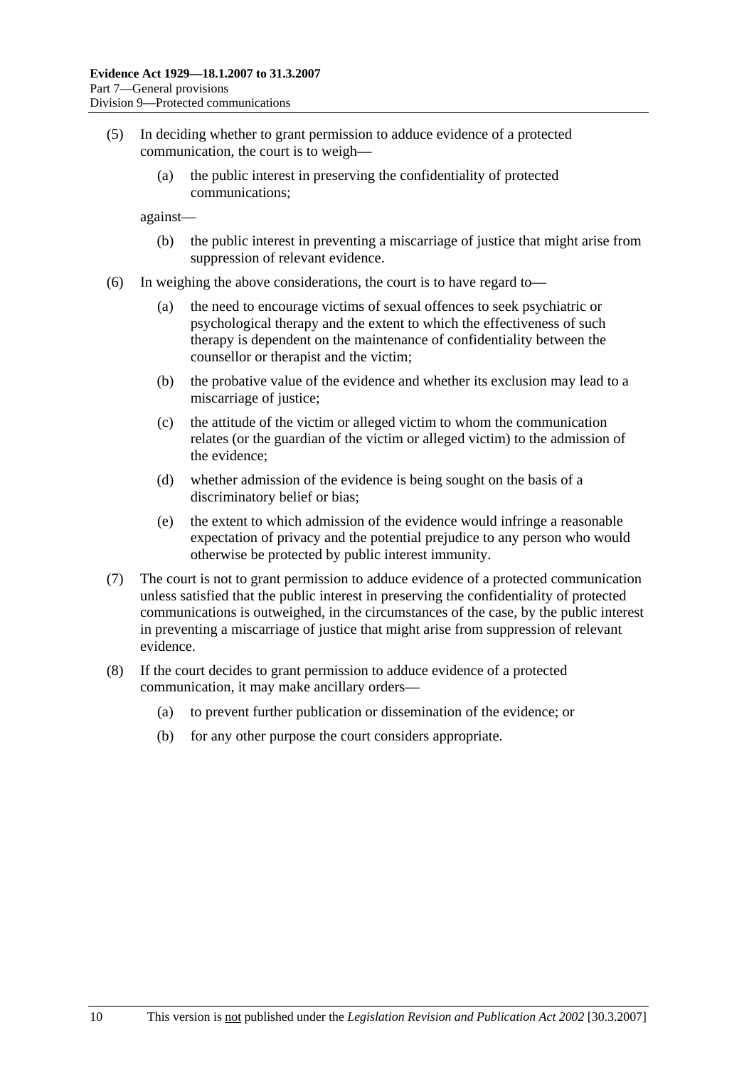- (5) In deciding whether to grant permission to adduce evidence of a protected communication, the court is to weigh—
	- (a) the public interest in preserving the confidentiality of protected communications;

against—

- (b) the public interest in preventing a miscarriage of justice that might arise from suppression of relevant evidence.
- (6) In weighing the above considerations, the court is to have regard to—
	- (a) the need to encourage victims of sexual offences to seek psychiatric or psychological therapy and the extent to which the effectiveness of such therapy is dependent on the maintenance of confidentiality between the counsellor or therapist and the victim;
	- (b) the probative value of the evidence and whether its exclusion may lead to a miscarriage of justice;
	- (c) the attitude of the victim or alleged victim to whom the communication relates (or the guardian of the victim or alleged victim) to the admission of the evidence;
	- (d) whether admission of the evidence is being sought on the basis of a discriminatory belief or bias;
	- (e) the extent to which admission of the evidence would infringe a reasonable expectation of privacy and the potential prejudice to any person who would otherwise be protected by public interest immunity.
- (7) The court is not to grant permission to adduce evidence of a protected communication unless satisfied that the public interest in preserving the confidentiality of protected communications is outweighed, in the circumstances of the case, by the public interest in preventing a miscarriage of justice that might arise from suppression of relevant evidence.
- (8) If the court decides to grant permission to adduce evidence of a protected communication, it may make ancillary orders—
	- (a) to prevent further publication or dissemination of the evidence; or
	- (b) for any other purpose the court considers appropriate.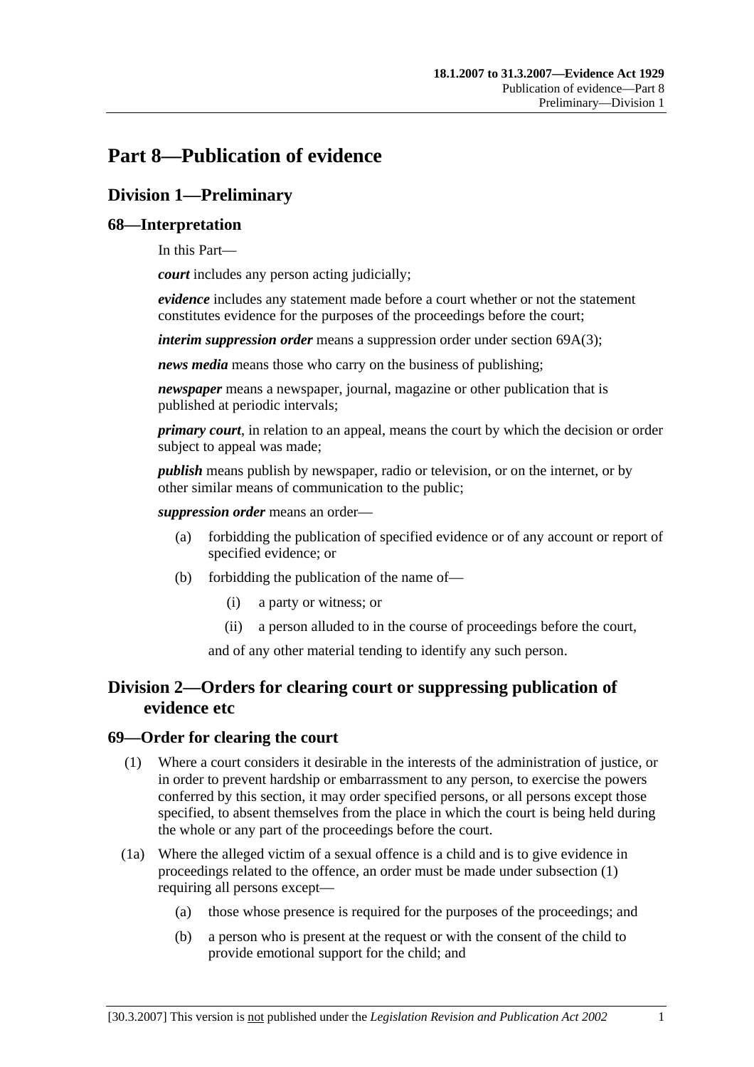# **Part 8—Publication of evidence**

# **Division 1—Preliminary**

## **68—Interpretation**

In this Part—

*court* includes any person acting judicially;

*evidence* includes any statement made before a court whether or not the statement constitutes evidence for the purposes of the proceedings before the court;

*interim suppression order* means a suppression order under section 69A(3);

*news media* means those who carry on the business of publishing;

*newspaper* means a newspaper, journal, magazine or other publication that is published at periodic intervals;

*primary court*, in relation to an appeal, means the court by which the decision or order subject to appeal was made;

*publish* means publish by newspaper, radio or television, or on the internet, or by other similar means of communication to the public;

*suppression order* means an order—

- (a) forbidding the publication of specified evidence or of any account or report of specified evidence; or
- (b) forbidding the publication of the name of—
	- (i) a party or witness; or
	- (ii) a person alluded to in the course of proceedings before the court,

and of any other material tending to identify any such person.

# **Division 2—Orders for clearing court or suppressing publication of evidence etc**

#### **69—Order for clearing the court**

- (1) Where a court considers it desirable in the interests of the administration of justice, or in order to prevent hardship or embarrassment to any person, to exercise the powers conferred by this section, it may order specified persons, or all persons except those specified, to absent themselves from the place in which the court is being held during the whole or any part of the proceedings before the court.
- (1a) Where the alleged victim of a sexual offence is a child and is to give evidence in proceedings related to the offence, an order must be made under subsection (1) requiring all persons except—
	- (a) those whose presence is required for the purposes of the proceedings; and
	- (b) a person who is present at the request or with the consent of the child to provide emotional support for the child; and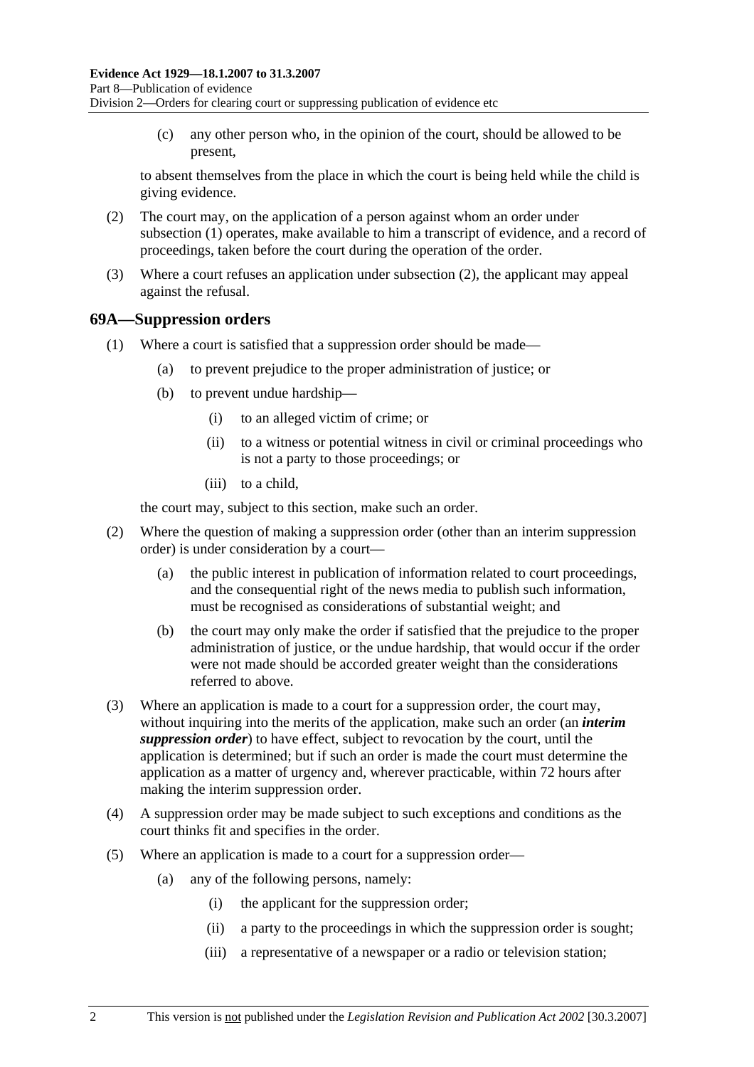(c) any other person who, in the opinion of the court, should be allowed to be present,

to absent themselves from the place in which the court is being held while the child is giving evidence.

- (2) The court may, on the application of a person against whom an order under subsection (1) operates, make available to him a transcript of evidence, and a record of proceedings, taken before the court during the operation of the order.
- (3) Where a court refuses an application under subsection (2), the applicant may appeal against the refusal.

#### **69A—Suppression orders**

- (1) Where a court is satisfied that a suppression order should be made—
	- (a) to prevent prejudice to the proper administration of justice; or
	- (b) to prevent undue hardship—
		- (i) to an alleged victim of crime; or
		- (ii) to a witness or potential witness in civil or criminal proceedings who is not a party to those proceedings; or
		- (iii) to a child,

the court may, subject to this section, make such an order.

- (2) Where the question of making a suppression order (other than an interim suppression order) is under consideration by a court—
	- (a) the public interest in publication of information related to court proceedings, and the consequential right of the news media to publish such information, must be recognised as considerations of substantial weight; and
	- (b) the court may only make the order if satisfied that the prejudice to the proper administration of justice, or the undue hardship, that would occur if the order were not made should be accorded greater weight than the considerations referred to above.
- (3) Where an application is made to a court for a suppression order, the court may, without inquiring into the merits of the application, make such an order (an *interim suppression order*) to have effect, subject to revocation by the court, until the application is determined; but if such an order is made the court must determine the application as a matter of urgency and, wherever practicable, within 72 hours after making the interim suppression order.
- (4) A suppression order may be made subject to such exceptions and conditions as the court thinks fit and specifies in the order.
- (5) Where an application is made to a court for a suppression order—
	- (a) any of the following persons, namely:
		- (i) the applicant for the suppression order;
		- (ii) a party to the proceedings in which the suppression order is sought;
		- (iii) a representative of a newspaper or a radio or television station;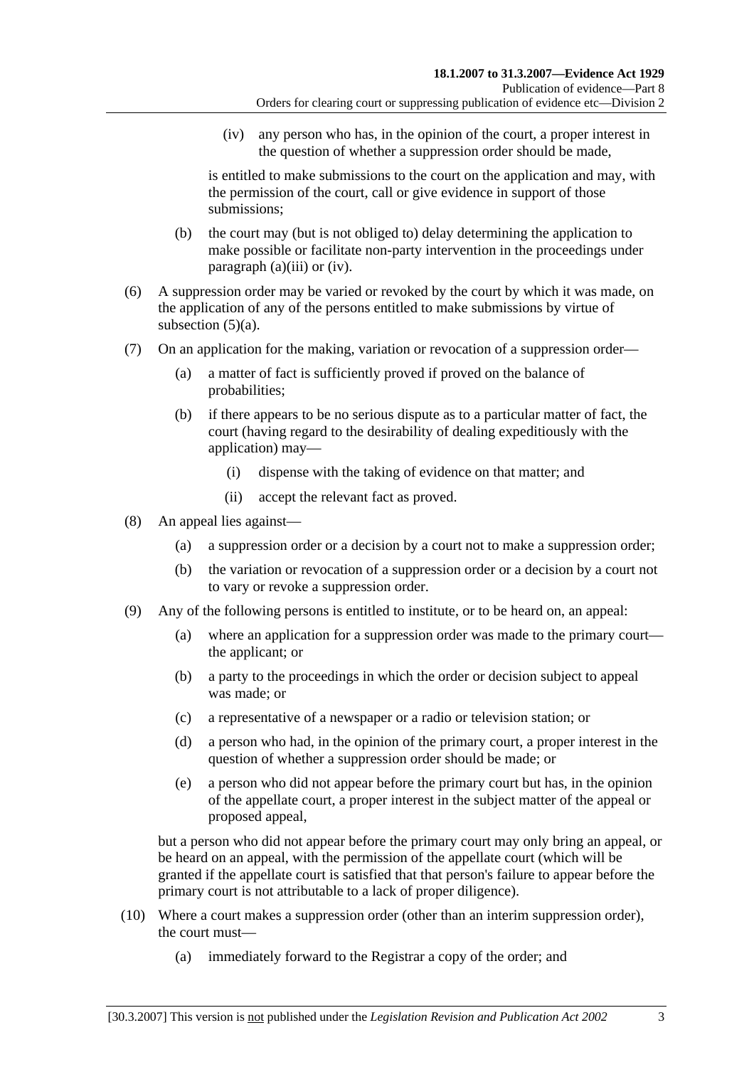(iv) any person who has, in the opinion of the court, a proper interest in the question of whether a suppression order should be made,

is entitled to make submissions to the court on the application and may, with the permission of the court, call or give evidence in support of those submissions;

- (b) the court may (but is not obliged to) delay determining the application to make possible or facilitate non-party intervention in the proceedings under paragraph (a)(iii) or (iv).
- (6) A suppression order may be varied or revoked by the court by which it was made, on the application of any of the persons entitled to make submissions by virtue of subsection  $(5)(a)$ .
- (7) On an application for the making, variation or revocation of a suppression order—
	- (a) a matter of fact is sufficiently proved if proved on the balance of probabilities;
	- (b) if there appears to be no serious dispute as to a particular matter of fact, the court (having regard to the desirability of dealing expeditiously with the application) may—
		- (i) dispense with the taking of evidence on that matter; and
		- (ii) accept the relevant fact as proved.
- (8) An appeal lies against—
	- (a) a suppression order or a decision by a court not to make a suppression order;
	- (b) the variation or revocation of a suppression order or a decision by a court not to vary or revoke a suppression order.
- (9) Any of the following persons is entitled to institute, or to be heard on, an appeal:
	- (a) where an application for a suppression order was made to the primary court the applicant; or
	- (b) a party to the proceedings in which the order or decision subject to appeal was made; or
	- (c) a representative of a newspaper or a radio or television station; or
	- (d) a person who had, in the opinion of the primary court, a proper interest in the question of whether a suppression order should be made; or
	- (e) a person who did not appear before the primary court but has, in the opinion of the appellate court, a proper interest in the subject matter of the appeal or proposed appeal,

but a person who did not appear before the primary court may only bring an appeal, or be heard on an appeal, with the permission of the appellate court (which will be granted if the appellate court is satisfied that that person's failure to appear before the primary court is not attributable to a lack of proper diligence).

- (10) Where a court makes a suppression order (other than an interim suppression order), the court must—
	- (a) immediately forward to the Registrar a copy of the order; and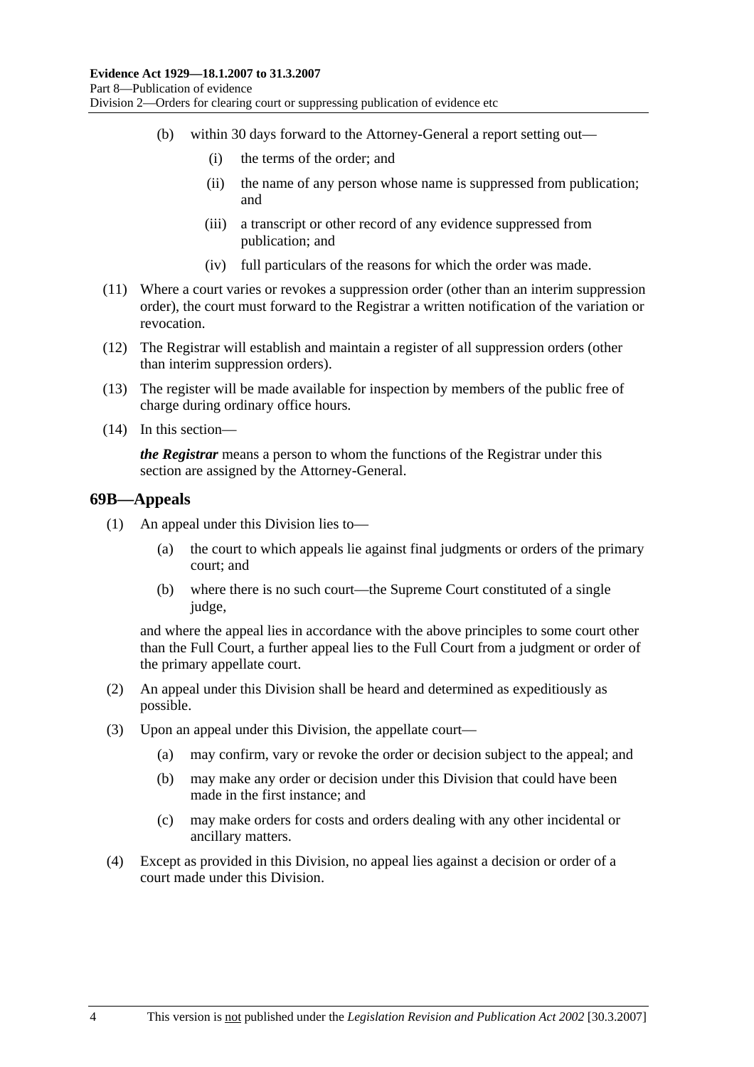- (b) within 30 days forward to the Attorney-General a report setting out—
	- (i) the terms of the order; and
	- (ii) the name of any person whose name is suppressed from publication; and
	- (iii) a transcript or other record of any evidence suppressed from publication; and
	- (iv) full particulars of the reasons for which the order was made.
- (11) Where a court varies or revokes a suppression order (other than an interim suppression order), the court must forward to the Registrar a written notification of the variation or revocation.
- (12) The Registrar will establish and maintain a register of all suppression orders (other than interim suppression orders).
- (13) The register will be made available for inspection by members of the public free of charge during ordinary office hours.
- (14) In this section—

*the Registrar* means a person to whom the functions of the Registrar under this section are assigned by the Attorney-General.

#### **69B—Appeals**

- (1) An appeal under this Division lies to—
	- (a) the court to which appeals lie against final judgments or orders of the primary court; and
	- (b) where there is no such court—the Supreme Court constituted of a single judge.

and where the appeal lies in accordance with the above principles to some court other than the Full Court, a further appeal lies to the Full Court from a judgment or order of the primary appellate court.

- (2) An appeal under this Division shall be heard and determined as expeditiously as possible.
- (3) Upon an appeal under this Division, the appellate court—
	- (a) may confirm, vary or revoke the order or decision subject to the appeal; and
	- (b) may make any order or decision under this Division that could have been made in the first instance; and
	- (c) may make orders for costs and orders dealing with any other incidental or ancillary matters.
- (4) Except as provided in this Division, no appeal lies against a decision or order of a court made under this Division.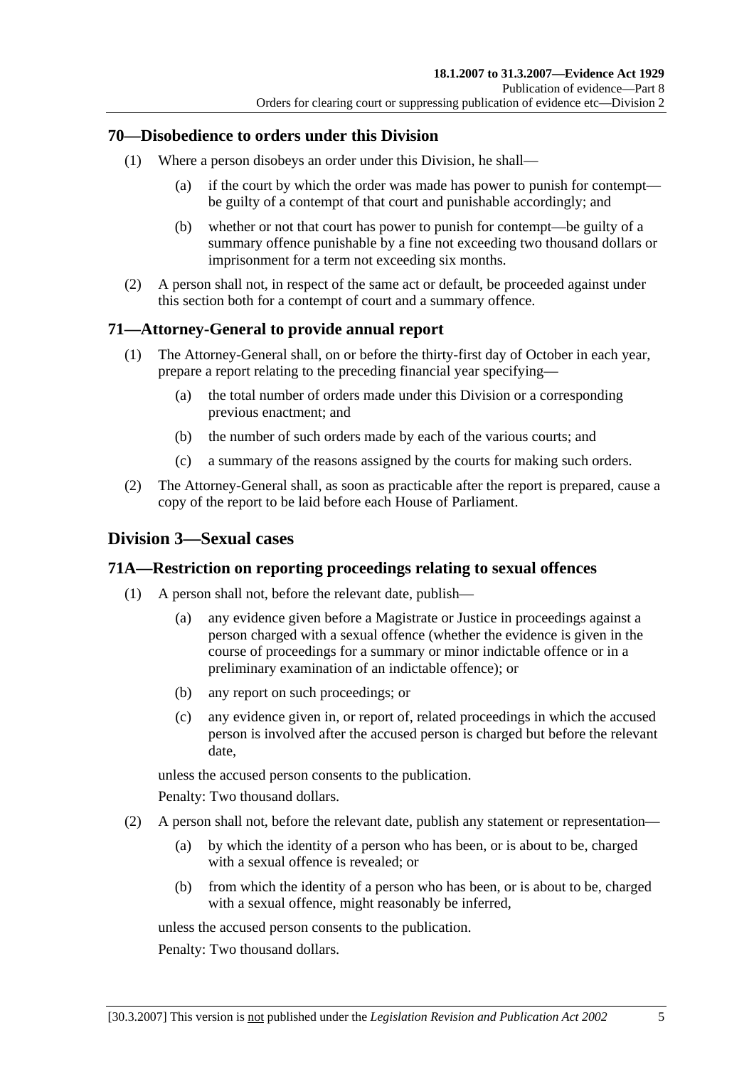#### **70—Disobedience to orders under this Division**

- (1) Where a person disobeys an order under this Division, he shall—
	- (a) if the court by which the order was made has power to punish for contempt be guilty of a contempt of that court and punishable accordingly; and
	- (b) whether or not that court has power to punish for contempt—be guilty of a summary offence punishable by a fine not exceeding two thousand dollars or imprisonment for a term not exceeding six months.
- (2) A person shall not, in respect of the same act or default, be proceeded against under this section both for a contempt of court and a summary offence.

## **71—Attorney-General to provide annual report**

- (1) The Attorney-General shall, on or before the thirty-first day of October in each year, prepare a report relating to the preceding financial year specifying—
	- (a) the total number of orders made under this Division or a corresponding previous enactment; and
	- (b) the number of such orders made by each of the various courts; and
	- (c) a summary of the reasons assigned by the courts for making such orders.
- (2) The Attorney-General shall, as soon as practicable after the report is prepared, cause a copy of the report to be laid before each House of Parliament.

#### **Division 3—Sexual cases**

#### **71A—Restriction on reporting proceedings relating to sexual offences**

- (1) A person shall not, before the relevant date, publish—
	- (a) any evidence given before a Magistrate or Justice in proceedings against a person charged with a sexual offence (whether the evidence is given in the course of proceedings for a summary or minor indictable offence or in a preliminary examination of an indictable offence); or
	- (b) any report on such proceedings; or
	- (c) any evidence given in, or report of, related proceedings in which the accused person is involved after the accused person is charged but before the relevant date,

unless the accused person consents to the publication.

Penalty: Two thousand dollars.

- (2) A person shall not, before the relevant date, publish any statement or representation—
	- (a) by which the identity of a person who has been, or is about to be, charged with a sexual offence is revealed; or
	- (b) from which the identity of a person who has been, or is about to be, charged with a sexual offence, might reasonably be inferred,

unless the accused person consents to the publication.

Penalty: Two thousand dollars.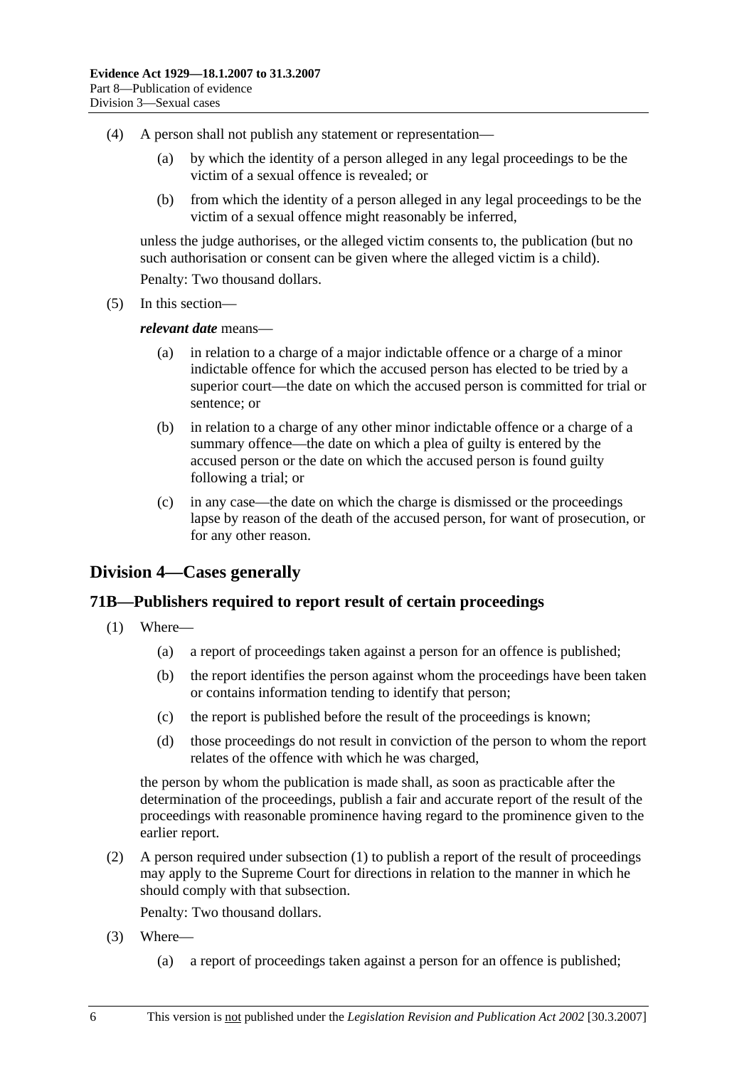- (4) A person shall not publish any statement or representation—
	- (a) by which the identity of a person alleged in any legal proceedings to be the victim of a sexual offence is revealed; or
	- (b) from which the identity of a person alleged in any legal proceedings to be the victim of a sexual offence might reasonably be inferred,

unless the judge authorises, or the alleged victim consents to, the publication (but no such authorisation or consent can be given where the alleged victim is a child).

Penalty: Two thousand dollars.

(5) In this section—

*relevant date* means—

- (a) in relation to a charge of a major indictable offence or a charge of a minor indictable offence for which the accused person has elected to be tried by a superior court—the date on which the accused person is committed for trial or sentence; or
- (b) in relation to a charge of any other minor indictable offence or a charge of a summary offence—the date on which a plea of guilty is entered by the accused person or the date on which the accused person is found guilty following a trial; or
- (c) in any case—the date on which the charge is dismissed or the proceedings lapse by reason of the death of the accused person, for want of prosecution, or for any other reason.

## **Division 4—Cases generally**

#### **71B—Publishers required to report result of certain proceedings**

- (1) Where—
	- (a) a report of proceedings taken against a person for an offence is published;
	- (b) the report identifies the person against whom the proceedings have been taken or contains information tending to identify that person;
	- (c) the report is published before the result of the proceedings is known;
	- (d) those proceedings do not result in conviction of the person to whom the report relates of the offence with which he was charged,

the person by whom the publication is made shall, as soon as practicable after the determination of the proceedings, publish a fair and accurate report of the result of the proceedings with reasonable prominence having regard to the prominence given to the earlier report.

 (2) A person required under subsection (1) to publish a report of the result of proceedings may apply to the Supreme Court for directions in relation to the manner in which he should comply with that subsection.

Penalty: Two thousand dollars.

- (3) Where—
	- (a) a report of proceedings taken against a person for an offence is published;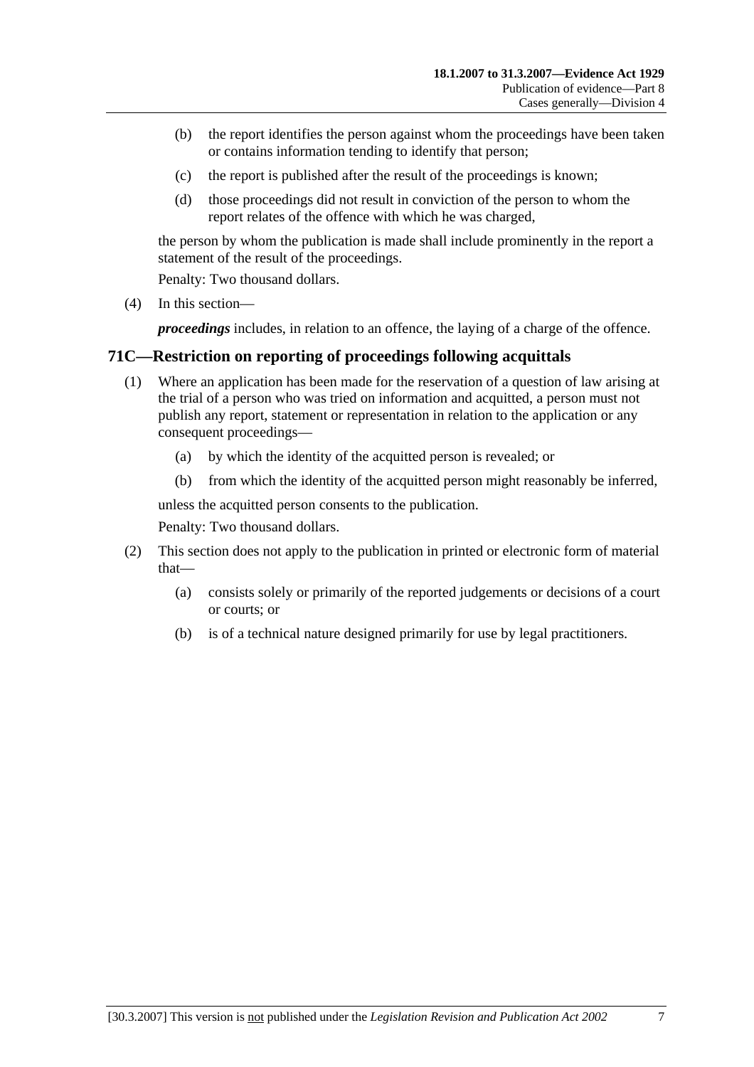- (b) the report identifies the person against whom the proceedings have been taken or contains information tending to identify that person;
- (c) the report is published after the result of the proceedings is known;
- (d) those proceedings did not result in conviction of the person to whom the report relates of the offence with which he was charged,

the person by whom the publication is made shall include prominently in the report a statement of the result of the proceedings.

Penalty: Two thousand dollars.

(4) In this section—

*proceedings* includes, in relation to an offence, the laying of a charge of the offence.

#### **71C—Restriction on reporting of proceedings following acquittals**

- (1) Where an application has been made for the reservation of a question of law arising at the trial of a person who was tried on information and acquitted, a person must not publish any report, statement or representation in relation to the application or any consequent proceedings—
	- (a) by which the identity of the acquitted person is revealed; or
	- (b) from which the identity of the acquitted person might reasonably be inferred,

unless the acquitted person consents to the publication.

Penalty: Two thousand dollars.

- (2) This section does not apply to the publication in printed or electronic form of material that—
	- (a) consists solely or primarily of the reported judgements or decisions of a court or courts; or
	- (b) is of a technical nature designed primarily for use by legal practitioners.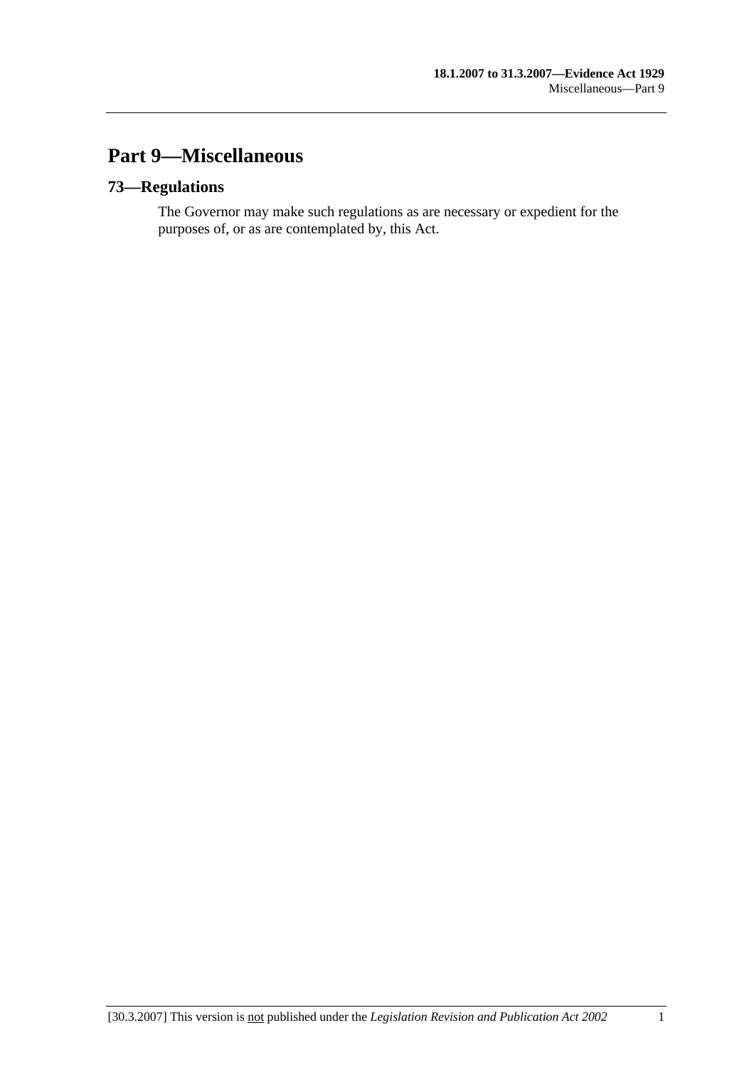# **Part 9—Miscellaneous**

## **73—Regulations**

The Governor may make such regulations as are necessary or expedient for the purposes of, or as are contemplated by, this Act.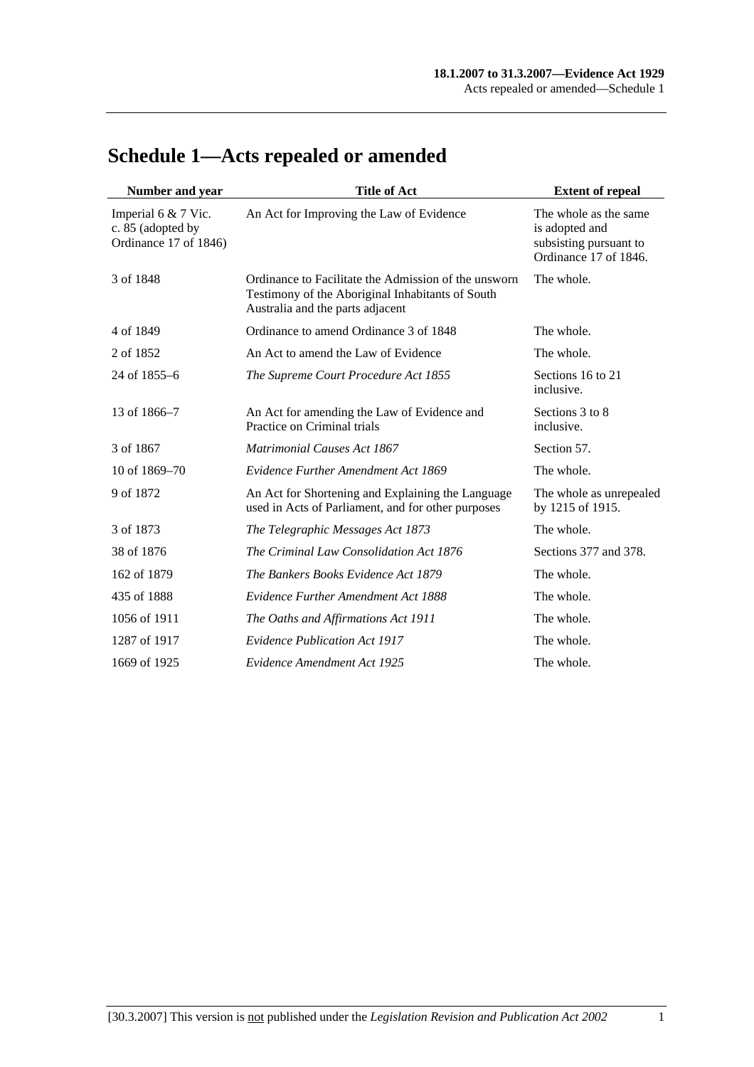| Number and year                                                   | <b>Title of Act</b>                                                                                                                          | <b>Extent of repeal</b>                                                                    |
|-------------------------------------------------------------------|----------------------------------------------------------------------------------------------------------------------------------------------|--------------------------------------------------------------------------------------------|
| Imperial 6 & 7 Vic.<br>c. 85 (adopted by<br>Ordinance 17 of 1846) | An Act for Improving the Law of Evidence                                                                                                     | The whole as the same<br>is adopted and<br>subsisting pursuant to<br>Ordinance 17 of 1846. |
| 3 of 1848                                                         | Ordinance to Facilitate the Admission of the unsworn<br>Testimony of the Aboriginal Inhabitants of South<br>Australia and the parts adjacent | The whole.                                                                                 |
| 4 of 1849                                                         | Ordinance to amend Ordinance 3 of 1848                                                                                                       | The whole.                                                                                 |
| 2 of 1852                                                         | An Act to amend the Law of Evidence                                                                                                          | The whole.                                                                                 |
| 24 of 1855–6                                                      | The Supreme Court Procedure Act 1855                                                                                                         | Sections 16 to 21<br>inclusive.                                                            |
| 13 of 1866-7                                                      | An Act for amending the Law of Evidence and<br>Practice on Criminal trials                                                                   | Sections 3 to 8<br>inclusive.                                                              |
| 3 of 1867                                                         | <b>Matrimonial Causes Act 1867</b>                                                                                                           | Section 57.                                                                                |
| 10 of 1869–70                                                     | Evidence Further Amendment Act 1869                                                                                                          | The whole.                                                                                 |
| 9 of 1872                                                         | An Act for Shortening and Explaining the Language<br>used in Acts of Parliament, and for other purposes                                      | The whole as unrepealed<br>by 1215 of 1915.                                                |
| 3 of 1873                                                         | The Telegraphic Messages Act 1873                                                                                                            | The whole.                                                                                 |
| 38 of 1876                                                        | The Criminal Law Consolidation Act 1876                                                                                                      | Sections 377 and 378.                                                                      |
| 162 of 1879                                                       | The Bankers Books Evidence Act 1879                                                                                                          | The whole.                                                                                 |
| 435 of 1888                                                       | <b>Evidence Further Amendment Act 1888</b>                                                                                                   | The whole.                                                                                 |
| 1056 of 1911                                                      | The Oaths and Affirmations Act 1911                                                                                                          | The whole.                                                                                 |
| 1287 of 1917                                                      | <b>Evidence Publication Act 1917</b>                                                                                                         | The whole.                                                                                 |
| 1669 of 1925                                                      | Evidence Amendment Act 1925                                                                                                                  | The whole.                                                                                 |

# **Schedule 1—Acts repealed or amended**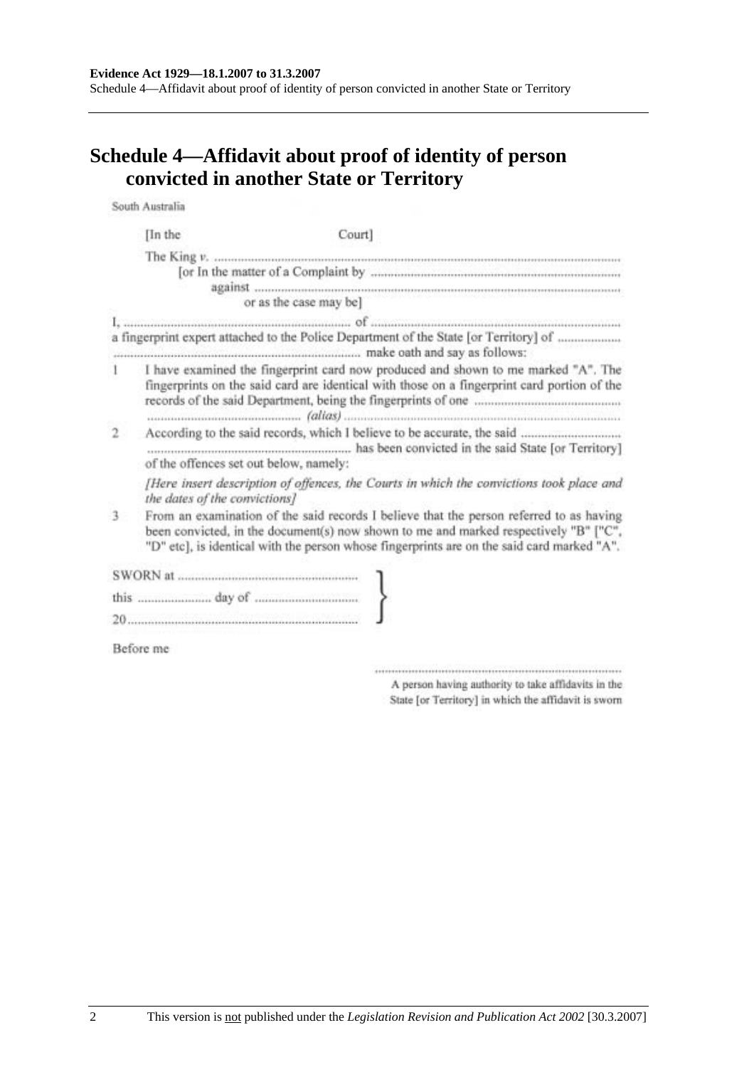# **Schedule 4—Affidavit about proof of identity of person convicted in another State or Territory**

South Australia

|              | [In the                                                                                                                                                                          | Court]                                                                                                                                                                                                                                                                        |
|--------------|----------------------------------------------------------------------------------------------------------------------------------------------------------------------------------|-------------------------------------------------------------------------------------------------------------------------------------------------------------------------------------------------------------------------------------------------------------------------------|
|              |                                                                                                                                                                                  | or as the case may be]                                                                                                                                                                                                                                                        |
|              |                                                                                                                                                                                  |                                                                                                                                                                                                                                                                               |
|              |                                                                                                                                                                                  | a fingerprint expert attached to the Police Department of the State [or Territory] of                                                                                                                                                                                         |
|              | I have examined the fingerprint card now produced and shown to me marked "A". The<br>fingerprints on the said card are identical with those on a fingerprint card portion of the |                                                                                                                                                                                                                                                                               |
| $\mathbf{2}$ |                                                                                                                                                                                  | of the offences set out below, namely:                                                                                                                                                                                                                                        |
|              |                                                                                                                                                                                  | [Here insert description of offences, the Courts in which the convictions took place and<br>the dates of the convictions]                                                                                                                                                     |
| 3            |                                                                                                                                                                                  | From an examination of the said records I believe that the person referred to as having<br>been convicted, in the document(s) now shown to me and marked respectively "B" ["C",<br>"D" etc], is identical with the person whose fingerprints are on the said card marked "A". |
|              |                                                                                                                                                                                  |                                                                                                                                                                                                                                                                               |
|              |                                                                                                                                                                                  |                                                                                                                                                                                                                                                                               |
|              |                                                                                                                                                                                  |                                                                                                                                                                                                                                                                               |
|              | Before me                                                                                                                                                                        |                                                                                                                                                                                                                                                                               |

 $\begin{minipage}{0.9\linewidth} \begin{minipage}{0.9\linewidth} \begin{minipage}{0.9\linewidth} \end{minipage} \begin{minipage}{0.9\linewidth} \begin{minipage}{0.9\linewidth} \end{minipage} \begin{minipage}{0.9\linewidth} \end{minipage} \begin{minipage}{0.9\linewidth} \end{minipage} \begin{minipage}{0.9\linewidth} \end{minipage} \begin{minipage}{0.9\linewidth} \end{minipage} \begin{minipage}{0.9\linewidth} \end{minipage} \begin{minipage}{0.9\linewidth} \end{minipage} \begin{minipage}{0.9\linewidth} \end{minipage} \$ A person having authority to take affidavits in the State [or Territory] in which the affidavit is sworn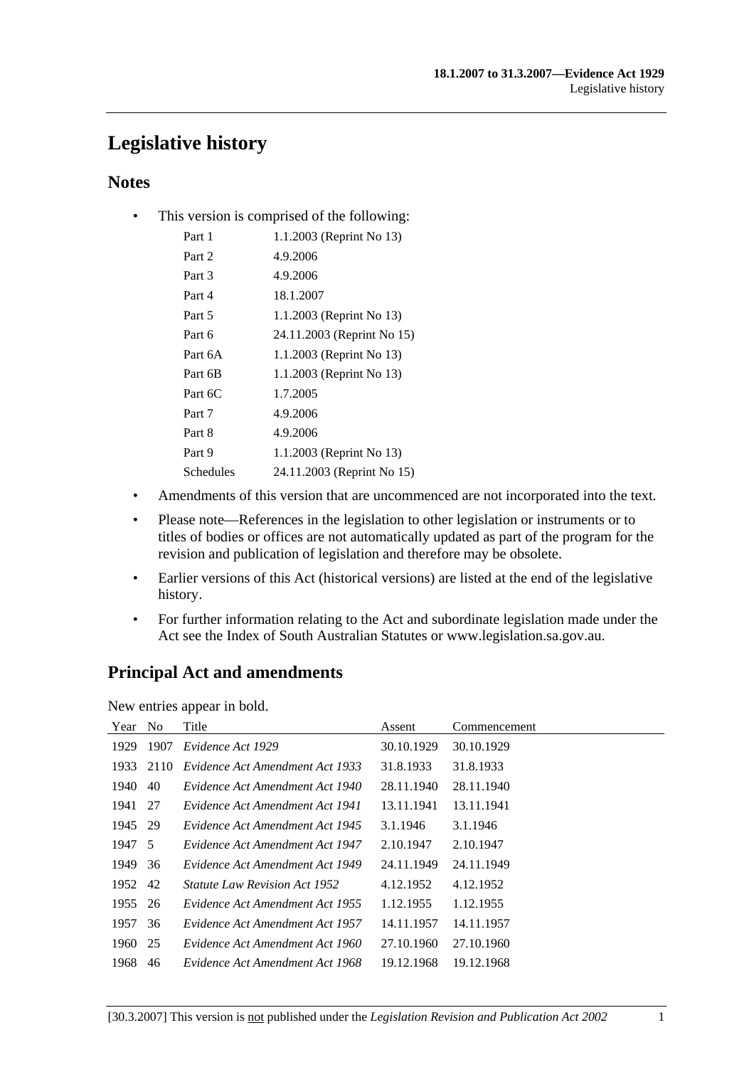# **Legislative history**

### **Notes**

• This version is comprised of the following:

| Part 1    | 1.1.2003 (Reprint No 13)   |
|-----------|----------------------------|
| Part 2    | 4.9.2006                   |
| Part 3    | 4.9.2006                   |
| Part 4    | 18.1.2007                  |
| Part 5    | 1.1.2003 (Reprint No 13)   |
| Part 6    | 24.11.2003 (Reprint No 15) |
| Part 6A   | 1.1.2003 (Reprint No 13)   |
| Part 6B   | 1.1.2003 (Reprint No 13)   |
| Part 6C   | 1.7.2005                   |
| Part 7    | 4.9.2006                   |
| Part 8    | 4.9.2006                   |
| Part 9    | 1.1.2003 (Reprint No 13)   |
| Schedules | 24.11.2003 (Reprint No 15) |
|           |                            |

- Amendments of this version that are uncommenced are not incorporated into the text.
- Please note—References in the legislation to other legislation or instruments or to titles of bodies or offices are not automatically updated as part of the program for the revision and publication of legislation and therefore may be obsolete.
- Earlier versions of this Act (historical versions) are listed at the end of the legislative history.
- For further information relating to the Act and subordinate legislation made under the Act see the Index of South Australian Statutes or www.legislation.sa.gov.au.

## **Principal Act and amendments**

New entries appear in bold.

| Year No |      | Title                                | Assent     | Commencement |
|---------|------|--------------------------------------|------------|--------------|
| 1929    | 1907 | Evidence Act 1929                    | 30.10.1929 | 30.10.1929   |
| 1933    | 2110 | Evidence Act Amendment Act 1933      | 31.8.1933  | 31.8.1933    |
| 1940    | -40  | Evidence Act Amendment Act 1940      | 28.11.1940 | 28.11.1940   |
| 1941 27 |      | Evidence Act Amendment Act 1941      | 13.11.1941 | 13.11.1941   |
| 1945 29 |      | Evidence Act Amendment Act 1945      | 3.1.1946   | 3.1.1946     |
| 1947 5  |      | Evidence Act Amendment Act 1947      | 2.10.1947  | 2.10.1947    |
| 1949    | 36   | Evidence Act Amendment Act 1949      | 24.11.1949 | 24.11.1949   |
| 1952 42 |      | <i>Statute Law Revision Act 1952</i> | 4.12.1952  | 4.12.1952    |
| 1955    | 26   | Evidence Act Amendment Act 1955      | 1.12.1955  | 1.12.1955    |
| 1957    | 36   | Evidence Act Amendment Act 1957      | 14.11.1957 | 14.11.1957   |
| 1960    | 25   | Evidence Act Amendment Act 1960      | 27.10.1960 | 27.10.1960   |
| 1968    | 46   | Evidence Act Amendment Act 1968      | 19.12.1968 | 19.12.1968   |
|         |      |                                      |            |              |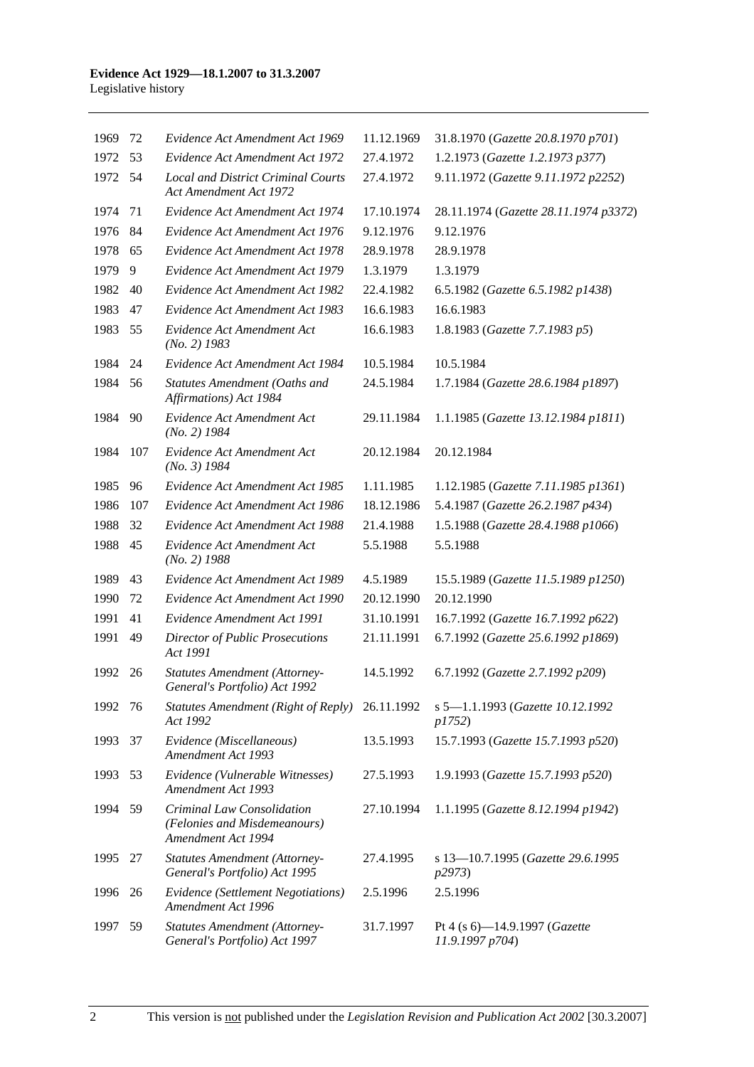| 1969    | 72  | Evidence Act Amendment Act 1969                                                  | 11.12.1969 | 31.8.1970 (Gazette 20.8.1970 p701)               |
|---------|-----|----------------------------------------------------------------------------------|------------|--------------------------------------------------|
| 1972    | 53  | Evidence Act Amendment Act 1972                                                  | 27.4.1972  | 1.2.1973 (Gazette 1.2.1973 p377)                 |
| 1972    | 54  | <b>Local and District Criminal Courts</b><br><b>Act Amendment Act 1972</b>       | 27.4.1972  | 9.11.1972 (Gazette 9.11.1972 p2252)              |
| 1974    | 71  | Evidence Act Amendment Act 1974                                                  | 17.10.1974 | 28.11.1974 (Gazette 28.11.1974 p3372)            |
| 1976    | 84  | Evidence Act Amendment Act 1976                                                  | 9.12.1976  | 9.12.1976                                        |
| 1978    | 65  | Evidence Act Amendment Act 1978                                                  | 28.9.1978  | 28.9.1978                                        |
| 1979    | 9   | Evidence Act Amendment Act 1979                                                  | 1.3.1979   | 1.3.1979                                         |
| 1982    | 40  | Evidence Act Amendment Act 1982                                                  | 22.4.1982  | 6.5.1982 (Gazette 6.5.1982 p1438)                |
| 1983    | 47  | Evidence Act Amendment Act 1983                                                  | 16.6.1983  | 16.6.1983                                        |
| 1983    | 55  | Evidence Act Amendment Act<br>$(No. 2)$ 1983                                     | 16.6.1983  | 1.8.1983 (Gazette 7.7.1983 p5)                   |
| 1984    | 24  | Evidence Act Amendment Act 1984                                                  | 10.5.1984  | 10.5.1984                                        |
| 1984    | 56  | Statutes Amendment (Oaths and<br>Affirmations) Act 1984                          | 24.5.1984  | 1.7.1984 (Gazette 28.6.1984 p1897)               |
| 1984    | 90  | Evidence Act Amendment Act<br>$(No. 2)$ 1984                                     | 29.11.1984 | 1.1.1985 (Gazette 13.12.1984 p1811)              |
| 1984    | 107 | Evidence Act Amendment Act<br>$(No. 3)$ 1984                                     | 20.12.1984 | 20.12.1984                                       |
| 1985    | 96  | Evidence Act Amendment Act 1985                                                  | 1.11.1985  | 1.12.1985 (Gazette 7.11.1985 p1361)              |
| 1986    | 107 | Evidence Act Amendment Act 1986                                                  | 18.12.1986 | 5.4.1987 (Gazette 26.2.1987 p434)                |
| 1988    | 32  | Evidence Act Amendment Act 1988                                                  | 21.4.1988  | 1.5.1988 (Gazette 28.4.1988 p1066)               |
| 1988    | 45  | Evidence Act Amendment Act<br>$(No. 2)$ 1988                                     | 5.5.1988   | 5.5.1988                                         |
| 1989    | 43  | Evidence Act Amendment Act 1989                                                  | 4.5.1989   | 15.5.1989 (Gazette 11.5.1989 p1250)              |
| 1990    | 72  | Evidence Act Amendment Act 1990                                                  | 20.12.1990 | 20.12.1990                                       |
| 1991    | 41  | Evidence Amendment Act 1991                                                      | 31.10.1991 | 16.7.1992 (Gazette 16.7.1992 p622)               |
| 1991    | 49  | Director of Public Prosecutions<br>Act 1991                                      | 21.11.1991 | 6.7.1992 (Gazette 25.6.1992 p1869)               |
| 1992    | 26  | <b>Statutes Amendment (Attorney-</b><br>General's Portfolio) Act 1992            | 14.5.1992  | 6.7.1992 (Gazette 2.7.1992 p209)                 |
| 1992 76 |     | Statutes Amendment (Right of Reply)<br>Act 1992                                  | 26.11.1992 | s 5-1.1.1993 (Gazette 10.12.1992<br>p1752)       |
| 1993    | 37  | Evidence (Miscellaneous)<br>Amendment Act 1993                                   | 13.5.1993  | 15.7.1993 (Gazette 15.7.1993 p520)               |
| 1993    | 53  | Evidence (Vulnerable Witnesses)<br>Amendment Act 1993                            | 27.5.1993  | 1.9.1993 (Gazette 15.7.1993 p520)                |
| 1994    | 59  | Criminal Law Consolidation<br>(Felonies and Misdemeanours)<br>Amendment Act 1994 | 27.10.1994 | 1.1.1995 (Gazette 8.12.1994 p1942)               |
| 1995    | 27  | <b>Statutes Amendment (Attorney-</b><br>General's Portfolio) Act 1995            | 27.4.1995  | s 13-10.7.1995 (Gazette 29.6.1995)<br>p2973)     |
| 1996    | 26  | <b>Evidence</b> (Settlement Negotiations)<br>Amendment Act 1996                  | 2.5.1996   | 2.5.1996                                         |
| 1997    | 59  | <b>Statutes Amendment (Attorney-</b><br>General's Portfolio) Act 1997            | 31.7.1997  | Pt 4 (s 6)-14.9.1997 (Gazette<br>11.9.1997 p704) |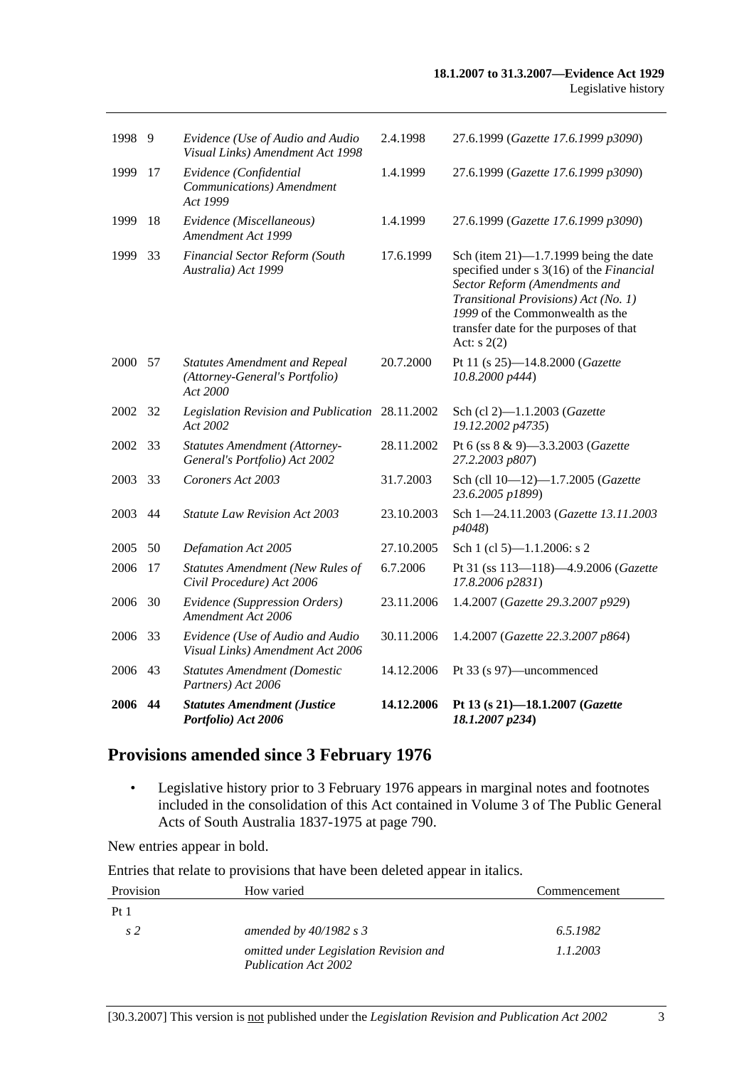| 2006    | 44  | <b>Statutes Amendment (Justice</b><br>Portfolio) Act 2006                          | 14.12.2006 | Pt 13 (s 21)-18.1.2007 (Gazette<br>18.1.2007 p234)                                                                                                                                                                                                        |
|---------|-----|------------------------------------------------------------------------------------|------------|-----------------------------------------------------------------------------------------------------------------------------------------------------------------------------------------------------------------------------------------------------------|
| 2006    | 43  | <b>Statutes Amendment (Domestic</b><br>Partners) Act 2006                          | 14.12.2006 | Pt 33 (s 97)—uncommenced                                                                                                                                                                                                                                  |
| 2006    | 33  | Evidence (Use of Audio and Audio<br>Visual Links) Amendment Act 2006               | 30.11.2006 | 1.4.2007 (Gazette 22.3.2007 p864)                                                                                                                                                                                                                         |
| 2006    | 30  | Evidence (Suppression Orders)<br>Amendment Act 2006                                | 23.11.2006 | 1.4.2007 (Gazette 29.3.2007 p929)                                                                                                                                                                                                                         |
| 2006    | 17  | <b>Statutes Amendment (New Rules of</b><br>Civil Procedure) Act 2006               | 6.7.2006   | Pt 31 (ss 113-118)-4.9.2006 (Gazette<br>17.8.2006 p2831)                                                                                                                                                                                                  |
| 2005    | 50  | Defamation Act 2005                                                                | 27.10.2005 | Sch 1 (cl 5)-1.1.2006: s 2                                                                                                                                                                                                                                |
| 2003    | 44  | <b>Statute Law Revision Act 2003</b>                                               | 23.10.2003 | Sch 1-24.11.2003 (Gazette 13.11.2003<br>p4048)                                                                                                                                                                                                            |
| 2003    | 33  | Coroners Act 2003                                                                  | 31.7.2003  | Sch (cll 10-12)-1.7.2005 (Gazette<br>23.6.2005 p1899)                                                                                                                                                                                                     |
| 2002    | 33  | <b>Statutes Amendment (Attorney-</b><br>General's Portfolio) Act 2002              | 28.11.2002 | Pt 6 (ss 8 & 9)-3.3.2003 (Gazette<br>27.2.2003 p807)                                                                                                                                                                                                      |
| 2002    | -32 | Legislation Revision and Publication 28.11.2002<br>Act 2002                        |            | Sch (cl 2)-1.1.2003 (Gazette<br>19.12.2002 p4735)                                                                                                                                                                                                         |
| 2000 57 |     | <b>Statutes Amendment and Repeal</b><br>(Attorney-General's Portfolio)<br>Act 2000 | 20.7.2000  | Pt 11 (s 25)-14.8.2000 (Gazette<br>10.8.2000 p444)                                                                                                                                                                                                        |
| 1999    | 33  | Financial Sector Reform (South<br>Australia) Act 1999                              | 17.6.1999  | Sch (item $21$ )-1.7.1999 being the date<br>specified under s 3(16) of the Financial<br>Sector Reform (Amendments and<br>Transitional Provisions) Act (No. 1)<br>1999 of the Commonwealth as the<br>transfer date for the purposes of that<br>Act: $s(2)$ |
| 1999    | 18  | Evidence (Miscellaneous)<br>Amendment Act 1999                                     | 1.4.1999   | 27.6.1999 (Gazette 17.6.1999 p3090)                                                                                                                                                                                                                       |
| 1999    | 17  | Evidence (Confidential<br>Communications) Amendment<br>Act 1999                    | 1.4.1999   | 27.6.1999 (Gazette 17.6.1999 p3090)                                                                                                                                                                                                                       |
| 1998    | 9   | Evidence (Use of Audio and Audio<br>Visual Links) Amendment Act 1998               | 2.4.1998   | 27.6.1999 (Gazette 17.6.1999 p3090)                                                                                                                                                                                                                       |
|         |     |                                                                                    |            |                                                                                                                                                                                                                                                           |

## **Provisions amended since 3 February 1976**

 • Legislative history prior to 3 February 1976 appears in marginal notes and footnotes included in the consolidation of this Act contained in Volume 3 of The Public General Acts of South Australia 1837-1975 at page 790.

New entries appear in bold.

Entries that relate to provisions that have been deleted appear in italics.

| Provision       | How varied                                                            | Commencement |
|-----------------|-----------------------------------------------------------------------|--------------|
| Pt <sub>1</sub> |                                                                       |              |
| s 2             | amended by $40/1982$ s 3                                              | 6.5.1982     |
|                 | omitted under Legislation Revision and<br><b>Publication Act 2002</b> | 1.1.2003     |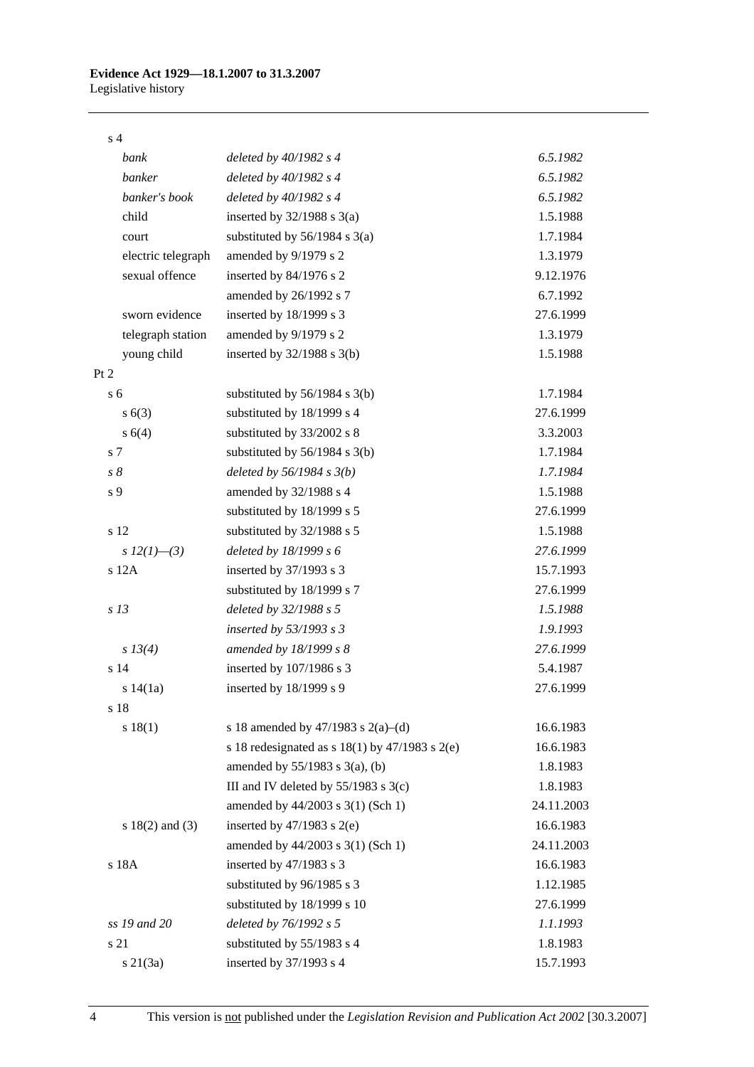#### s 4

| bank                | deleted by $40/1982$ s 4                             | 6.5.1982   |
|---------------------|------------------------------------------------------|------------|
| banker              | deleted by $40/1982 s 4$                             | 6.5.1982   |
| banker's book       | deleted by $40/1982 s 4$                             | 6.5.1982   |
| child               | inserted by $32/1988$ s $3(a)$                       | 1.5.1988   |
| court               | substituted by $56/1984$ s $3(a)$                    | 1.7.1984   |
| electric telegraph  | amended by 9/1979 s 2                                | 1.3.1979   |
| sexual offence      | inserted by 84/1976 s 2                              | 9.12.1976  |
|                     | amended by 26/1992 s 7                               | 6.7.1992   |
| sworn evidence      | inserted by 18/1999 s 3                              | 27.6.1999  |
| telegraph station   | amended by 9/1979 s 2                                | 1.3.1979   |
| young child         | inserted by $32/1988$ s $3(b)$                       | 1.5.1988   |
| Pt 2                |                                                      |            |
| s <sub>6</sub>      | substituted by $56/1984$ s $3(b)$                    | 1.7.1984   |
| s(6(3))             | substituted by 18/1999 s 4                           | 27.6.1999  |
| s 6(4)              | substituted by 33/2002 s 8                           | 3.3.2003   |
| s 7                 | substituted by $56/1984$ s $3(b)$                    | 1.7.1984   |
| $s\,\delta$         | deleted by $56/1984 s 3(b)$                          | 1.7.1984   |
| s 9                 | amended by 32/1988 s 4                               | 1.5.1988   |
|                     | substituted by 18/1999 s 5                           | 27.6.1999  |
| s 12                | substituted by 32/1988 s 5                           | 1.5.1988   |
| s $12(1)$ —(3)      | deleted by $18/1999 s 6$                             | 27.6.1999  |
| s 12A               | inserted by 37/1993 s 3                              | 15.7.1993  |
|                     | substituted by 18/1999 s 7                           | 27.6.1999  |
| s <sub>13</sub>     | deleted by 32/1988 s 5                               | 1.5.1988   |
|                     | inserted by 53/1993 s 3                              | 1.9.1993   |
| s 13(4)             | amended by 18/1999 s 8                               | 27.6.1999  |
| s 14                | inserted by 107/1986 s 3                             | 5.4.1987   |
| s 14(1a)            | inserted by 18/1999 s 9                              | 27.6.1999  |
| s 18                |                                                      |            |
| s 18(1)             | s 18 amended by 47/1983 s 2(a)–(d)                   | 16.6.1983  |
|                     | s 18 redesignated as s $18(1)$ by $47/1983$ s $2(e)$ | 16.6.1983  |
|                     | amended by $55/1983$ s $3(a)$ , (b)                  | 1.8.1983   |
|                     | III and IV deleted by $55/1983$ s $3(c)$             | 1.8.1983   |
|                     | amended by 44/2003 s 3(1) (Sch 1)                    | 24.11.2003 |
| s $18(2)$ and $(3)$ | inserted by $47/1983$ s $2(e)$                       | 16.6.1983  |
|                     | amended by 44/2003 s 3(1) (Sch 1)                    | 24.11.2003 |
| s 18A               | inserted by 47/1983 s 3                              | 16.6.1983  |
|                     | substituted by 96/1985 s 3                           | 1.12.1985  |
|                     | substituted by 18/1999 s 10                          | 27.6.1999  |
| ss 19 and 20        | deleted by 76/1992 s 5                               | 1.1.1993   |
| s 21                | substituted by 55/1983 s 4                           | 1.8.1983   |
| $s \, 21(3a)$       | inserted by 37/1993 s 4                              | 15.7.1993  |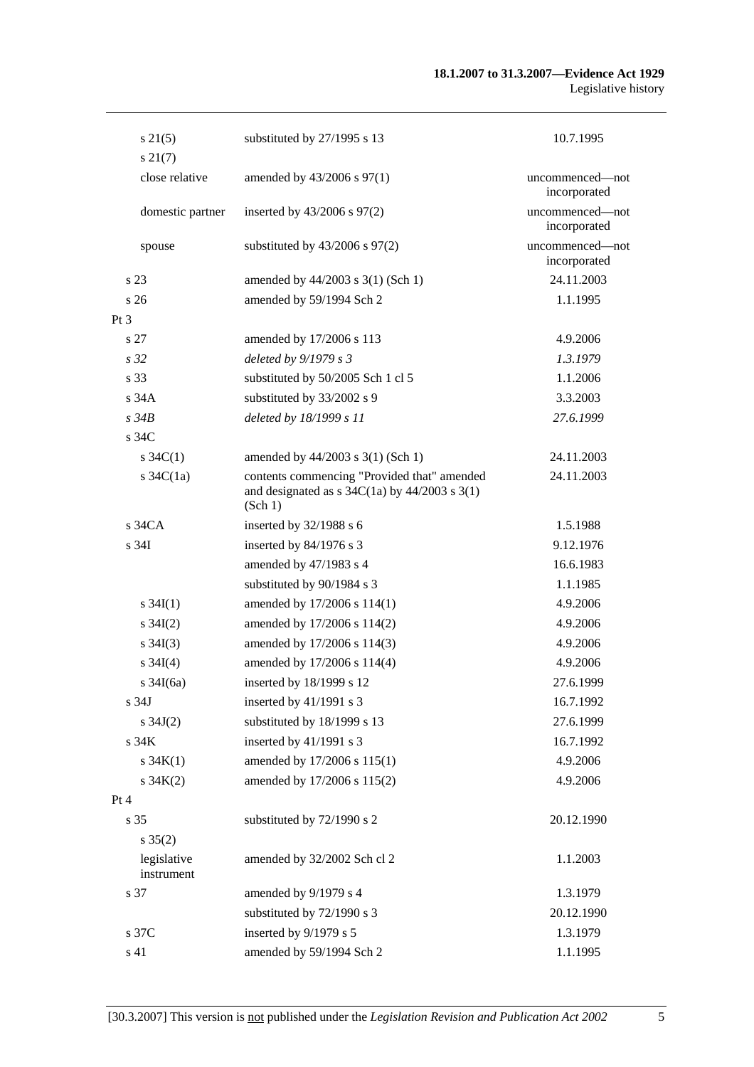| $s\,21(5)$<br>$s\,21(7)$  | substituted by 27/1995 s 13                                                                                                                   | 10.7.1995                       |
|---------------------------|-----------------------------------------------------------------------------------------------------------------------------------------------|---------------------------------|
| close relative            | amended by 43/2006 s 97(1)                                                                                                                    | uncommenced—not<br>incorporated |
| domestic partner          | inserted by 43/2006 s 97(2)                                                                                                                   | uncommenced-not<br>incorporated |
| spouse                    | substituted by $43/2006$ s $97(2)$                                                                                                            | uncommenced-not<br>incorporated |
| s 23                      | amended by 44/2003 s 3(1) (Sch 1)                                                                                                             | 24.11.2003                      |
| s 26                      | amended by 59/1994 Sch 2                                                                                                                      | 1.1.1995                        |
| Pt <sub>3</sub>           |                                                                                                                                               |                                 |
| s 27                      | amended by 17/2006 s 113                                                                                                                      | 4.9.2006                        |
| s <sub>32</sub>           | deleted by $9/1979 s 3$                                                                                                                       | 1.3.1979                        |
| s 33                      | substituted by 50/2005 Sch 1 cl 5                                                                                                             | 1.1.2006                        |
| s34A                      | substituted by 33/2002 s 9                                                                                                                    | 3.3.2003                        |
| $s\,34B$                  | deleted by 18/1999 s 11                                                                                                                       | 27.6.1999                       |
| s 34C                     |                                                                                                                                               |                                 |
| s $34C(1)$                | amended by 44/2003 s 3(1) (Sch 1)                                                                                                             | 24.11.2003                      |
| s $34C(1a)$               | contents commencing "Provided that" amended<br>and designated as $s \frac{34C(1a)}{y}$ by $\frac{44}{2003} \frac{s \cdot 3(1)}{y}$<br>(Sch 1) | 24.11.2003                      |
| $s\,34CA$                 | inserted by $32/1988$ s 6                                                                                                                     | 1.5.1988                        |
| s 34I                     | inserted by 84/1976 s 3                                                                                                                       | 9.12.1976                       |
|                           | amended by 47/1983 s 4                                                                                                                        | 16.6.1983                       |
|                           | substituted by 90/1984 s 3                                                                                                                    | 1.1.1985                        |
| s $34I(1)$                | amended by 17/2006 s 114(1)                                                                                                                   | 4.9.2006                        |
| s $34I(2)$                | amended by 17/2006 s 114(2)                                                                                                                   | 4.9.2006                        |
| $s \; 34I(3)$             | amended by 17/2006 s 114(3)                                                                                                                   | 4.9.2006                        |
| $s \; 34I(4)$             | amended by 17/2006 s 114(4)                                                                                                                   | 4.9.2006                        |
| s $34I(6a)$               | inserted by 18/1999 s 12                                                                                                                      | 27.6.1999                       |
| s 34J                     | inserted by 41/1991 s 3                                                                                                                       | 16.7.1992                       |
| s $34J(2)$                | substituted by 18/1999 s 13                                                                                                                   | 27.6.1999                       |
| s 34K                     | inserted by 41/1991 s 3                                                                                                                       | 16.7.1992                       |
| $s \, 34K(1)$             | amended by 17/2006 s 115(1)                                                                                                                   | 4.9.2006                        |
| $s \, 34K(2)$             | amended by 17/2006 s 115(2)                                                                                                                   | 4.9.2006                        |
| Pt 4                      |                                                                                                                                               |                                 |
| s 35                      | substituted by 72/1990 s 2                                                                                                                    | 20.12.1990                      |
| $s \, 35(2)$              |                                                                                                                                               |                                 |
| legislative<br>instrument | amended by 32/2002 Sch cl 2                                                                                                                   | 1.1.2003                        |
| s 37                      | amended by 9/1979 s 4                                                                                                                         | 1.3.1979                        |
|                           | substituted by 72/1990 s 3                                                                                                                    | 20.12.1990                      |
| s 37C                     | inserted by 9/1979 s 5                                                                                                                        | 1.3.1979                        |
| s 41                      | amended by 59/1994 Sch 2                                                                                                                      | 1.1.1995                        |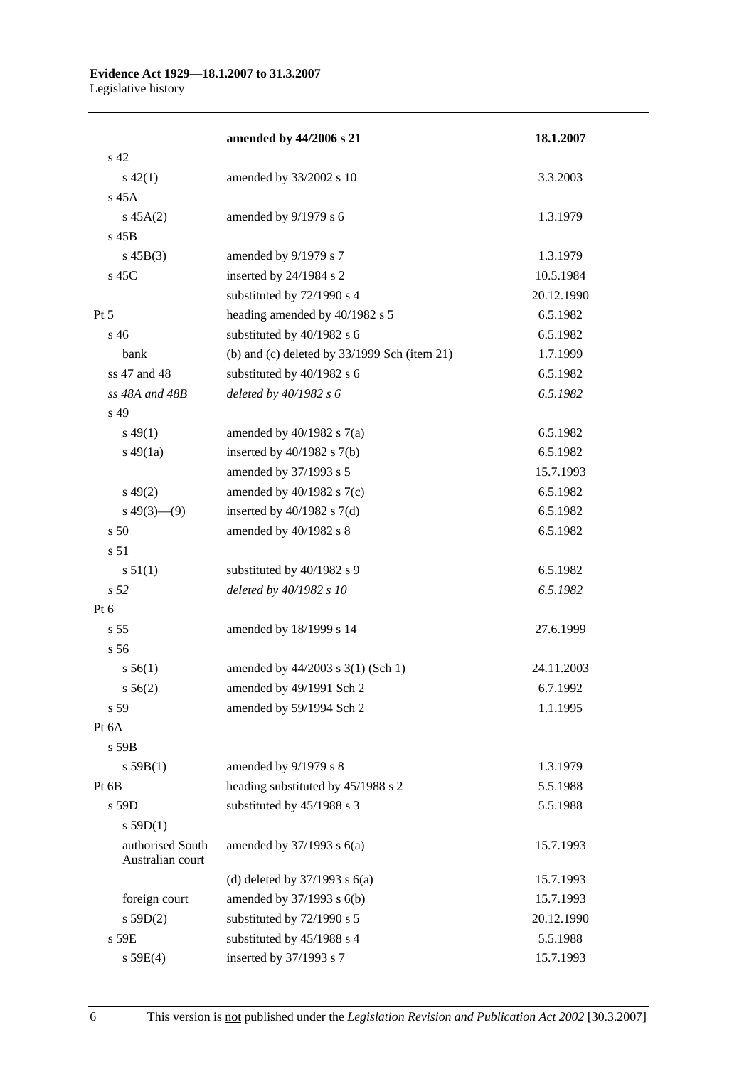#### **Evidence Act 1929—18.1.2007 to 31.3.2007**  Legislative history

|                                      | amended by 44/2006 s 21                        | 18.1.2007  |
|--------------------------------------|------------------------------------------------|------------|
| s 42                                 |                                                |            |
| $s\ 42(1)$                           | amended by 33/2002 s 10                        | 3.3.2003   |
| s 45A                                |                                                |            |
| $s\,45A(2)$                          | amended by 9/1979 s 6                          | 1.3.1979   |
| s 45B                                |                                                |            |
| $s\,45B(3)$                          | amended by 9/1979 s 7                          | 1.3.1979   |
| s 45C                                | inserted by 24/1984 s 2                        | 10.5.1984  |
|                                      | substituted by 72/1990 s 4                     | 20.12.1990 |
| $Pt\,5$                              | heading amended by 40/1982 s 5                 | 6.5.1982   |
| s 46                                 | substituted by 40/1982 s 6                     | 6.5.1982   |
| bank                                 | (b) and (c) deleted by $33/1999$ Sch (item 21) | 1.7.1999   |
| ss 47 and 48                         | substituted by 40/1982 s 6                     | 6.5.1982   |
| ss 48A and 48B                       | deleted by 40/1982 s 6                         | 6.5.1982   |
| s 49                                 |                                                |            |
| $s\,49(1)$                           | amended by $40/1982$ s $7(a)$                  | 6.5.1982   |
| $s\ 49(1a)$                          | inserted by $40/1982$ s $7(b)$                 | 6.5.1982   |
|                                      | amended by 37/1993 s 5                         | 15.7.1993  |
| $s\,49(2)$                           | amended by $40/1982$ s $7(c)$                  | 6.5.1982   |
| $s\ 49(3)$ (9)                       | inserted by $40/1982$ s $7(d)$                 | 6.5.1982   |
| s 50                                 | amended by 40/1982 s 8                         | 6.5.1982   |
| s <sub>51</sub>                      |                                                |            |
| s 51(1)                              | substituted by 40/1982 s 9                     | 6.5.1982   |
| s 52                                 | deleted by 40/1982 s 10                        | 6.5.1982   |
| Pt $6$                               |                                                |            |
| s <sub>55</sub>                      | amended by 18/1999 s 14                        | 27.6.1999  |
| s 56                                 |                                                |            |
| s 56(1)                              | amended by 44/2003 s 3(1) (Sch 1)              | 24.11.2003 |
| $s\,56(2)$                           | amended by 49/1991 Sch 2                       | 6.7.1992   |
| s 59                                 | amended by 59/1994 Sch 2                       | 1.1.1995   |
| Pt 6A                                |                                                |            |
| s 59B                                |                                                |            |
| s 59B(1)                             | amended by 9/1979 s 8                          | 1.3.1979   |
| Pt 6B                                | heading substituted by 45/1988 s 2             | 5.5.1988   |
| s 59D                                | substituted by 45/1988 s 3                     | 5.5.1988   |
| s 59D(1)                             |                                                |            |
| authorised South<br>Australian court | amended by $37/1993$ s $6(a)$                  | 15.7.1993  |
|                                      | (d) deleted by $37/1993$ s $6(a)$              | 15.7.1993  |
| foreign court                        | amended by 37/1993 s 6(b)                      | 15.7.1993  |
| s 59D(2)                             | substituted by 72/1990 s 5                     | 20.12.1990 |
| s 59E                                | substituted by 45/1988 s 4                     | 5.5.1988   |
| s 59E(4)                             | inserted by 37/1993 s 7                        | 15.7.1993  |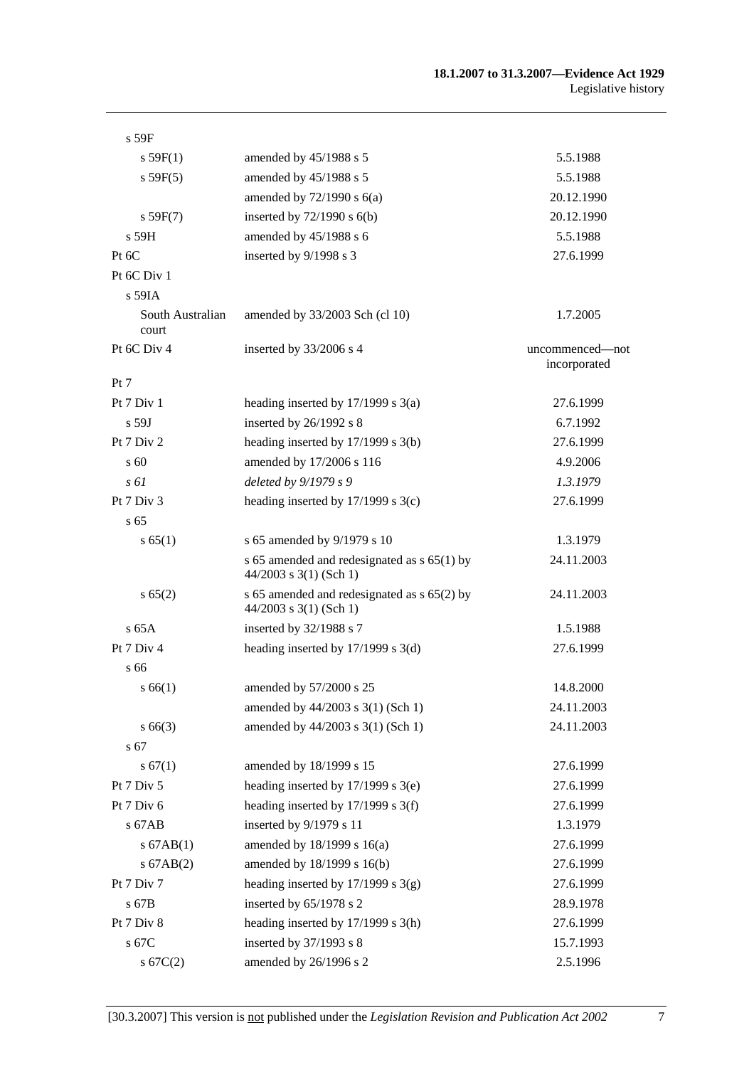| s 59F                     |                                                                           |                 |
|---------------------------|---------------------------------------------------------------------------|-----------------|
| s 59F(1)                  | amended by $45/1988$ s 5                                                  | 5.5.1988        |
| s 59F(5)                  | amended by 45/1988 s 5                                                    | 5.5.1988        |
|                           | amended by $72/1990$ s $6(a)$                                             | 20.12.1990      |
| s 59F(7)                  | inserted by $72/1990$ s $6(b)$                                            | 20.12.1990      |
| s 59H                     | amended by 45/1988 s 6                                                    | 5.5.1988        |
| Pt 6C                     | inserted by 9/1998 s 3                                                    | 27.6.1999       |
| Pt 6C Div 1               |                                                                           |                 |
| $s$ 59IA                  |                                                                           |                 |
| South Australian<br>court | amended by 33/2003 Sch (cl 10)                                            | 1.7.2005        |
| Pt 6C Div 4               | inserted by 33/2006 s 4                                                   | uncommenced—not |
|                           |                                                                           | incorporated    |
| Pt 7                      |                                                                           |                 |
| Pt 7 Div 1                | heading inserted by $17/1999$ s $3(a)$                                    | 27.6.1999       |
| $s$ 59J                   | inserted by 26/1992 s 8                                                   | 6.7.1992        |
| Pt 7 Div 2                | heading inserted by 17/1999 s 3(b)                                        | 27.6.1999       |
| $\mathrm{s}$ 60           | amended by 17/2006 s 116                                                  | 4.9.2006        |
| $s \, \delta l$           | deleted by 9/1979 s 9                                                     | 1.3.1979        |
| Pt 7 Div 3                | heading inserted by $17/1999$ s $3(c)$                                    | 27.6.1999       |
| s <sub>65</sub>           |                                                                           |                 |
| s 65(1)                   | s 65 amended by 9/1979 s 10                                               | 1.3.1979        |
|                           | s 65 amended and redesignated as $s$ 65(1) by<br>$44/2003$ s 3(1) (Sch 1) | 24.11.2003      |
| s 65(2)                   | s 65 amended and redesignated as s 65(2) by<br>$44/2003$ s 3(1) (Sch 1)   | 24.11.2003      |
| $s$ 65A                   | inserted by 32/1988 s 7                                                   | 1.5.1988        |
| Pt 7 Div 4                | heading inserted by $17/1999$ s $3(d)$                                    | 27.6.1999       |
| s 66                      |                                                                           |                 |
| s 66(1)                   | amended by 57/2000 s 25                                                   | 14.8.2000       |
|                           | amended by 44/2003 s 3(1) (Sch 1)                                         | 24.11.2003      |
| $s\,66(3)$                | amended by 44/2003 s 3(1) (Sch 1)                                         | 24.11.2003      |
| s 67                      |                                                                           |                 |
| s 67(1)                   | amended by 18/1999 s 15                                                   | 27.6.1999       |
| Pt 7 Div 5                | heading inserted by $17/1999$ s $3(e)$                                    | 27.6.1999       |
| Pt 7 Div 6                | heading inserted by 17/1999 s 3(f)                                        | 27.6.1999       |
| s 67AB                    | inserted by 9/1979 s 11                                                   | 1.3.1979        |
| $s$ 67AB $(1)$            | amended by 18/1999 s 16(a)                                                | 27.6.1999       |
| $s$ 67AB $(2)$            | amended by 18/1999 s 16(b)                                                | 27.6.1999       |
| Pt 7 Div 7                | heading inserted by $17/1999$ s $3(g)$                                    | 27.6.1999       |
| s 67B                     | inserted by 65/1978 s 2                                                   | 28.9.1978       |
| Pt 7 Div 8                | heading inserted by 17/1999 s 3(h)                                        | 27.6.1999       |
| s 67C                     | inserted by 37/1993 s 8                                                   | 15.7.1993       |
| s 67C(2)                  | amended by 26/1996 s 2                                                    | 2.5.1996        |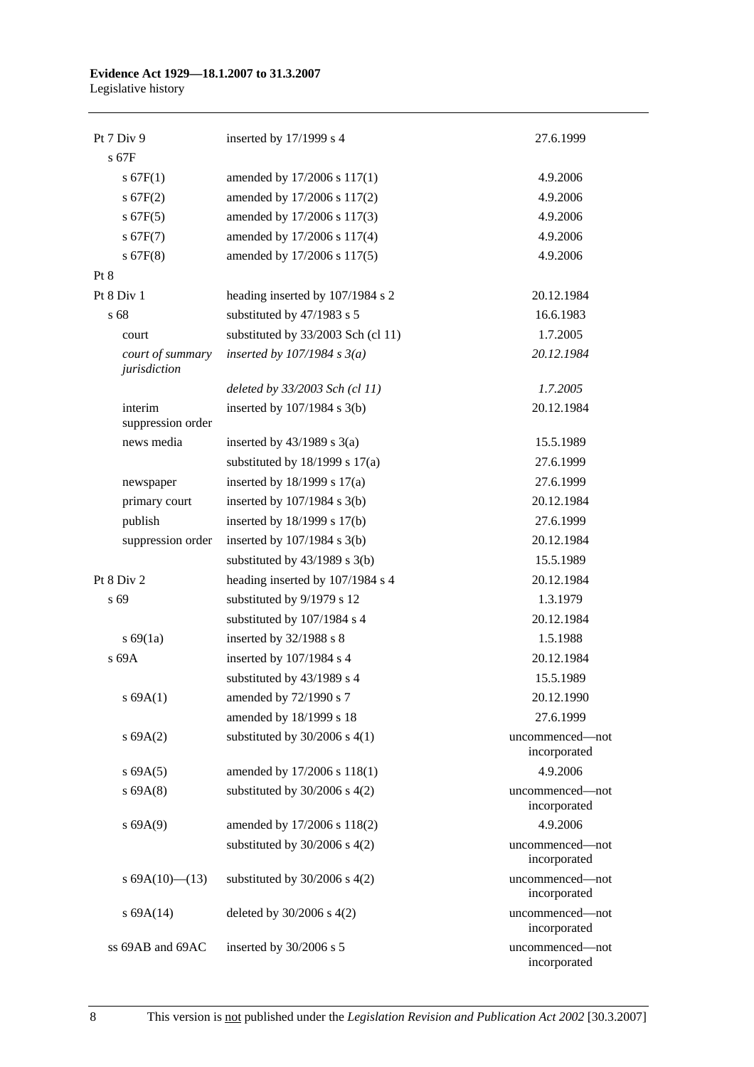# **Evidence Act 1929—18.1.2007 to 31.3.2007**

Legislative history

| Pt 7 Div 9                       | inserted by $17/1999$ s 4          | 27.6.1999                       |
|----------------------------------|------------------------------------|---------------------------------|
| $s$ 67 $F$                       |                                    |                                 |
| s 67F(1)                         | amended by 17/2006 s 117(1)        | 4.9.2006                        |
| s 67F(2)                         | amended by 17/2006 s 117(2)        | 4.9.2006                        |
| $s$ 67 $F(5)$                    | amended by 17/2006 s 117(3)        | 4.9.2006                        |
| s 67F(7)                         | amended by 17/2006 s 117(4)        | 4.9.2006                        |
| $s$ 67 $F(8)$                    | amended by 17/2006 s 117(5)        | 4.9.2006                        |
| Pt 8                             |                                    |                                 |
| Pt 8 Div 1                       | heading inserted by 107/1984 s 2   | 20.12.1984                      |
| s 68                             | substituted by 47/1983 s 5         | 16.6.1983                       |
| court                            | substituted by 33/2003 Sch (cl 11) | 1.7.2005                        |
| court of summary<br>jurisdiction | inserted by $107/1984$ s $3(a)$    | 20.12.1984                      |
|                                  | deleted by 33/2003 Sch (cl 11)     | 1.7.2005                        |
| interim<br>suppression order     | inserted by $107/1984$ s $3(b)$    | 20.12.1984                      |
| news media                       | inserted by $43/1989$ s $3(a)$     | 15.5.1989                       |
|                                  | substituted by $18/1999$ s $17(a)$ | 27.6.1999                       |
| newspaper                        | inserted by $18/1999$ s $17(a)$    | 27.6.1999                       |
| primary court                    | inserted by $107/1984$ s $3(b)$    | 20.12.1984                      |
| publish                          | inserted by 18/1999 s 17(b)        | 27.6.1999                       |
| suppression order                | inserted by $107/1984$ s $3(b)$    | 20.12.1984                      |
|                                  | substituted by $43/1989$ s $3(b)$  | 15.5.1989                       |
| Pt 8 Div 2                       | heading inserted by 107/1984 s 4   | 20.12.1984                      |
| s 69                             | substituted by 9/1979 s 12         | 1.3.1979                        |
|                                  | substituted by 107/1984 s 4        | 20.12.1984                      |
| s 69(1a)                         | inserted by 32/1988 s 8            | 1.5.1988                        |
| s 69A                            | inserted by 107/1984 s 4           | 20.12.1984                      |
|                                  | substituted by 43/1989 s 4         | 15.5.1989                       |
| s 69A(1)                         | amended by 72/1990 s 7             | 20.12.1990                      |
|                                  | amended by 18/1999 s 18            | 27.6.1999                       |
| s 69A(2)                         | substituted by $30/2006$ s 4(1)    | uncommenced-not<br>incorporated |
| s 69A(5)                         | amended by 17/2006 s 118(1)        | 4.9.2006                        |
| s 69A(8)                         | substituted by $30/2006$ s $4(2)$  | uncommenced-not<br>incorporated |
| s 69A(9)                         | amended by 17/2006 s 118(2)        | 4.9.2006                        |
|                                  | substituted by $30/2006$ s $4(2)$  | uncommenced—not<br>incorporated |
| s $69A(10)$ (13)                 | substituted by $30/2006$ s $4(2)$  | uncommenced-not<br>incorporated |
| $s$ 69A $(14)$                   | deleted by $30/2006$ s $4(2)$      | uncommenced-not<br>incorporated |
| ss 69AB and 69AC                 | inserted by 30/2006 s 5            | uncommenced-not<br>incorporated |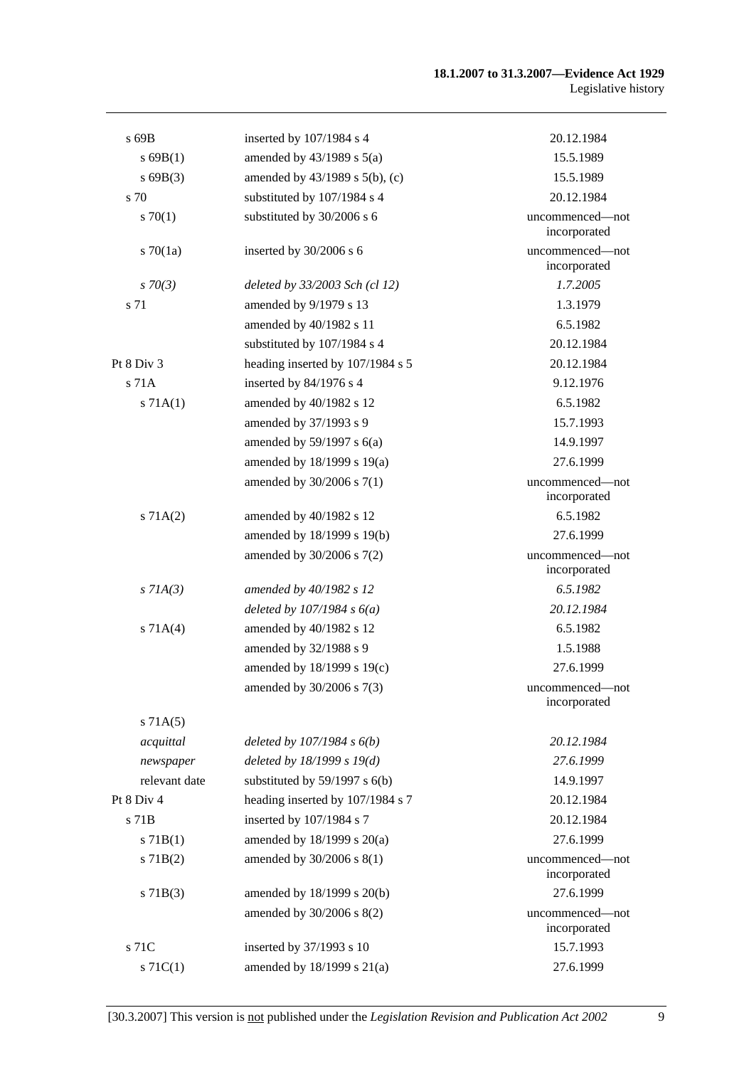#### **18.1.2007 to 31.3.2007—Evidence Act 1929**  Legislative history

| $s$ 69B       | inserted by 107/1984 s 4            | 20.12.1984                      |
|---------------|-------------------------------------|---------------------------------|
| s 69B(1)      | amended by $43/1989$ s $5(a)$       | 15.5.1989                       |
| $s$ 69B(3)    | amended by $43/1989$ s $5(b)$ , (c) | 15.5.1989                       |
| s 70          | substituted by 107/1984 s 4         | 20.12.1984                      |
| 570(1)        | substituted by 30/2006 s 6          | uncommenced—not<br>incorporated |
| $s \, 70(1a)$ | inserted by 30/2006 s 6             | uncommenced-not<br>incorporated |
| $s \, 70(3)$  | deleted by 33/2003 Sch (cl 12)      | 1.7.2005                        |
| s 71          | amended by 9/1979 s 13              | 1.3.1979                        |
|               | amended by 40/1982 s 11             | 6.5.1982                        |
|               | substituted by 107/1984 s 4         | 20.12.1984                      |
| Pt 8 Div 3    | heading inserted by 107/1984 s 5    | 20.12.1984                      |
| $s$ 71 $A$    | inserted by 84/1976 s 4             | 9.12.1976                       |
| s 71A(1)      | amended by 40/1982 s 12             | 6.5.1982                        |
|               | amended by 37/1993 s 9              | 15.7.1993                       |
|               | amended by $59/1997$ s $6(a)$       | 14.9.1997                       |
|               | amended by 18/1999 s 19(a)          | 27.6.1999                       |
|               | amended by 30/2006 s 7(1)           | uncommenced—not<br>incorporated |
| s 71A(2)      | amended by 40/1982 s 12             | 6.5.1982                        |
|               | amended by 18/1999 s 19(b)          | 27.6.1999                       |
|               | amended by 30/2006 s 7(2)           | uncommenced-not<br>incorporated |
| $s$ 71A(3)    | amended by 40/1982 s 12             | 6.5.1982                        |
|               | deleted by $107/1984 s 6(a)$        | 20.12.1984                      |
| s 71A(4)      | amended by 40/1982 s 12             | 6.5.1982                        |
|               | amended by 32/1988 s 9              | 1.5.1988                        |
|               | amended by 18/1999 s 19(c)          | 27.6.1999                       |
|               | amended by 30/2006 s 7(3)           | uncommenced-not<br>incorporated |
| s 71A(5)      |                                     |                                 |
| acquittal     | deleted by $107/1984 s 6(b)$        | 20.12.1984                      |
| newspaper     | deleted by $18/1999 s 19(d)$        | 27.6.1999                       |
| relevant date | substituted by $59/1997$ s $6(b)$   | 14.9.1997                       |
| Pt 8 Div 4    | heading inserted by 107/1984 s 7    | 20.12.1984                      |
| s 71B         | inserted by 107/1984 s 7            | 20.12.1984                      |
| s 71B(1)      | amended by 18/1999 s 20(a)          | 27.6.1999                       |
| $s$ 71B(2)    | amended by 30/2006 s 8(1)           | uncommenced-not<br>incorporated |
| $s$ 71B(3)    | amended by 18/1999 s 20(b)          | 27.6.1999                       |
|               | amended by 30/2006 s 8(2)           | uncommenced-not<br>incorporated |
| s 71C         | inserted by 37/1993 s 10            | 15.7.1993                       |
| $s \, 71C(1)$ | amended by $18/1999$ s $21(a)$      | 27.6.1999                       |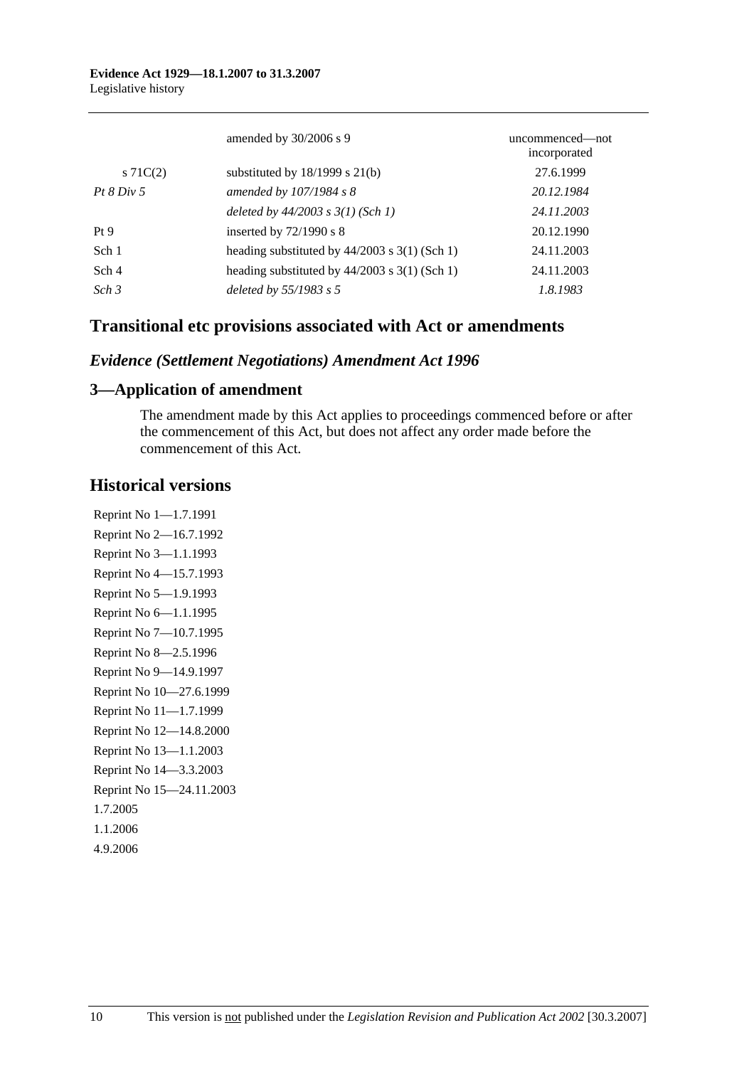|                  | amended by 30/2006 s 9                          | uncommenced—not<br>incorporated |
|------------------|-------------------------------------------------|---------------------------------|
| s $71C(2)$       | substituted by $18/1999$ s $21(b)$              | 27.6.1999                       |
| Pt 8 Div 5       | amended by 107/1984 s 8                         | 20.12.1984                      |
|                  | deleted by $44/2003$ s $3(1)$ (Sch 1)           | 24.11.2003                      |
| Pt <sub>9</sub>  | inserted by $72/1990$ s 8                       | 20.12.1990                      |
| Sch 1            | heading substituted by $44/2003$ s 3(1) (Sch 1) | 24.11.2003                      |
| Sch 4            | heading substituted by $44/2003$ s 3(1) (Sch 1) | 24.11.2003                      |
| Sch <sub>3</sub> | deleted by 55/1983 s 5                          | 1.8.1983                        |

## **Transitional etc provisions associated with Act or amendments**

### *Evidence (Settlement Negotiations) Amendment Act 1996*

### **3—Application of amendment**

The amendment made by this Act applies to proceedings commenced before or after the commencement of this Act, but does not affect any order made before the commencement of this Act.

### **Historical versions**

Reprint No 1—1.7.1991 Reprint No 2—16.7.1992 Reprint No 3—1.1.1993 Reprint No 4—15.7.1993 Reprint No 5—1.9.1993 Reprint No 6—1.1.1995 Reprint No 7—10.7.1995 Reprint No 8—2.5.1996 Reprint No 9—14.9.1997 Reprint No 10—27.6.1999 Reprint No 11—1.7.1999 Reprint No 12—14.8.2000 Reprint No 13—1.1.2003 Reprint No 14—3.3.2003 Reprint No 15—24.11.2003 1.7.2005 1.1.2006 4.9.2006